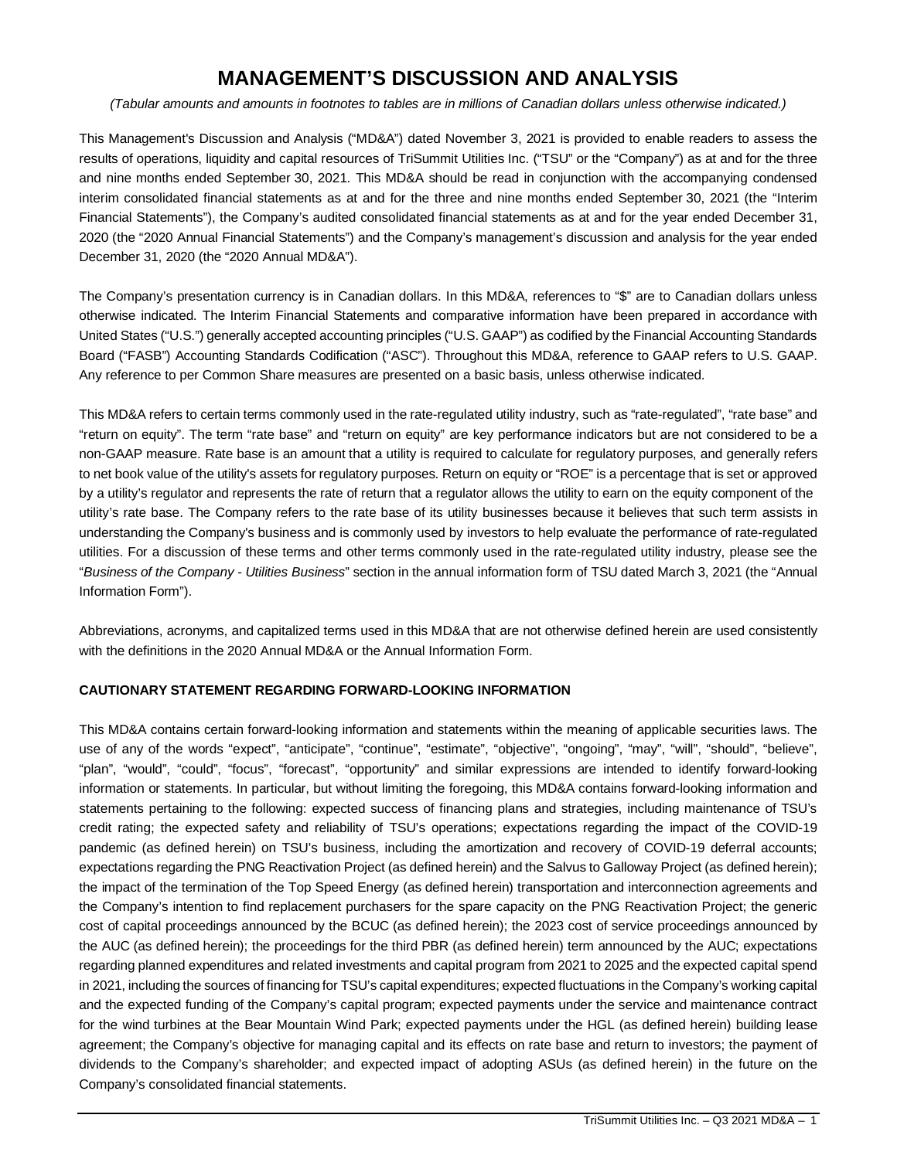# **MANAGEMENT'S DISCUSSION AND ANALYSIS**

*(Tabular amounts and amounts in footnotes to tables are in millions of Canadian dollars unless otherwise indicated.)*

This Management's Discussion and Analysis ("MD&A") dated November 3, 2021 is provided to enable readers to assess the results of operations, liquidity and capital resources of TriSummit Utilities Inc. ("TSU" or the "Company") as at and for the three and nine months ended September 30, 2021. This MD&A should be read in conjunction with the accompanying condensed interim consolidated financial statements as at and for the three and nine months ended September 30, 2021 (the "Interim Financial Statements"), the Company's audited consolidated financial statements as at and for the year ended December 31, 2020 (the "2020 Annual Financial Statements") and the Company's management's discussion and analysis for the year ended December 31, 2020 (the "2020 Annual MD&A").

The Company's presentation currency is in Canadian dollars. In this MD&A, references to "\$" are to Canadian dollars unless otherwise indicated. The Interim Financial Statements and comparative information have been prepared in accordance with United States ("U.S.") generally accepted accounting principles ("U.S. GAAP") as codified by the Financial Accounting Standards Board ("FASB") Accounting Standards Codification ("ASC"). Throughout this MD&A, reference to GAAP refers to U.S. GAAP. Any reference to per Common Share measures are presented on a basic basis, unless otherwise indicated.

This MD&A refers to certain terms commonly used in the rate-regulated utility industry, such as "rate-regulated", "rate base" and "return on equity". The term "rate base" and "return on equity" are key performance indicators but are not considered to be a non-GAAP measure. Rate base is an amount that a utility is required to calculate for regulatory purposes, and generally refers to net book value of the utility's assets for regulatory purposes. Return on equity or "ROE" is a percentage that is set or approved by a utility's regulator and represents the rate of return that a regulator allows the utility to earn on the equity component of the utility's rate base. The Company refers to the rate base of its utility businesses because it believes that such term assists in understanding the Company's business and is commonly used by investors to help evaluate the performance of rate-regulated utilities. For a discussion of these terms and other terms commonly used in the rate-regulated utility industry, please see the "*Business of the Company - Utilities Business*" section in the annual information form of TSU dated March 3, 2021 (the "Annual Information Form").

Abbreviations, acronyms, and capitalized terms used in this MD&A that are not otherwise defined herein are used consistently with the definitions in the 2020 Annual MD&A or the Annual Information Form.

# **CAUTIONARY STATEMENT REGARDING FORWARD-LOOKING INFORMATION**

This MD&A contains certain forward-looking information and statements within the meaning of applicable securities laws. The use of any of the words "expect", "anticipate", "continue", "estimate", "objective", "ongoing", "may", "will", "should", "believe", "plan", "would", "could", "focus", "forecast", "opportunity" and similar expressions are intended to identify forward-looking information or statements. In particular, but without limiting the foregoing, this MD&A contains forward-looking information and statements pertaining to the following: expected success of financing plans and strategies, including maintenance of TSU's credit rating; the expected safety and reliability of TSU's operations; expectations regarding the impact of the COVID-19 pandemic (as defined herein) on TSU's business, including the amortization and recovery of COVID-19 deferral accounts; expectations regarding the PNG Reactivation Project (as defined herein) and the Salvus to Galloway Project (as defined herein); the impact of the termination of the Top Speed Energy (as defined herein) transportation and interconnection agreements and the Company's intention to find replacement purchasers for the spare capacity on the PNG Reactivation Project; the generic cost of capital proceedings announced by the BCUC (as defined herein); the 2023 cost of service proceedings announced by the AUC (as defined herein); the proceedings for the third PBR (as defined herein) term announced by the AUC; expectations regarding planned expenditures and related investments and capital program from 2021 to 2025 and the expected capital spend in 2021, including the sources of financing for TSU's capital expenditures; expected fluctuations in the Company's working capital and the expected funding of the Company's capital program; expected payments under the service and maintenance contract for the wind turbines at the Bear Mountain Wind Park; expected payments under the HGL (as defined herein) building lease agreement; the Company's objective for managing capital and its effects on rate base and return to investors; the payment of dividends to the Company's shareholder; and expected impact of adopting ASUs (as defined herein) in the future on the Company's consolidated financial statements.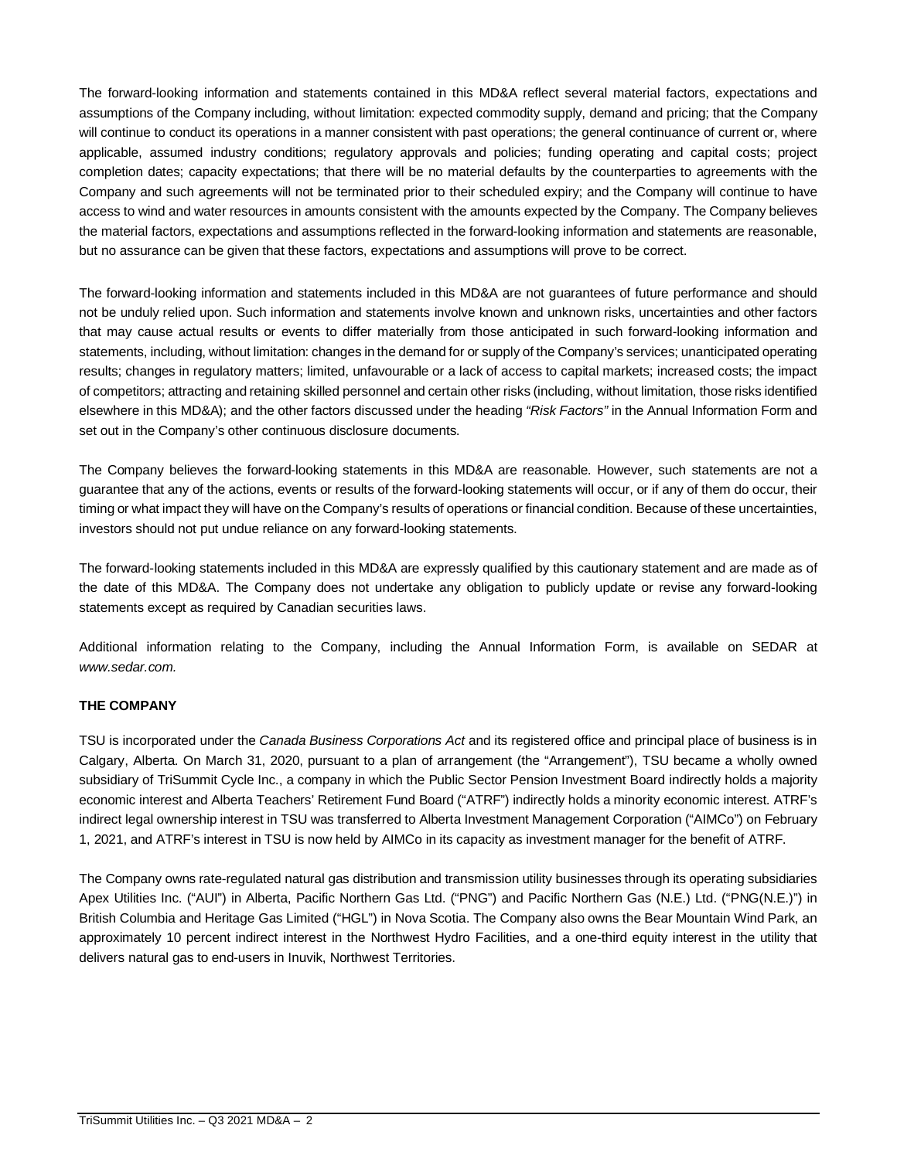The forward-looking information and statements contained in this MD&A reflect several material factors, expectations and assumptions of the Company including, without limitation: expected commodity supply, demand and pricing; that the Company will continue to conduct its operations in a manner consistent with past operations; the general continuance of current or, where applicable, assumed industry conditions; regulatory approvals and policies; funding operating and capital costs; project completion dates; capacity expectations; that there will be no material defaults by the counterparties to agreements with the Company and such agreements will not be terminated prior to their scheduled expiry; and the Company will continue to have access to wind and water resources in amounts consistent with the amounts expected by the Company. The Company believes the material factors, expectations and assumptions reflected in the forward-looking information and statements are reasonable, but no assurance can be given that these factors, expectations and assumptions will prove to be correct.

The forward-looking information and statements included in this MD&A are not guarantees of future performance and should not be unduly relied upon. Such information and statements involve known and unknown risks, uncertainties and other factors that may cause actual results or events to differ materially from those anticipated in such forward-looking information and statements, including, without limitation: changes in the demand for or supply of the Company's services; unanticipated operating results; changes in regulatory matters; limited, unfavourable or a lack of access to capital markets; increased costs; the impact of competitors; attracting and retaining skilled personnel and certain other risks (including, without limitation, those risks identified elsewhere in this MD&A); and the other factors discussed under the heading *"Risk Factors"* in the Annual Information Form and set out in the Company's other continuous disclosure documents.

The Company believes the forward-looking statements in this MD&A are reasonable. However, such statements are not a guarantee that any of the actions, events or results of the forward-looking statements will occur, or if any of them do occur, their timing or what impact they will have on the Company's results of operations or financial condition. Because of these uncertainties, investors should not put undue reliance on any forward-looking statements.

The forward-looking statements included in this MD&A are expressly qualified by this cautionary statement and are made as of the date of this MD&A. The Company does not undertake any obligation to publicly update or revise any forward-looking statements except as required by Canadian securities laws.

Additional information relating to the Company, including the Annual Information Form, is available on SEDAR at *www.sedar.com.*

# **THE COMPANY**

TSU is incorporated under the *Canada Business Corporations Act* and its registered office and principal place of business is in Calgary, Alberta. On March 31, 2020, pursuant to a plan of arrangement (the "Arrangement"), TSU became a wholly owned subsidiary of TriSummit Cycle Inc., a company in which the Public Sector Pension Investment Board indirectly holds a majority economic interest and Alberta Teachers' Retirement Fund Board ("ATRF") indirectly holds a minority economic interest. ATRF's indirect legal ownership interest in TSU was transferred to Alberta Investment Management Corporation ("AIMCo") on February 1, 2021, and ATRF's interest in TSU is now held by AIMCo in its capacity as investment manager for the benefit of ATRF.

The Company owns rate-regulated natural gas distribution and transmission utility businesses through its operating subsidiaries Apex Utilities Inc. ("AUI") in Alberta, Pacific Northern Gas Ltd. ("PNG") and Pacific Northern Gas (N.E.) Ltd. ("PNG(N.E.)") in British Columbia and Heritage Gas Limited ("HGL") in Nova Scotia. The Company also owns the Bear Mountain Wind Park, an approximately 10 percent indirect interest in the Northwest Hydro Facilities, and a one-third equity interest in the utility that delivers natural gas to end-users in Inuvik, Northwest Territories.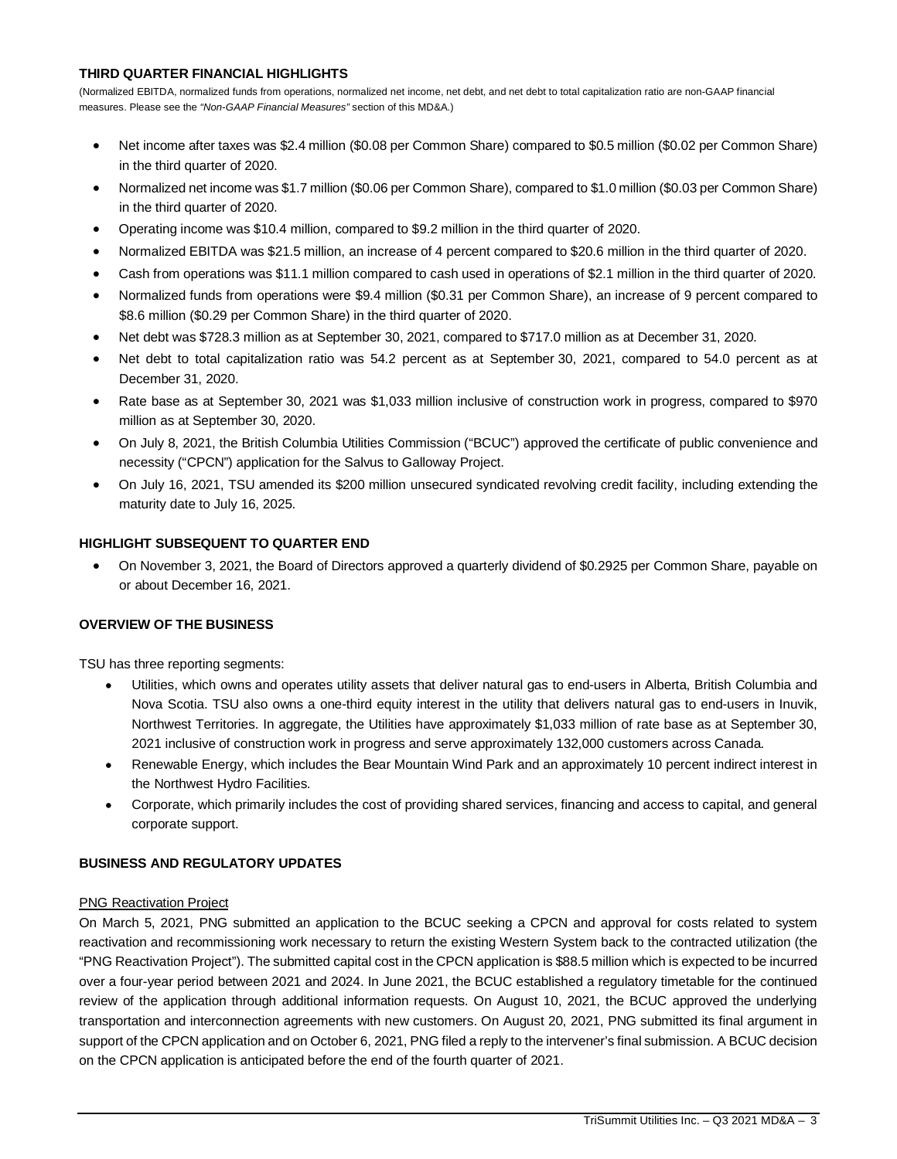# **THIRD QUARTER FINANCIAL HIGHLIGHTS**

(Normalized EBITDA, normalized funds from operations, normalized net income, net debt, and net debt to total capitalization ratio are non-GAAP financial measures. Please see the *"Non-GAAP Financial Measures"* section of this MD&A.)

- Net income after taxes was \$2.4 million (\$0.08 per Common Share) compared to \$0.5 million (\$0.02 per Common Share) in the third quarter of 2020.
- Normalized net income was \$1.7 million (\$0.06 per Common Share), compared to \$1.0 million (\$0.03 per Common Share) in the third quarter of 2020.
- Operating income was \$10.4 million, compared to \$9.2 million in the third quarter of 2020.
- Normalized EBITDA was \$21.5 million, an increase of 4 percent compared to \$20.6 million in the third quarter of 2020.
- Cash from operations was \$11.1 million compared to cash used in operations of \$2.1 million in the third quarter of 2020.
- Normalized funds from operations were \$9.4 million (\$0.31 per Common Share), an increase of 9 percent compared to \$8.6 million (\$0.29 per Common Share) in the third quarter of 2020.
- Net debt was \$728.3 million as at September 30, 2021, compared to \$717.0 million as at December 31, 2020.
- Net debt to total capitalization ratio was 54.2 percent as at September 30, 2021, compared to 54.0 percent as at December 31, 2020.
- Rate base as at September 30, 2021 was \$1,033 million inclusive of construction work in progress, compared to \$970 million as at September 30, 2020.
- On July 8, 2021, the British Columbia Utilities Commission ("BCUC") approved the certificate of public convenience and necessity ("CPCN") application for the Salvus to Galloway Project.
- On July 16, 2021, TSU amended its \$200 million unsecured syndicated revolving credit facility, including extending the maturity date to July 16, 2025.

# **HIGHLIGHT SUBSEQUENT TO QUARTER END**

 On November 3, 2021, the Board of Directors approved a quarterly dividend of \$0.2925 per Common Share, payable on or about December 16, 2021.

# **OVERVIEW OF THE BUSINESS**

TSU has three reporting segments:

- Utilities, which owns and operates utility assets that deliver natural gas to end-users in Alberta, British Columbia and Nova Scotia. TSU also owns a one-third equity interest in the utility that delivers natural gas to end-users in Inuvik, Northwest Territories. In aggregate, the Utilities have approximately \$1,033 million of rate base as at September 30, 2021 inclusive of construction work in progress and serve approximately 132,000 customers across Canada.
- Renewable Energy, which includes the Bear Mountain Wind Park and an approximately 10 percent indirect interest in the Northwest Hydro Facilities.
- Corporate, which primarily includes the cost of providing shared services, financing and access to capital, and general corporate support.

# **BUSINESS AND REGULATORY UPDATES**

# PNG Reactivation Project

On March 5, 2021, PNG submitted an application to the BCUC seeking a CPCN and approval for costs related to system reactivation and recommissioning work necessary to return the existing Western System back to the contracted utilization (the "PNG Reactivation Project"). The submitted capital cost in the CPCN application is \$88.5 million which is expected to be incurred over a four-year period between 2021 and 2024. In June 2021, the BCUC established a regulatory timetable for the continued review of the application through additional information requests. On August 10, 2021, the BCUC approved the underlying transportation and interconnection agreements with new customers. On August 20, 2021, PNG submitted its final argument in support of the CPCN application and on October 6, 2021, PNG filed a reply to the intervener's final submission. A BCUC decision on the CPCN application is anticipated before the end of the fourth quarter of 2021.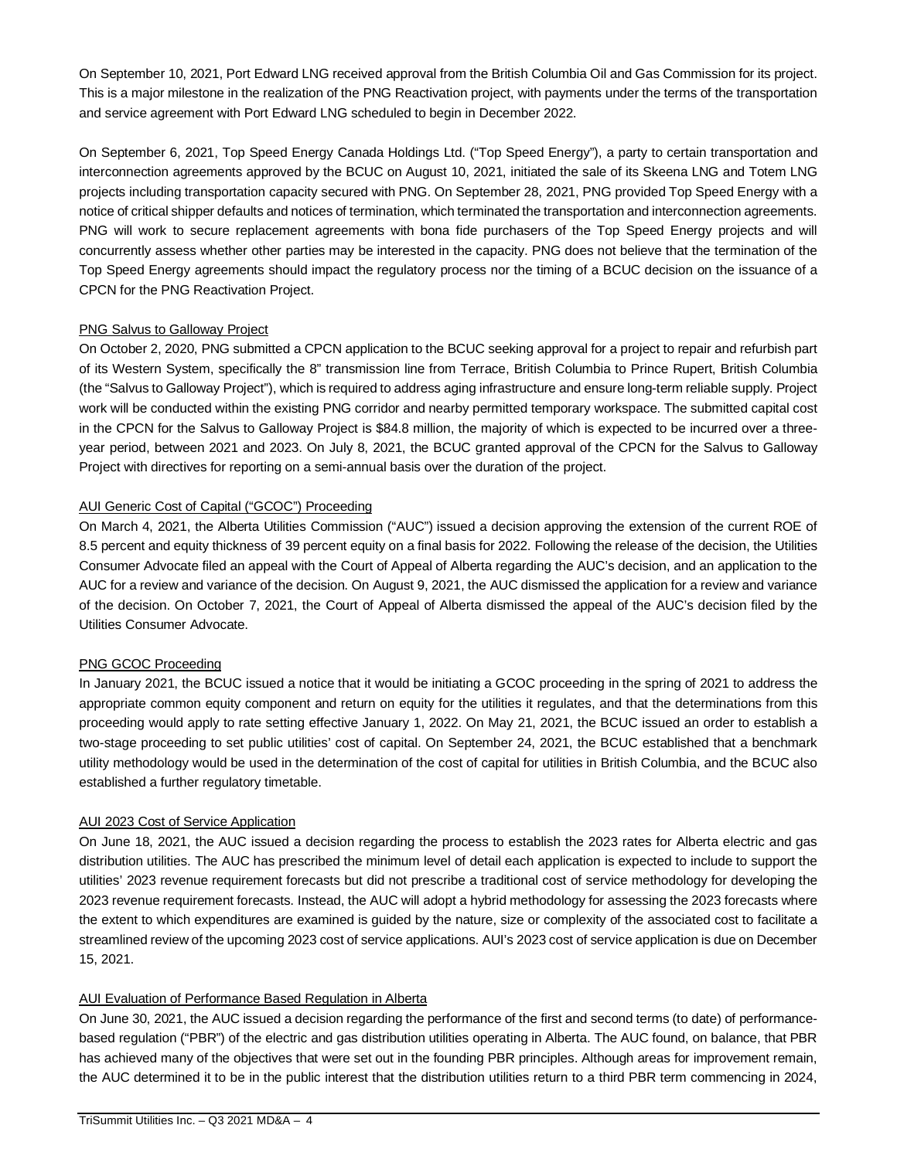On September 10, 2021, Port Edward LNG received approval from the British Columbia Oil and Gas Commission for its project. This is a major milestone in the realization of the PNG Reactivation project, with payments under the terms of the transportation and service agreement with Port Edward LNG scheduled to begin in December 2022.

On September 6, 2021, Top Speed Energy Canada Holdings Ltd. ("Top Speed Energy"), a party to certain transportation and interconnection agreements approved by the BCUC on August 10, 2021, initiated the sale of its Skeena LNG and Totem LNG projects including transportation capacity secured with PNG. On September 28, 2021, PNG provided Top Speed Energy with a notice of critical shipper defaults and notices of termination, which terminated the transportation and interconnection agreements. PNG will work to secure replacement agreements with bona fide purchasers of the Top Speed Energy projects and will concurrently assess whether other parties may be interested in the capacity. PNG does not believe that the termination of the Top Speed Energy agreements should impact the regulatory process nor the timing of a BCUC decision on the issuance of a CPCN for the PNG Reactivation Project.

# PNG Salvus to Galloway Project

On October 2, 2020, PNG submitted a CPCN application to the BCUC seeking approval for a project to repair and refurbish part of its Western System, specifically the 8" transmission line from Terrace, British Columbia to Prince Rupert, British Columbia (the "Salvus to Galloway Project"), which is required to address aging infrastructure and ensure long-term reliable supply. Project work will be conducted within the existing PNG corridor and nearby permitted temporary workspace. The submitted capital cost in the CPCN for the Salvus to Galloway Project is \$84.8 million, the majority of which is expected to be incurred over a threeyear period, between 2021 and 2023. On July 8, 2021, the BCUC granted approval of the CPCN for the Salvus to Galloway Project with directives for reporting on a semi-annual basis over the duration of the project.

# AUI Generic Cost of Capital ("GCOC") Proceeding

On March 4, 2021, the Alberta Utilities Commission ("AUC") issued a decision approving the extension of the current ROE of 8.5 percent and equity thickness of 39 percent equity on a final basis for 2022. Following the release of the decision, the Utilities Consumer Advocate filed an appeal with the Court of Appeal of Alberta regarding the AUC's decision, and an application to the AUC for a review and variance of the decision. On August 9, 2021, the AUC dismissed the application for a review and variance of the decision. On October 7, 2021, the Court of Appeal of Alberta dismissed the appeal of the AUC's decision filed by the Utilities Consumer Advocate.

# PNG GCOC Proceeding

In January 2021, the BCUC issued a notice that it would be initiating a GCOC proceeding in the spring of 2021 to address the appropriate common equity component and return on equity for the utilities it regulates, and that the determinations from this proceeding would apply to rate setting effective January 1, 2022. On May 21, 2021, the BCUC issued an order to establish a two-stage proceeding to set public utilities' cost of capital. On September 24, 2021, the BCUC established that a benchmark utility methodology would be used in the determination of the cost of capital for utilities in British Columbia, and the BCUC also established a further regulatory timetable.

# AUI 2023 Cost of Service Application

On June 18, 2021, the AUC issued a decision regarding the process to establish the 2023 rates for Alberta electric and gas distribution utilities. The AUC has prescribed the minimum level of detail each application is expected to include to support the utilities' 2023 revenue requirement forecasts but did not prescribe a traditional cost of service methodology for developing the 2023 revenue requirement forecasts. Instead, the AUC will adopt a hybrid methodology for assessing the 2023 forecasts where the extent to which expenditures are examined is guided by the nature, size or complexity of the associated cost to facilitate a streamlined review of the upcoming 2023 cost of service applications. AUI's 2023 cost of service application is due on December 15, 2021.

# AUI Evaluation of Performance Based Regulation in Alberta

On June 30, 2021, the AUC issued a decision regarding the performance of the first and second terms (to date) of performancebased regulation ("PBR") of the electric and gas distribution utilities operating in Alberta. The AUC found, on balance, that PBR has achieved many of the objectives that were set out in the founding PBR principles. Although areas for improvement remain, the AUC determined it to be in the public interest that the distribution utilities return to a third PBR term commencing in 2024,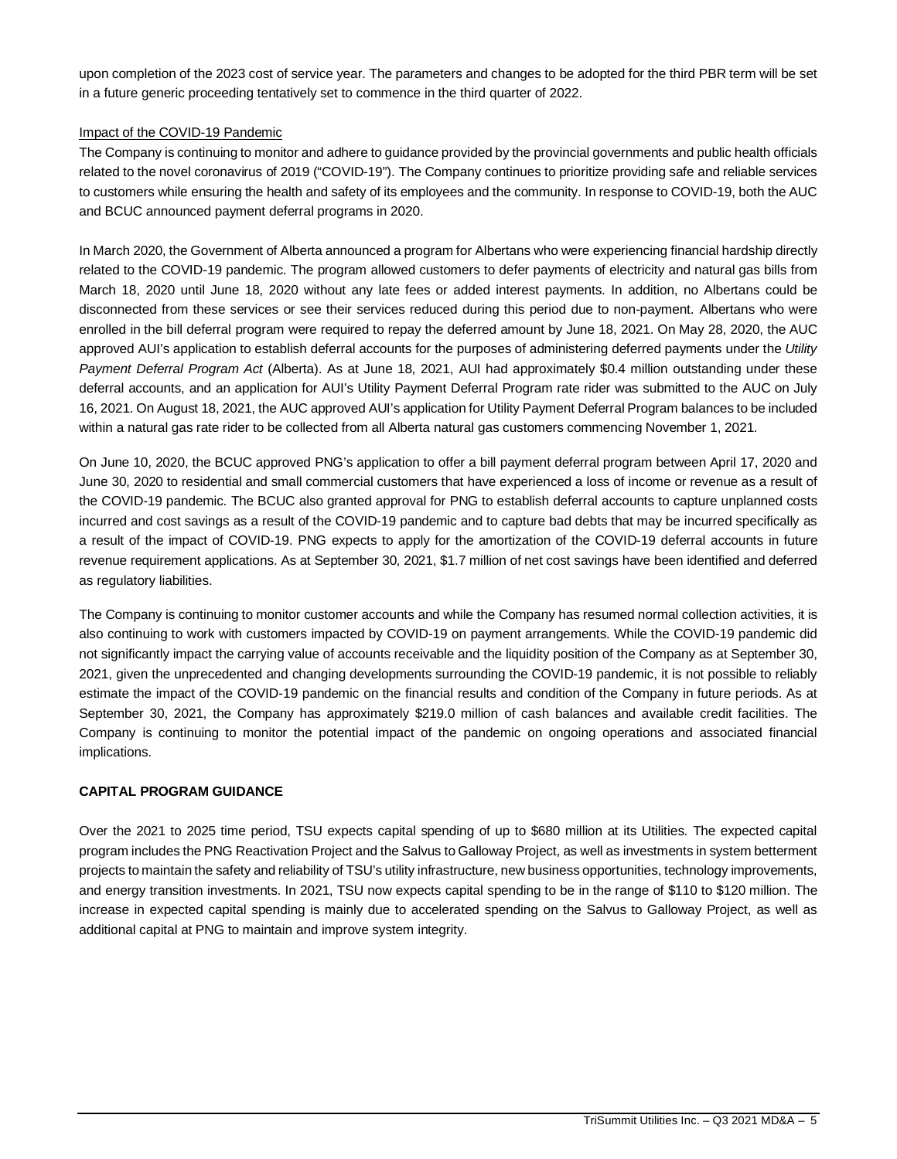upon completion of the 2023 cost of service year. The parameters and changes to be adopted for the third PBR term will be set in a future generic proceeding tentatively set to commence in the third quarter of 2022.

## Impact of the COVID-19 Pandemic

The Company is continuing to monitor and adhere to guidance provided by the provincial governments and public health officials related to the novel coronavirus of 2019 ("COVID-19"). The Company continues to prioritize providing safe and reliable services to customers while ensuring the health and safety of its employees and the community. In response to COVID-19, both the AUC and BCUC announced payment deferral programs in 2020.

In March 2020, the Government of Alberta announced a program for Albertans who were experiencing financial hardship directly related to the COVID-19 pandemic. The program allowed customers to defer payments of electricity and natural gas bills from March 18, 2020 until June 18, 2020 without any late fees or added interest payments. In addition, no Albertans could be disconnected from these services or see their services reduced during this period due to non-payment. Albertans who were enrolled in the bill deferral program were required to repay the deferred amount by June 18, 2021. On May 28, 2020, the AUC approved AUI's application to establish deferral accounts for the purposes of administering deferred payments under the *Utility Payment Deferral Program Act* (Alberta). As at June 18, 2021, AUI had approximately \$0.4 million outstanding under these deferral accounts, and an application for AUI's Utility Payment Deferral Program rate rider was submitted to the AUC on July 16, 2021. On August 18, 2021, the AUC approved AUI's application for Utility Payment Deferral Program balances to be included within a natural gas rate rider to be collected from all Alberta natural gas customers commencing November 1, 2021.

On June 10, 2020, the BCUC approved PNG's application to offer a bill payment deferral program between April 17, 2020 and June 30, 2020 to residential and small commercial customers that have experienced a loss of income or revenue as a result of the COVID-19 pandemic. The BCUC also granted approval for PNG to establish deferral accounts to capture unplanned costs incurred and cost savings as a result of the COVID-19 pandemic and to capture bad debts that may be incurred specifically as a result of the impact of COVID-19. PNG expects to apply for the amortization of the COVID-19 deferral accounts in future revenue requirement applications. As at September 30, 2021, \$1.7 million of net cost savings have been identified and deferred as regulatory liabilities.

The Company is continuing to monitor customer accounts and while the Company has resumed normal collection activities, it is also continuing to work with customers impacted by COVID-19 on payment arrangements. While the COVID-19 pandemic did not significantly impact the carrying value of accounts receivable and the liquidity position of the Company as at September 30, 2021, given the unprecedented and changing developments surrounding the COVID-19 pandemic, it is not possible to reliably estimate the impact of the COVID-19 pandemic on the financial results and condition of the Company in future periods. As at September 30, 2021, the Company has approximately \$219.0 million of cash balances and available credit facilities. The Company is continuing to monitor the potential impact of the pandemic on ongoing operations and associated financial implications.

# **CAPITAL PROGRAM GUIDANCE**

Over the 2021 to 2025 time period, TSU expects capital spending of up to \$680 million at its Utilities. The expected capital program includes the PNG Reactivation Project and the Salvus to Galloway Project, as well as investments in system betterment projects to maintain the safety and reliability of TSU's utility infrastructure, new business opportunities, technology improvements, and energy transition investments. In 2021, TSU now expects capital spending to be in the range of \$110 to \$120 million. The increase in expected capital spending is mainly due to accelerated spending on the Salvus to Galloway Project, as well as additional capital at PNG to maintain and improve system integrity.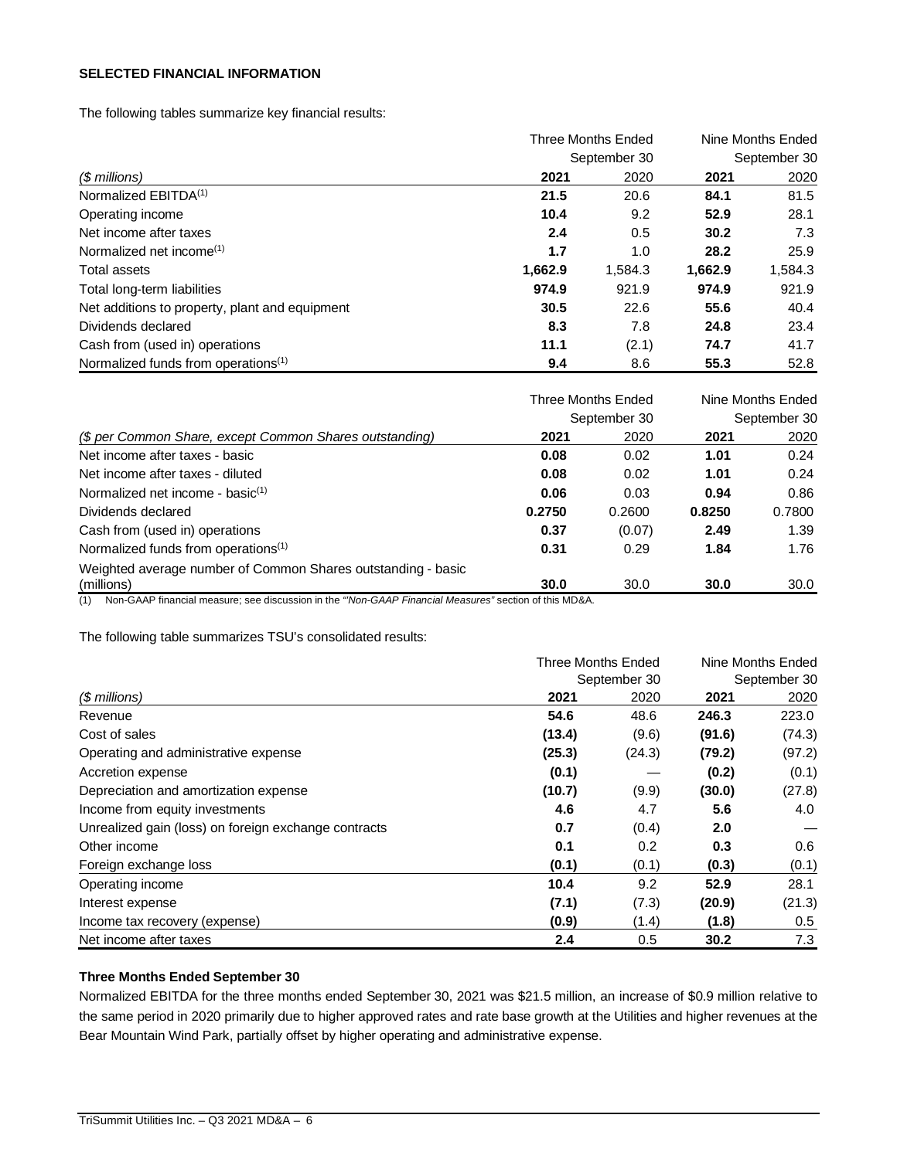# **SELECTED FINANCIAL INFORMATION**

The following tables summarize key financial results:

|                                                 |         | Three Months Ended | Nine Months Ended |              |
|-------------------------------------------------|---------|--------------------|-------------------|--------------|
|                                                 |         | September 30       |                   | September 30 |
| $$$ millions)                                   | 2021    | 2020               | 2021              | 2020         |
| Normalized EBITDA <sup>(1)</sup>                | 21.5    | 20.6               | 84.1              | 81.5         |
| Operating income                                | 10.4    | 9.2                | 52.9              | 28.1         |
| Net income after taxes                          | 2.4     | 0.5                | 30.2              | 7.3          |
| Normalized net income <sup>(1)</sup>            | 1.7     | 1.0                | 28.2              | 25.9         |
| Total assets                                    | 1,662.9 | 1,584.3            | 1,662.9           | 1,584.3      |
| Total long-term liabilities                     | 974.9   | 921.9              | 974.9             | 921.9        |
| Net additions to property, plant and equipment  | 30.5    | 22.6               | 55.6              | 40.4         |
| Dividends declared                              | 8.3     | 7.8                | 24.8              | 23.4         |
| Cash from (used in) operations                  | 11.1    | (2.1)              | 74.7              | 41.7         |
| Normalized funds from operations <sup>(1)</sup> | 9.4     | 8.6                | 55.3              | 52.8         |

|                                                                            |        | <b>Three Months Ended</b> |        | Nine Months Ended |
|----------------------------------------------------------------------------|--------|---------------------------|--------|-------------------|
|                                                                            |        | September 30              |        | September 30      |
| (\$ per Common Share, except Common Shares outstanding)                    | 2021   | 2020                      | 2021   | 2020              |
| Net income after taxes - basic                                             | 0.08   | 0.02                      | 1.01   | 0.24              |
| Net income after taxes - diluted                                           | 0.08   | 0.02                      | 1.01   | 0.24              |
| Normalized net income - basic $(1)$                                        | 0.06   | 0.03                      | 0.94   | 0.86              |
| Dividends declared                                                         | 0.2750 | 0.2600                    | 0.8250 | 0.7800            |
| Cash from (used in) operations                                             | 0.37   | (0.07)                    | 2.49   | 1.39              |
| Normalized funds from operations <sup>(1)</sup>                            | 0.31   | 0.29                      | 1.84   | 1.76              |
| Weighted average number of Common Shares outstanding - basic<br>(millions) | 30.0   | 30.0                      | 30.0   | 30.0              |

(1) Non-GAAP financial measure; see discussion in the *"'Non-GAAP Financial Measures"* section of this MD&A.

The following table summarizes TSU's consolidated results:

|                                                      | Three Months Ended |               | Nine Months Ended |              |
|------------------------------------------------------|--------------------|---------------|-------------------|--------------|
|                                                      |                    | September 30  |                   | September 30 |
| $$$ millions)                                        | 2021               | 2020          | 2021              | 2020         |
| Revenue                                              | 54.6               | 48.6          | 246.3             | 223.0        |
| Cost of sales                                        | (13.4)             | (9.6)         | (91.6)            | (74.3)       |
| Operating and administrative expense                 | (25.3)             | (24.3)        | (79.2)            | (97.2)       |
| Accretion expense                                    | (0.1)              |               | (0.2)             | (0.1)        |
| Depreciation and amortization expense                | (10.7)             | (9.9)         | (30.0)            | (27.8)       |
| Income from equity investments                       | 4.6                | 4.7           | 5.6               | 4.0          |
| Unrealized gain (loss) on foreign exchange contracts | 0.7                | (0.4)         | 2.0               |              |
| Other income                                         | 0.1                | $0.2^{\circ}$ | 0.3               | 0.6          |
| Foreign exchange loss                                | (0.1)              | (0.1)         | (0.3)             | (0.1)        |
| Operating income                                     | 10.4               | 9.2           | 52.9              | 28.1         |
| Interest expense                                     | (7.1)              | (7.3)         | (20.9)            | (21.3)       |
| Income tax recovery (expense)                        | (0.9)              | (1.4)         | (1.8)             | 0.5          |
| Net income after taxes                               | 2.4                | 0.5           | 30.2              | 7.3          |

# **Three Months Ended September 30**

Normalized EBITDA for the three months ended September 30, 2021 was \$21.5 million, an increase of \$0.9 million relative to the same period in 2020 primarily due to higher approved rates and rate base growth at the Utilities and higher revenues at the Bear Mountain Wind Park, partially offset by higher operating and administrative expense.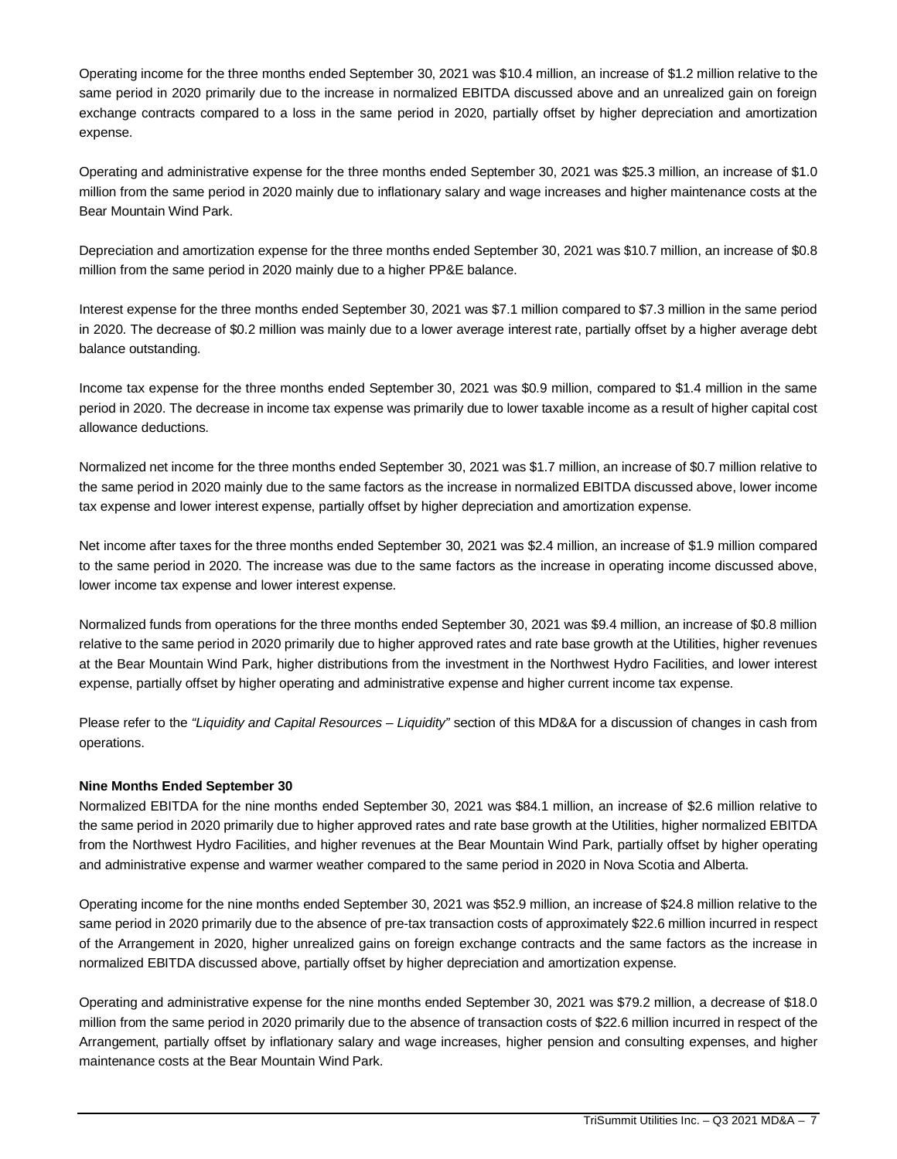Operating income for the three months ended September 30, 2021 was \$10.4 million, an increase of \$1.2 million relative to the same period in 2020 primarily due to the increase in normalized EBITDA discussed above and an unrealized gain on foreign exchange contracts compared to a loss in the same period in 2020, partially offset by higher depreciation and amortization expense.

Operating and administrative expense for the three months ended September 30, 2021 was \$25.3 million, an increase of \$1.0 million from the same period in 2020 mainly due to inflationary salary and wage increases and higher maintenance costs at the Bear Mountain Wind Park.

Depreciation and amortization expense for the three months ended September 30, 2021 was \$10.7 million, an increase of \$0.8 million from the same period in 2020 mainly due to a higher PP&E balance.

Interest expense for the three months ended September 30, 2021 was \$7.1 million compared to \$7.3 million in the same period in 2020. The decrease of \$0.2 million was mainly due to a lower average interest rate, partially offset by a higher average debt balance outstanding.

Income tax expense for the three months ended September 30, 2021 was \$0.9 million, compared to \$1.4 million in the same period in 2020. The decrease in income tax expense was primarily due to lower taxable income as a result of higher capital cost allowance deductions.

Normalized net income for the three months ended September 30, 2021 was \$1.7 million, an increase of \$0.7 million relative to the same period in 2020 mainly due to the same factors as the increase in normalized EBITDA discussed above, lower income tax expense and lower interest expense, partially offset by higher depreciation and amortization expense.

Net income after taxes for the three months ended September 30, 2021 was \$2.4 million, an increase of \$1.9 million compared to the same period in 2020. The increase was due to the same factors as the increase in operating income discussed above, lower income tax expense and lower interest expense.

Normalized funds from operations for the three months ended September 30, 2021 was \$9.4 million, an increase of \$0.8 million relative to the same period in 2020 primarily due to higher approved rates and rate base growth at the Utilities, higher revenues at the Bear Mountain Wind Park, higher distributions from the investment in the Northwest Hydro Facilities, and lower interest expense, partially offset by higher operating and administrative expense and higher current income tax expense.

Please refer to the *"Liquidity and Capital Resources – Liquidity"* section of this MD&A for a discussion of changes in cash from operations.

# **Nine Months Ended September 30**

Normalized EBITDA for the nine months ended September 30, 2021 was \$84.1 million, an increase of \$2.6 million relative to the same period in 2020 primarily due to higher approved rates and rate base growth at the Utilities, higher normalized EBITDA from the Northwest Hydro Facilities, and higher revenues at the Bear Mountain Wind Park, partially offset by higher operating and administrative expense and warmer weather compared to the same period in 2020 in Nova Scotia and Alberta.

Operating income for the nine months ended September 30, 2021 was \$52.9 million, an increase of \$24.8 million relative to the same period in 2020 primarily due to the absence of pre-tax transaction costs of approximately \$22.6 million incurred in respect of the Arrangement in 2020, higher unrealized gains on foreign exchange contracts and the same factors as the increase in normalized EBITDA discussed above, partially offset by higher depreciation and amortization expense.

Operating and administrative expense for the nine months ended September 30, 2021 was \$79.2 million, a decrease of \$18.0 million from the same period in 2020 primarily due to the absence of transaction costs of \$22.6 million incurred in respect of the Arrangement, partially offset by inflationary salary and wage increases, higher pension and consulting expenses, and higher maintenance costs at the Bear Mountain Wind Park.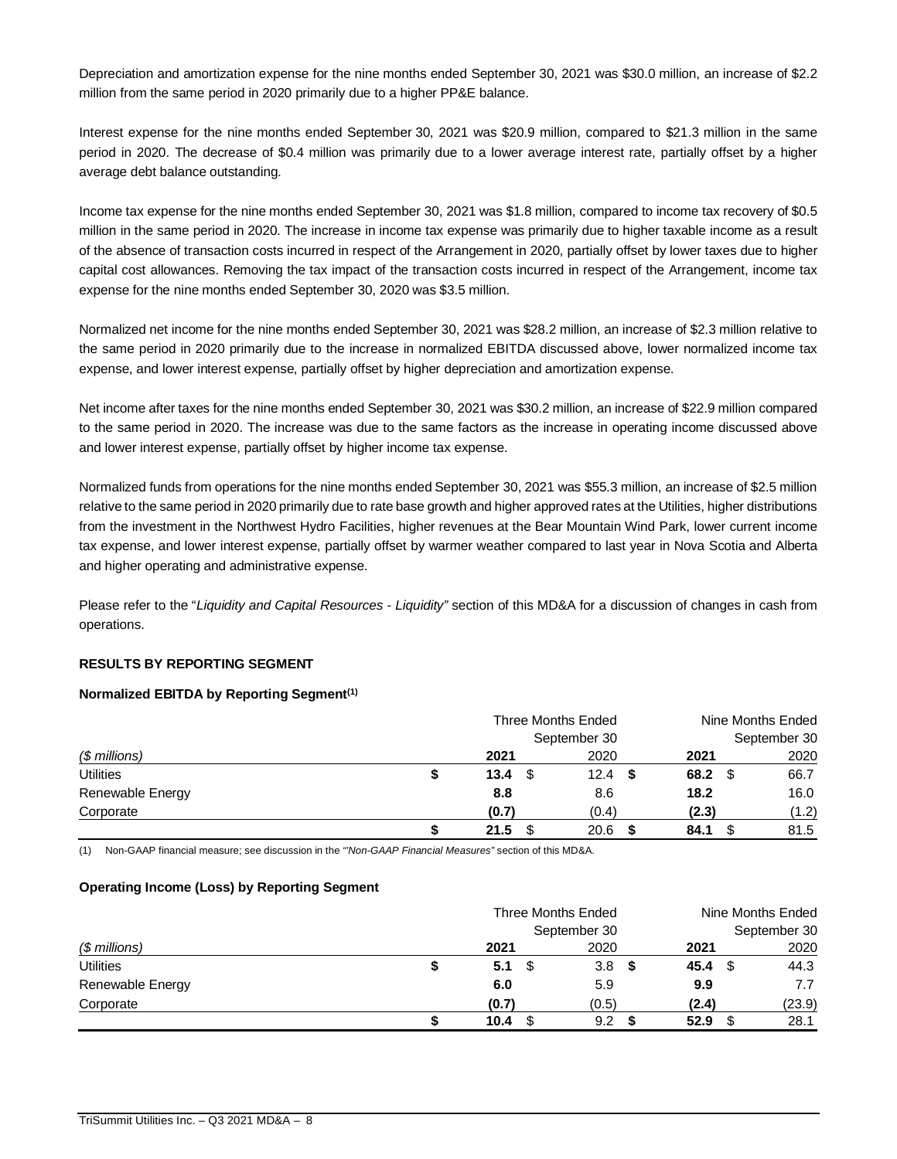Depreciation and amortization expense for the nine months ended September 30, 2021 was \$30.0 million, an increase of \$2.2 million from the same period in 2020 primarily due to a higher PP&E balance.

Interest expense for the nine months ended September 30, 2021 was \$20.9 million, compared to \$21.3 million in the same period in 2020. The decrease of \$0.4 million was primarily due to a lower average interest rate, partially offset by a higher average debt balance outstanding.

Income tax expense for the nine months ended September 30, 2021 was \$1.8 million, compared to income tax recovery of \$0.5 million in the same period in 2020. The increase in income tax expense was primarily due to higher taxable income as a result of the absence of transaction costs incurred in respect of the Arrangement in 2020, partially offset by lower taxes due to higher capital cost allowances. Removing the tax impact of the transaction costs incurred in respect of the Arrangement, income tax expense for the nine months ended September 30, 2020 was \$3.5 million.

Normalized net income for the nine months ended September 30, 2021 was \$28.2 million, an increase of \$2.3 million relative to the same period in 2020 primarily due to the increase in normalized EBITDA discussed above, lower normalized income tax expense, and lower interest expense, partially offset by higher depreciation and amortization expense.

Net income after taxes for the nine months ended September 30, 2021 was \$30.2 million, an increase of \$22.9 million compared to the same period in 2020. The increase was due to the same factors as the increase in operating income discussed above and lower interest expense, partially offset by higher income tax expense.

Normalized funds from operations for the nine months ended September 30, 2021 was \$55.3 million, an increase of \$2.5 million relative to the same period in 2020 primarily due to rate base growth and higher approved rates at the Utilities, higher distributions from the investment in the Northwest Hydro Facilities, higher revenues at the Bear Mountain Wind Park, lower current income tax expense, and lower interest expense, partially offset by warmer weather compared to last year in Nova Scotia and Alberta and higher operating and administrative expense.

Please refer to the "*Liquidity and Capital Resources - Liquidity"* section of this MD&A for a discussion of changes in cash from operations.

# **RESULTS BY REPORTING SEGMENT**

## **Normalized EBITDA by Reporting Segment(1)**

|                  |   | <b>Three Months Ended</b> |              | Nine Months Ended |              |  |
|------------------|---|---------------------------|--------------|-------------------|--------------|--|
|                  |   |                           | September 30 |                   | September 30 |  |
| $$$ millions)    |   | 2021                      | 2020         | 2021              | 2020         |  |
| <b>Utilities</b> | S | 13.4                      | 12.4<br>- \$ | 68.2<br>- \$      | 66.7         |  |
| Renewable Energy |   | 8.8                       | 8.6          | 18.2              | 16.0         |  |
| Corporate        |   | (0.7)                     | (0.4)        | (2.3)             | (1.2)        |  |
|                  |   | 21.5                      | 20.6         | 84.1              | 81.5         |  |

(1) Non-GAAP financial measure; see discussion in the *"'Non-GAAP Financial Measures"* section of this MD&A.

## **Operating Income (Loss) by Reporting Segment**

|                  | <b>Three Months Ended</b> |  |              |      | Nine Months Ended |      |              |
|------------------|---------------------------|--|--------------|------|-------------------|------|--------------|
|                  |                           |  | September 30 |      |                   |      | September 30 |
| $$$ millions)    | 2021                      |  | 2020         |      | 2021              |      | 2020         |
| <b>Utilities</b> | 5.1                       |  | 3.8          | - \$ | 45.4              | - \$ | 44.3         |
| Renewable Energy | 6.0                       |  | 5.9          |      | 9.9               |      | 7.7          |
| Corporate        | (0.7)                     |  | (0.5)        |      | (2.4)             |      | (23.9)       |
|                  | 10.4                      |  | 9.2          |      | 52.9              |      | 28.1         |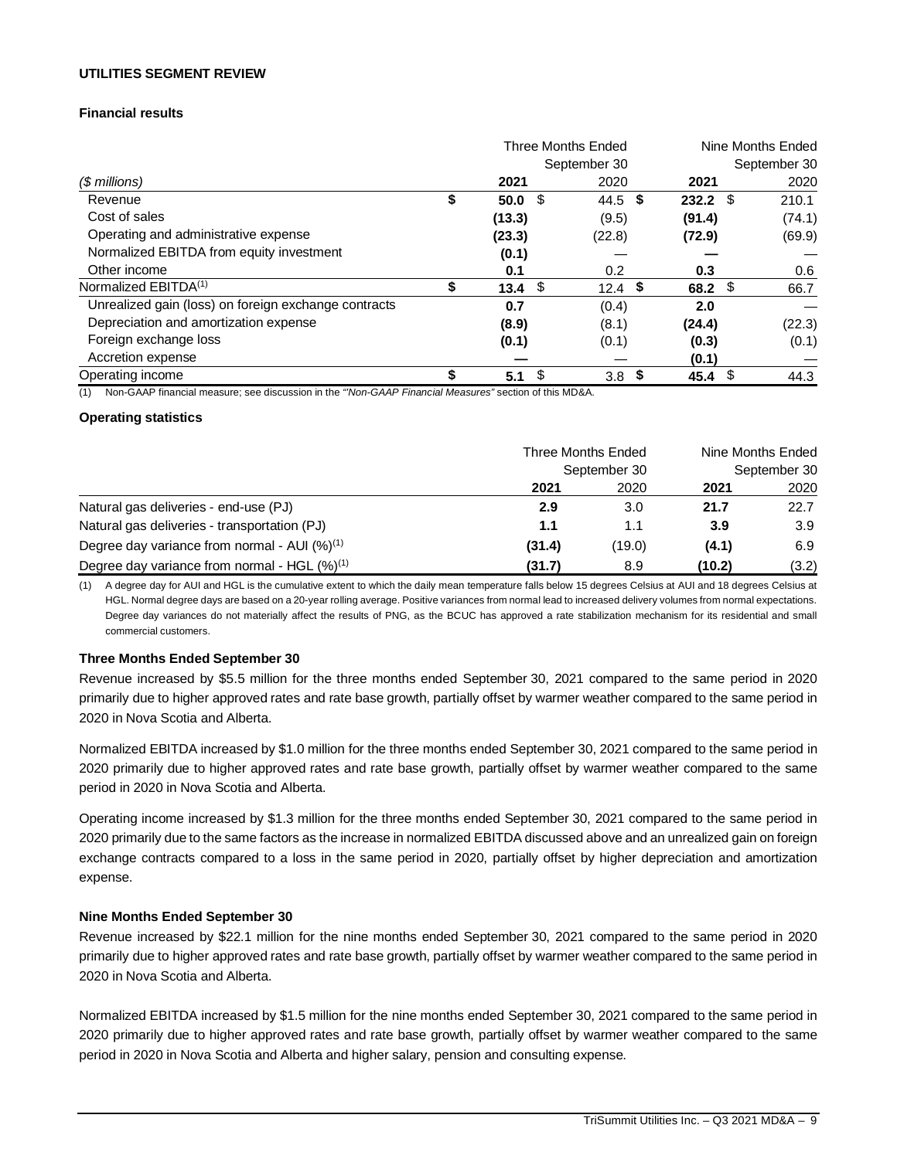## **UTILITIES SEGMENT REVIEW**

# **Financial results**

|                                                      |    | Three Months Ended |      |                  |            | Nine Months Ended |        |
|------------------------------------------------------|----|--------------------|------|------------------|------------|-------------------|--------|
|                                                      |    |                    |      | September 30     |            | September 30      |        |
| $$$ millions)                                        |    | 2021               |      | 2020             | 2021       |                   | 2020   |
| Revenue                                              | \$ | 50.0               | - \$ | 44.5 \$          | $232.2$ \$ | 210.1             |        |
| Cost of sales                                        |    | (13.3)             |      | (9.5)            | (91.4)     |                   | (74.1) |
| Operating and administrative expense                 |    | (23.3)             |      | (22.8)           | (72.9)     |                   | (69.9) |
| Normalized EBITDA from equity investment             |    | (0.1)              |      |                  |            |                   |        |
| Other income                                         |    | 0.1                |      | 0.2              | 0.3        |                   | 0.6    |
| Normalized EBITDA <sup>(1)</sup>                     | S  | 13.4               | - \$ | 12.4 $$$         | 68.2       | - \$              | 66.7   |
| Unrealized gain (loss) on foreign exchange contracts |    | 0.7                |      | (0.4)            | 2.0        |                   |        |
| Depreciation and amortization expense                |    | (8.9)              |      | (8.1)            | (24.4)     |                   | (22.3) |
| Foreign exchange loss                                |    | (0.1)              |      | (0.1)            | (0.3)      |                   | (0.1)  |
| Accretion expense                                    |    |                    |      |                  | (0.1)      |                   |        |
| Operating income                                     |    | 5.1                | S    | 3.8 <sup>5</sup> | 45.4       | - \$              | 44.3   |

(1) Non-GAAP financial measure; see discussion in the *"'Non-GAAP Financial Measures"* section of this MD&A.

## **Operating statistics**

|                                                          | Three Months Ended<br>September 30 | Nine Months Ended<br>September 30 |        |       |
|----------------------------------------------------------|------------------------------------|-----------------------------------|--------|-------|
|                                                          | 2021                               | 2020                              | 2021   | 2020  |
| Natural gas deliveries - end-use (PJ)                    | 2.9                                | 3.0                               | 21.7   | 22.7  |
| Natural gas deliveries - transportation (PJ)             | 1.1                                | 1.1                               | 3.9    | 3.9   |
| Degree day variance from normal - AUI $(%)^{(1)}$        | (31.4)                             | (19.0)                            | (4.1)  | 6.9   |
| Degree day variance from normal - HGL (%) <sup>(1)</sup> | (31.7)                             | 8.9                               | (10.2) | (3.2) |

(1) A degree day for AUI and HGL is the cumulative extent to which the daily mean temperature falls below 15 degrees Celsius at AUI and 18 degrees Celsius at HGL. Normal degree days are based on a 20-year rolling average. Positive variances from normal lead to increased delivery volumes from normal expectations. Degree day variances do not materially affect the results of PNG, as the BCUC has approved a rate stabilization mechanism for its residential and small commercial customers.

### **Three Months Ended September 30**

Revenue increased by \$5.5 million for the three months ended September 30, 2021 compared to the same period in 2020 primarily due to higher approved rates and rate base growth, partially offset by warmer weather compared to the same period in 2020 in Nova Scotia and Alberta.

Normalized EBITDA increased by \$1.0 million for the three months ended September 30, 2021 compared to the same period in 2020 primarily due to higher approved rates and rate base growth, partially offset by warmer weather compared to the same period in 2020 in Nova Scotia and Alberta.

Operating income increased by \$1.3 million for the three months ended September 30, 2021 compared to the same period in 2020 primarily due to the same factors as the increase in normalized EBITDA discussed above and an unrealized gain on foreign exchange contracts compared to a loss in the same period in 2020, partially offset by higher depreciation and amortization expense.

## **Nine Months Ended September 30**

Revenue increased by \$22.1 million for the nine months ended September 30, 2021 compared to the same period in 2020 primarily due to higher approved rates and rate base growth, partially offset by warmer weather compared to the same period in 2020 in Nova Scotia and Alberta.

Normalized EBITDA increased by \$1.5 million for the nine months ended September 30, 2021 compared to the same period in 2020 primarily due to higher approved rates and rate base growth, partially offset by warmer weather compared to the same period in 2020 in Nova Scotia and Alberta and higher salary, pension and consulting expense.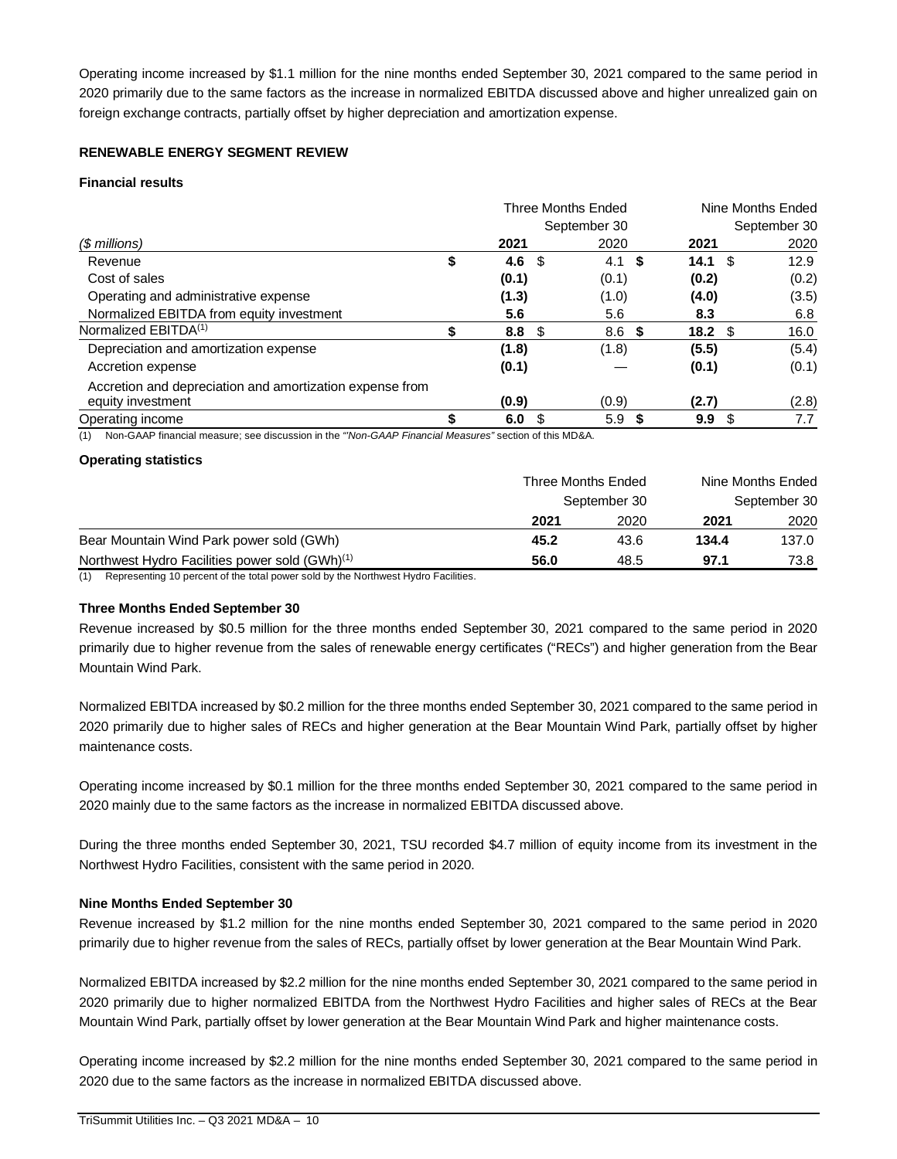Operating income increased by \$1.1 million for the nine months ended September 30, 2021 compared to the same period in 2020 primarily due to the same factors as the increase in normalized EBITDA discussed above and higher unrealized gain on foreign exchange contracts, partially offset by higher depreciation and amortization expense.

# **RENEWABLE ENERGY SEGMENT REVIEW**

## **Financial results**

|                                                          | Three Months Ended |      |              | Nine Months Ended |                   |      |              |
|----------------------------------------------------------|--------------------|------|--------------|-------------------|-------------------|------|--------------|
|                                                          |                    |      | September 30 |                   |                   |      | September 30 |
| $$$ millions)                                            | 2021               |      | 2020         |                   | 2021              |      | 2020         |
| Revenue                                                  | \$<br>4.6          | -\$  | 4.1 S        |                   | 14.1              | - \$ | 12.9         |
| Cost of sales                                            | (0.1)              |      | (0.1)        |                   | (0.2)             |      | (0.2)        |
| Operating and administrative expense                     | (1.3)              |      | (1.0)        |                   | (4.0)             |      | (3.5)        |
| Normalized EBITDA from equity investment                 | 5.6                |      | 5.6          |                   | 8.3               |      | 6.8          |
| Normalized EBITDA <sup>(1)</sup>                         | 8.8                | - \$ | 8.6          | \$                | 18.2 <sup>5</sup> |      | 16.0         |
| Depreciation and amortization expense                    | (1.8)              |      | (1.8)        |                   | (5.5)             |      | (5.4)        |
| Accretion expense                                        | (0.1)              |      |              |                   | (0.1)             |      | (0.1)        |
| Accretion and depreciation and amortization expense from |                    |      |              |                   |                   |      |              |
| equity investment                                        | (0.9)              |      | (0.9)        |                   | (2.7)             |      | (2.8)        |
| Operating income                                         | 6.0                |      | 5.9          | - 56              | 9.9               | -S   | 7.7          |

(1) Non-GAAP financial measure; see discussion in the *"'Non-GAAP Financial Measures"* section of this MD&A.

## **Operating statistics**

|                                                            | <b>Three Months Ended</b> | Nine Months Ended |       |       |
|------------------------------------------------------------|---------------------------|-------------------|-------|-------|
|                                                            | September 30              | September 30      |       |       |
|                                                            | 2021                      | 2020              | 2021  | 2020  |
| Bear Mountain Wind Park power sold (GWh)                   | 45.2                      | 43.6              | 134.4 | 137.0 |
| Northwest Hydro Facilities power sold (GWh) <sup>(1)</sup> | 56.0                      | 48.5              | 97.1  | 73.8  |

(1) Representing 10 percent of the total power sold by the Northwest Hydro Facilities.

## **Three Months Ended September 30**

Revenue increased by \$0.5 million for the three months ended September 30, 2021 compared to the same period in 2020 primarily due to higher revenue from the sales of renewable energy certificates ("RECs") and higher generation from the Bear Mountain Wind Park.

Normalized EBITDA increased by \$0.2 million for the three months ended September 30, 2021 compared to the same period in 2020 primarily due to higher sales of RECs and higher generation at the Bear Mountain Wind Park, partially offset by higher maintenance costs.

Operating income increased by \$0.1 million for the three months ended September 30, 2021 compared to the same period in 2020 mainly due to the same factors as the increase in normalized EBITDA discussed above.

During the three months ended September 30, 2021, TSU recorded \$4.7 million of equity income from its investment in the Northwest Hydro Facilities, consistent with the same period in 2020.

# **Nine Months Ended September 30**

Revenue increased by \$1.2 million for the nine months ended September 30, 2021 compared to the same period in 2020 primarily due to higher revenue from the sales of RECs, partially offset by lower generation at the Bear Mountain Wind Park.

Normalized EBITDA increased by \$2.2 million for the nine months ended September 30, 2021 compared to the same period in 2020 primarily due to higher normalized EBITDA from the Northwest Hydro Facilities and higher sales of RECs at the Bear Mountain Wind Park, partially offset by lower generation at the Bear Mountain Wind Park and higher maintenance costs.

Operating income increased by \$2.2 million for the nine months ended September 30, 2021 compared to the same period in 2020 due to the same factors as the increase in normalized EBITDA discussed above.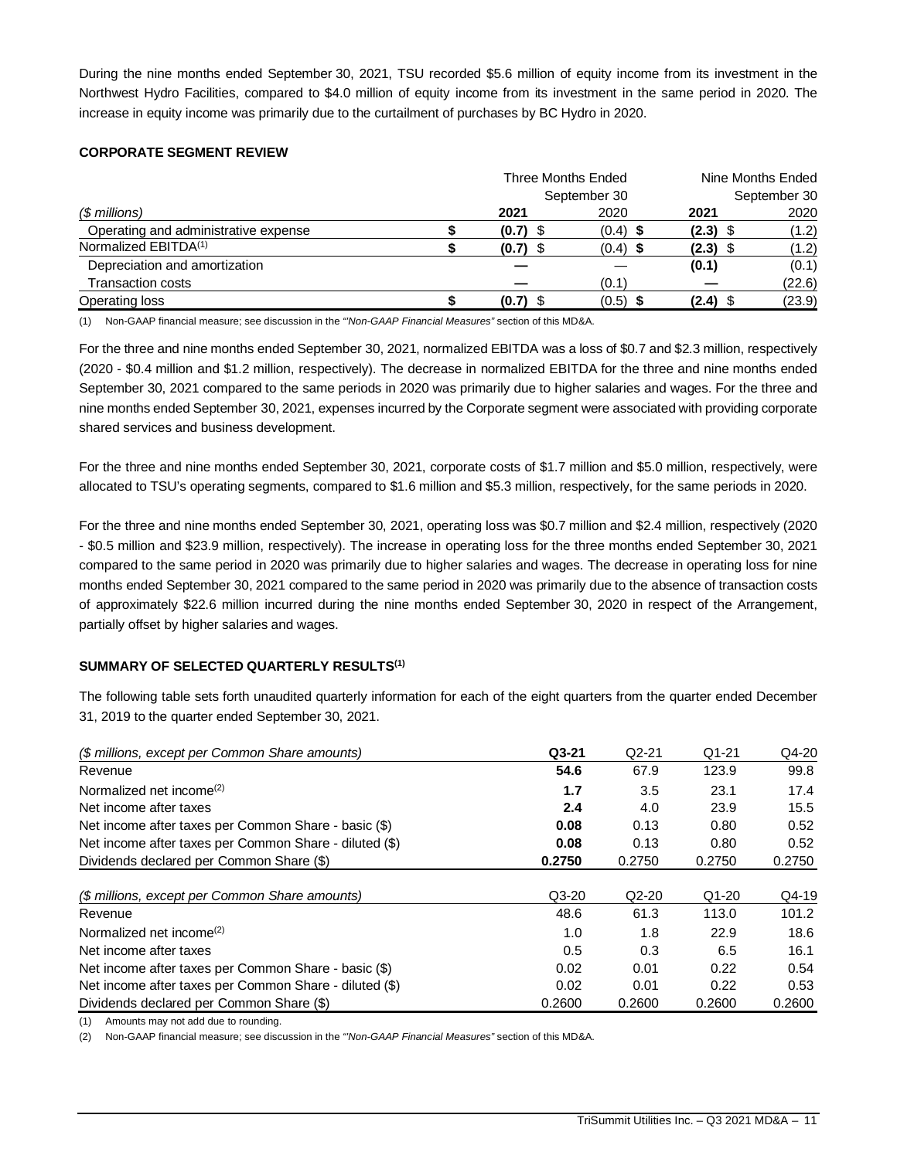During the nine months ended September 30, 2021, TSU recorded \$5.6 million of equity income from its investment in the Northwest Hydro Facilities, compared to \$4.0 million of equity income from its investment in the same period in 2020. The increase in equity income was primarily due to the curtailment of purchases by BC Hydro in 2020.

# **CORPORATE SEGMENT REVIEW**

|                                      | Three Months Ended |              | Nine Months Ended |              |  |
|--------------------------------------|--------------------|--------------|-------------------|--------------|--|
|                                      |                    | September 30 |                   | September 30 |  |
| (\$ millions)                        | 2021               | 2020         | 2021              | 2020         |  |
| Operating and administrative expense | $(0.7)$ \$         | $(0.4)$ \$   | $(2.3)$ \$        | (1.2)        |  |
| Normalized EBITDA <sup>(1)</sup>     | $(0.7)$ \$         | $(0.4)$ \$   | $(2.3)$ \$        | (1.2)        |  |
| Depreciation and amortization        |                    |              | (0.1)             | (0.1)        |  |
| <b>Transaction costs</b>             |                    | (0.1)        |                   | (22.6)       |  |
| Operating loss                       | $(0.7)$ \$         | $(0.5)$ \$   | $(2.4)$ \$        | (23.9)       |  |

(1) Non-GAAP financial measure; see discussion in the *"'Non-GAAP Financial Measures"* section of this MD&A.

For the three and nine months ended September 30, 2021, normalized EBITDA was a loss of \$0.7 and \$2.3 million, respectively (2020 - \$0.4 million and \$1.2 million, respectively). The decrease in normalized EBITDA for the three and nine months ended September 30, 2021 compared to the same periods in 2020 was primarily due to higher salaries and wages. For the three and nine months ended September 30, 2021, expenses incurred by the Corporate segment were associated with providing corporate shared services and business development.

For the three and nine months ended September 30, 2021, corporate costs of \$1.7 million and \$5.0 million, respectively, were allocated to TSU's operating segments, compared to \$1.6 million and \$5.3 million, respectively, for the same periods in 2020.

For the three and nine months ended September 30, 2021, operating loss was \$0.7 million and \$2.4 million, respectively (2020 - \$0.5 million and \$23.9 million, respectively). The increase in operating loss for the three months ended September 30, 2021 compared to the same period in 2020 was primarily due to higher salaries and wages. The decrease in operating loss for nine months ended September 30, 2021 compared to the same period in 2020 was primarily due to the absence of transaction costs of approximately \$22.6 million incurred during the nine months ended September 30, 2020 in respect of the Arrangement, partially offset by higher salaries and wages.

# **SUMMARY OF SELECTED QUARTERLY RESULTS(1)**

The following table sets forth unaudited quarterly information for each of the eight quarters from the quarter ended December 31, 2019 to the quarter ended September 30, 2021.

| (\$ millions, except per Common Share amounts)         | $Q3-21$ | $Q2-21$ | $Q1-21$ | Q4-20  |
|--------------------------------------------------------|---------|---------|---------|--------|
| Revenue                                                | 54.6    | 67.9    | 123.9   | 99.8   |
| Normalized net income <sup>(2)</sup>                   | 1.7     | 3.5     | 23.1    | 17.4   |
| Net income after taxes                                 | 2.4     | 4.0     | 23.9    | 15.5   |
| Net income after taxes per Common Share - basic (\$)   | 0.08    | 0.13    | 0.80    | 0.52   |
| Net income after taxes per Common Share - diluted (\$) | 0.08    | 0.13    | 0.80    | 0.52   |
| Dividends declared per Common Share (\$)               | 0.2750  | 0.2750  | 0.2750  | 0.2750 |
|                                                        |         |         |         |        |
| (\$ millions, except per Common Share amounts)         | $Q3-20$ | $Q2-20$ | $Q1-20$ | Q4-19  |
| Revenue                                                | 48.6    | 61.3    | 113.0   | 101.2  |
| Normalized net income <sup>(2)</sup>                   | 1.0     | 1.8     | 22.9    | 18.6   |
| Net income after taxes                                 | 0.5     | 0.3     | 6.5     | 16.1   |
| Net income after taxes per Common Share - basic (\$)   | 0.02    | 0.01    | 0.22    | 0.54   |
| Net income after taxes per Common Share - diluted (\$) | 0.02    | 0.01    | 0.22    | 0.53   |
| Dividends declared per Common Share (\$)               | 0.2600  | 0.2600  | 0.2600  | 0.2600 |

(1) Amounts may not add due to rounding.

(2) Non-GAAP financial measure; see discussion in the *"'Non-GAAP Financial Measures"* section of this MD&A.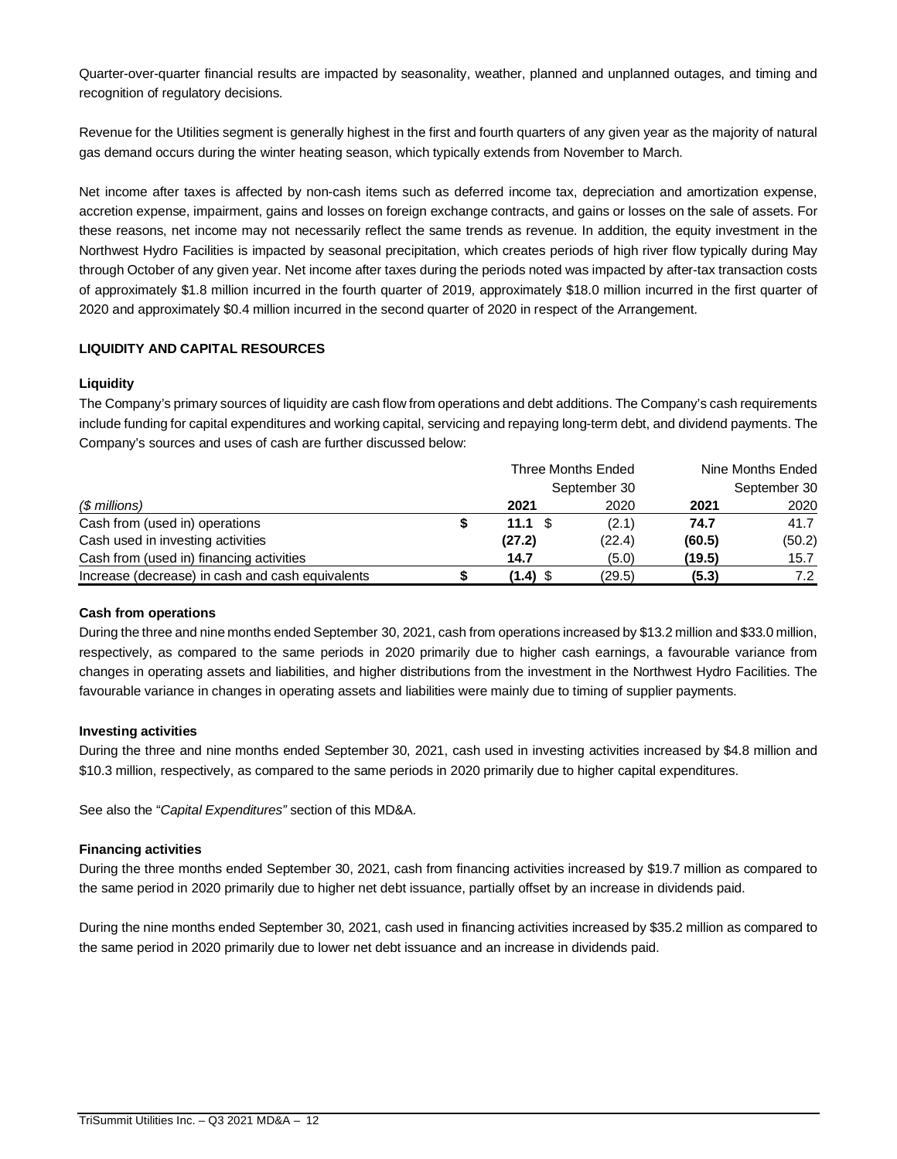Quarter-over-quarter financial results are impacted by seasonality, weather, planned and unplanned outages, and timing and recognition of regulatory decisions.

Revenue for the Utilities segment is generally highest in the first and fourth quarters of any given year as the majority of natural gas demand occurs during the winter heating season, which typically extends from November to March.

Net income after taxes is affected by non-cash items such as deferred income tax, depreciation and amortization expense, accretion expense, impairment, gains and losses on foreign exchange contracts, and gains or losses on the sale of assets. For these reasons, net income may not necessarily reflect the same trends as revenue. In addition, the equity investment in the Northwest Hydro Facilities is impacted by seasonal precipitation, which creates periods of high river flow typically during May through October of any given year. Net income after taxes during the periods noted was impacted by after-tax transaction costs of approximately \$1.8 million incurred in the fourth quarter of 2019, approximately \$18.0 million incurred in the first quarter of 2020 and approximately \$0.4 million incurred in the second quarter of 2020 in respect of the Arrangement.

# **LIQUIDITY AND CAPITAL RESOURCES**

# **Liquidity**

The Company's primary sources of liquidity are cash flow from operations and debt additions. The Company's cash requirements include funding for capital expenditures and working capital, servicing and repaying long-term debt, and dividend payments. The Company's sources and uses of cash are further discussed below:

|                                                  | Three Months Ended |  |              | Nine Months Ended |              |  |
|--------------------------------------------------|--------------------|--|--------------|-------------------|--------------|--|
|                                                  |                    |  | September 30 |                   | September 30 |  |
| $$$ millions)                                    | 2021               |  | 2020         | 2021              | 2020         |  |
| Cash from (used in) operations                   | 11.1               |  | (2.1)        | 74.7              | 41.7         |  |
| Cash used in investing activities                | (27.2)             |  | (22.4)       | (60.5)            | (50.2)       |  |
| Cash from (used in) financing activities         | 14.7               |  | (5.0)        | (19.5)            | 15.7         |  |
| Increase (decrease) in cash and cash equivalents | (1.4)              |  | (29.5)       | (5.3)             | 7.2          |  |

# **Cash from operations**

During the three and nine months ended September 30, 2021, cash from operations increased by \$13.2 million and \$33.0 million, respectively, as compared to the same periods in 2020 primarily due to higher cash earnings, a favourable variance from changes in operating assets and liabilities, and higher distributions from the investment in the Northwest Hydro Facilities. The favourable variance in changes in operating assets and liabilities were mainly due to timing of supplier payments.

# **Investing activities**

During the three and nine months ended September 30, 2021, cash used in investing activities increased by \$4.8 million and \$10.3 million, respectively, as compared to the same periods in 2020 primarily due to higher capital expenditures.

See also the "*Capital Expenditures"* section of this MD&A.

# **Financing activities**

During the three months ended September 30, 2021, cash from financing activities increased by \$19.7 million as compared to the same period in 2020 primarily due to higher net debt issuance, partially offset by an increase in dividends paid.

During the nine months ended September 30, 2021, cash used in financing activities increased by \$35.2 million as compared to the same period in 2020 primarily due to lower net debt issuance and an increase in dividends paid.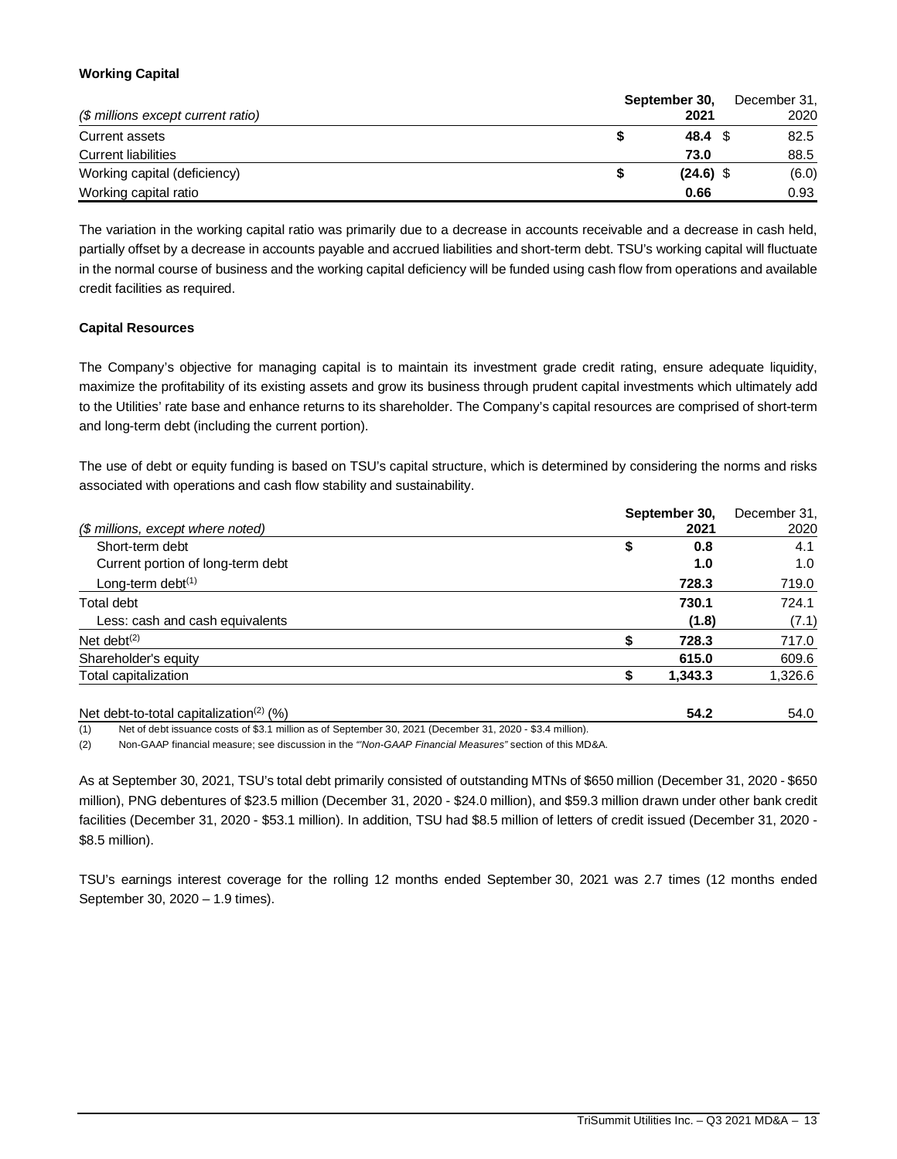# **Working Capital**

|                                    | September 30, | December 31, |  |  |
|------------------------------------|---------------|--------------|--|--|
| (\$ millions except current ratio) | 2021          | 2020         |  |  |
| Current assets                     | 48.4 S        | 82.5         |  |  |
| <b>Current liabilities</b>         | 73.0          | 88.5         |  |  |
| Working capital (deficiency)       | $(24.6)$ \$   | (6.0)        |  |  |
| Working capital ratio              | 0.66          | 0.93         |  |  |

The variation in the working capital ratio was primarily due to a decrease in accounts receivable and a decrease in cash held, partially offset by a decrease in accounts payable and accrued liabilities and short-term debt. TSU's working capital will fluctuate in the normal course of business and the working capital deficiency will be funded using cash flow from operations and available credit facilities as required.

# **Capital Resources**

The Company's objective for managing capital is to maintain its investment grade credit rating, ensure adequate liquidity, maximize the profitability of its existing assets and grow its business through prudent capital investments which ultimately add to the Utilities' rate base and enhance returns to its shareholder. The Company's capital resources are comprised of short-term and long-term debt (including the current portion).

The use of debt or equity funding is based on TSU's capital structure, which is determined by considering the norms and risks associated with operations and cash flow stability and sustainability.

|                                   | September 30, | December 31. |
|-----------------------------------|---------------|--------------|
| (\$ millions, except where noted) | 2021          | 2020         |
| Short-term debt                   | \$<br>0.8     | 4.1          |
| Current portion of long-term debt | 1.0           | 1.0          |
| Long-term debt $(1)$              | 728.3         | 719.0        |
| Total debt                        | 730.1         | 724.1        |
| Less: cash and cash equivalents   | (1.8)         | (7.1)        |
| Net debt $(2)$                    | 728.3         | 717.0        |
| Shareholder's equity              | 615.0         | 609.6        |
| Total capitalization              | 1,343.3       | 1,326.6      |
|                                   |               |              |

Net debt-to-total capitalization(2) (%) **54.2** 54.0 (1) Net of debt issuance costs of \$3.1 million as of September 30, 2021 (December 31, 2020 - \$3.4 million).

(2) Non-GAAP financial measure; see discussion in the *"'Non-GAAP Financial Measures"* section of this MD&A.

As at September 30, 2021, TSU's total debt primarily consisted of outstanding MTNs of \$650 million (December 31, 2020 - \$650 million), PNG debentures of \$23.5 million (December 31, 2020 - \$24.0 million), and \$59.3 million drawn under other bank credit facilities (December 31, 2020 - \$53.1 million). In addition, TSU had \$8.5 million of letters of credit issued (December 31, 2020 - \$8.5 million).

TSU's earnings interest coverage for the rolling 12 months ended September 30, 2021 was 2.7 times (12 months ended September 30, 2020 – 1.9 times).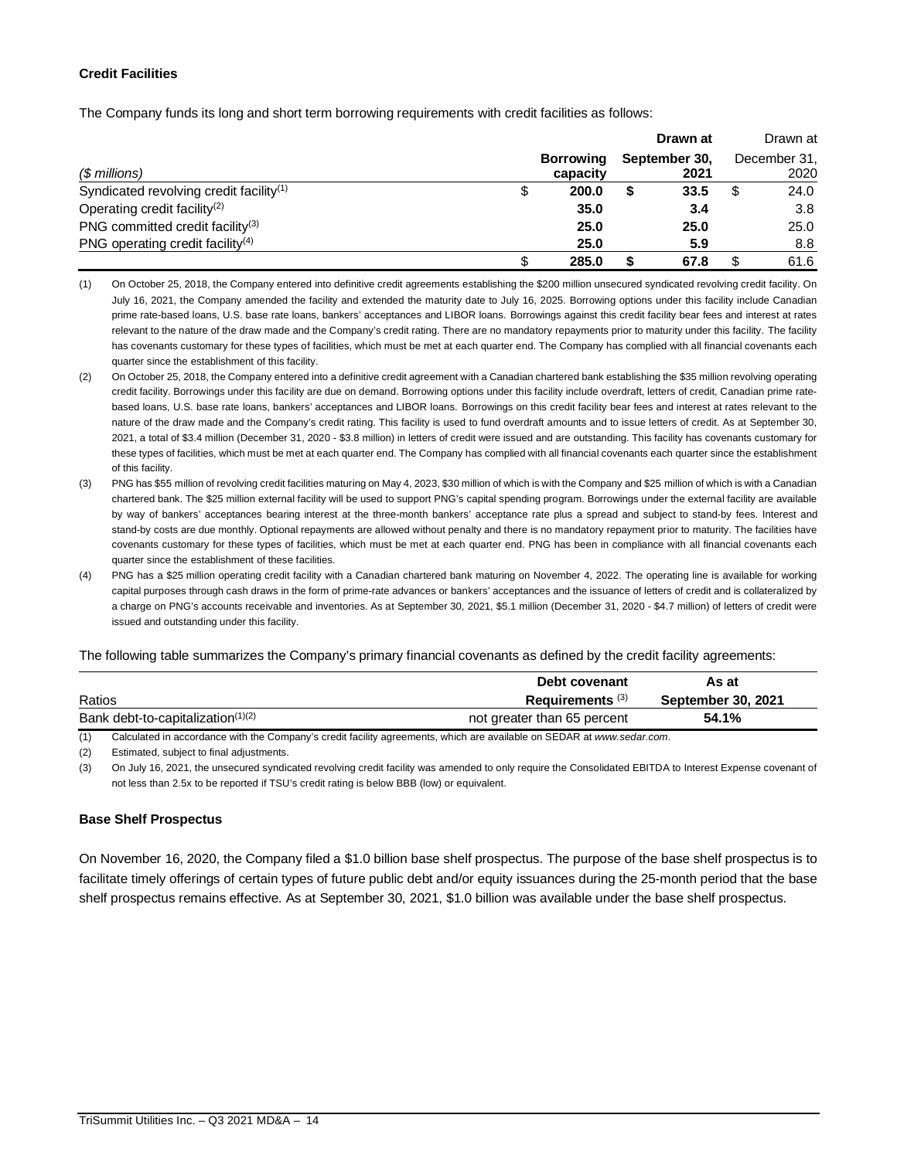# **Credit Facilities**

The Company funds its long and short term borrowing requirements with credit facilities as follows:

|                                                     |                       | Drawn at              |   | Drawn at             |
|-----------------------------------------------------|-----------------------|-----------------------|---|----------------------|
| (\$ millions)                                       | Borrowing<br>capacity | September 30,<br>2021 |   | December 31,<br>2020 |
| Syndicated revolving credit facility <sup>(1)</sup> | 200.0                 | 33.5                  |   | 24.0                 |
| Operating credit facility <sup>(2)</sup>            | 35.0                  | 3.4                   |   | 3.8                  |
| PNG committed credit facility <sup>(3)</sup>        | 25.0                  | 25.0                  |   | 25.0                 |
| PNG operating credit facility <sup>(4)</sup>        | 25.0                  | 5.9                   |   | 8.8                  |
|                                                     | 285.0                 | 67.8                  | S | 61.6                 |

<sup>(1)</sup> On October 25, 2018, the Company entered into definitive credit agreements establishing the \$200 million unsecured syndicated revolving credit facility. On July 16, 2021, the Company amended the facility and extended the maturity date to July 16, 2025. Borrowing options under this facility include Canadian prime rate-based loans, U.S. base rate loans, bankers' acceptances and LIBOR loans. Borrowings against this credit facility bear fees and interest at rates relevant to the nature of the draw made and the Company's credit rating. There are no mandatory repayments prior to maturity under this facility. The facility has covenants customary for these types of facilities, which must be met at each quarter end. The Company has complied with all financial covenants each quarter since the establishment of this facility.

- (2) On October 25, 2018, the Company entered into a definitive credit agreement with a Canadian chartered bank establishing the \$35 million revolving operating credit facility. Borrowings under this facility are due on demand. Borrowing options under this facility include overdraft, letters of credit, Canadian prime ratebased loans, U.S. base rate loans, bankers' acceptances and LIBOR loans. Borrowings on this credit facility bear fees and interest at rates relevant to the nature of the draw made and the Company's credit rating. This facility is used to fund overdraft amounts and to issue letters of credit. As at September 30, 2021, a total of \$3.4 million (December 31, 2020 - \$3.8 million) in letters of credit were issued and are outstanding. This facility has covenants customary for these types of facilities, which must be met at each quarter end. The Company has complied with all financial covenants each quarter since the establishment of this facility.
- (3) PNG has \$55 million of revolving credit facilities maturing on May 4, 2023, \$30 million of which is with the Company and \$25 million of which is with a Canadian chartered bank. The \$25 million external facility will be used to support PNG's capital spending program. Borrowings under the external facility are available by way of bankers' acceptances bearing interest at the three-month bankers' acceptance rate plus a spread and subject to stand-by fees. Interest and stand-by costs are due monthly. Optional repayments are allowed without penalty and there is no mandatory repayment prior to maturity. The facilities have covenants customary for these types of facilities, which must be met at each quarter end. PNG has been in compliance with all financial covenants each quarter since the establishment of these facilities.
- (4) PNG has a \$25 million operating credit facility with a Canadian chartered bank maturing on November 4, 2022. The operating line is available for working capital purposes through cash draws in the form of prime-rate advances or bankers' acceptances and the issuance of letters of credit and is collateralized by a charge on PNG's accounts receivable and inventories. As at September 30, 2021, \$5.1 million (December 31, 2020 - \$4.7 million) of letters of credit were issued and outstanding under this facility.

### The following table summarizes the Company's primary financial covenants as defined by the credit facility agreements:

|                                               | Debt covenant               | As at                     |
|-----------------------------------------------|-----------------------------|---------------------------|
| Ratios                                        | Requirements <sup>(3)</sup> | <b>September 30, 2021</b> |
| Bank debt-to-capitalization <sup>(1)(2)</sup> | not greater than 65 percent | 54.1%                     |

(1) Calculated in accordance with the Company's credit facility agreements, which are available on SEDAR at *www.sedar.com*.

(2) Estimated, subject to final adjustments.

(3) On July 16, 2021, the unsecured syndicated revolving credit facility was amended to only require the Consolidated EBITDA to Interest Expense covenant of not less than 2.5x to be reported if TSU's credit rating is below BBB (low) or equivalent.

## **Base Shelf Prospectus**

On November 16, 2020, the Company filed a \$1.0 billion base shelf prospectus. The purpose of the base shelf prospectus is to facilitate timely offerings of certain types of future public debt and/or equity issuances during the 25-month period that the base shelf prospectus remains effective. As at September 30, 2021, \$1.0 billion was available under the base shelf prospectus.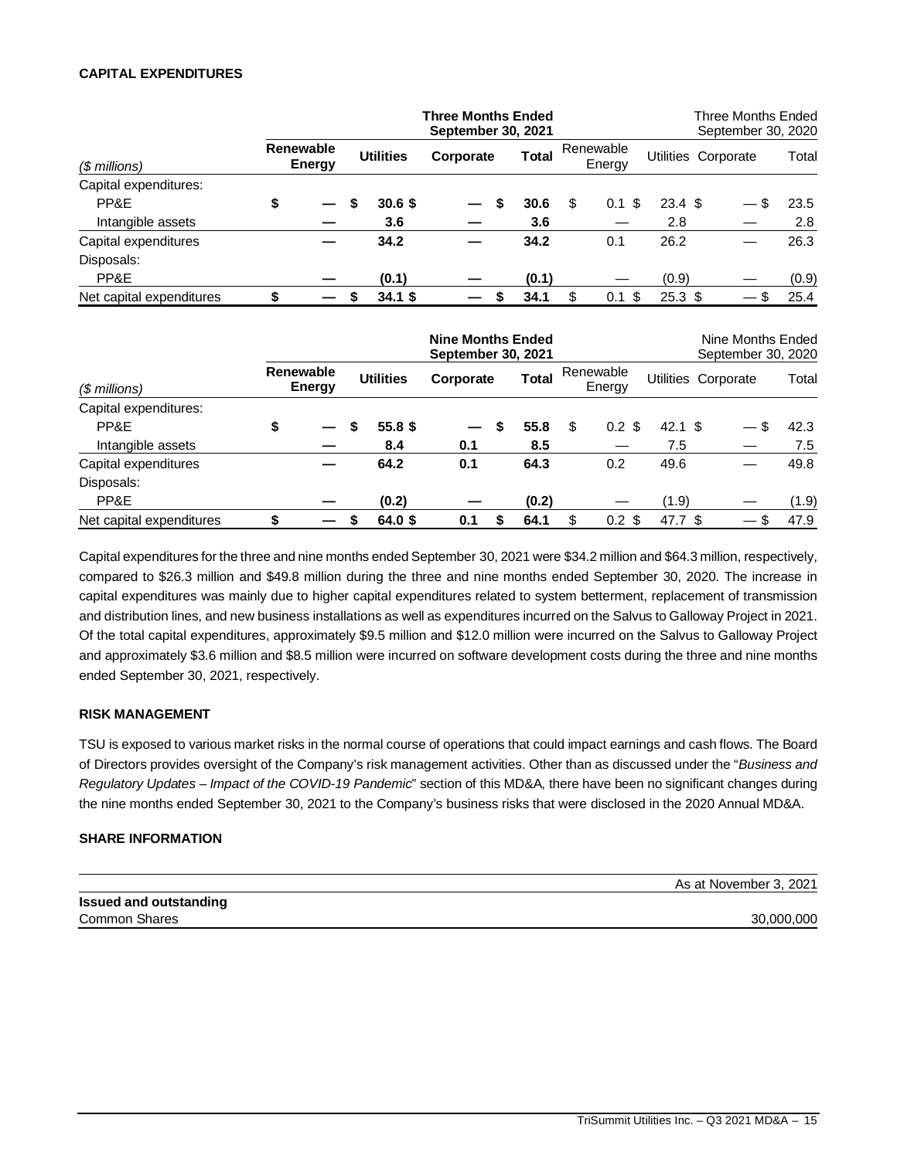# **CAPITAL EXPENDITURES**

|    |                     |           |                  |       |                                                 |             |           | September 30, 2020 |                                                                                     |
|----|---------------------|-----------|------------------|-------|-------------------------------------------------|-------------|-----------|--------------------|-------------------------------------------------------------------------------------|
|    |                     |           | Corporate        | Total |                                                 | Energy      |           |                    | Total                                                                               |
|    |                     |           |                  |       |                                                 |             |           |                    |                                                                                     |
| \$ | S                   | 30.6S     | S                | 30.6  | \$                                              | - \$<br>0.1 |           | \$.                | 23.5                                                                                |
|    |                     | 3.6       |                  | 3.6   |                                                 |             | 2.8       |                    | 2.8                                                                                 |
|    |                     | 34.2      |                  | 34.2  |                                                 | 0.1         | 26.2      |                    | 26.3                                                                                |
|    |                     |           |                  |       |                                                 |             |           |                    |                                                                                     |
|    |                     | (0.1)     |                  | (0.1) |                                                 |             | (0.9)     |                    | (0.9)                                                                               |
|    |                     | $34.1$ \$ |                  | 34.1  |                                                 | -\$<br>0.1  |           | -S                 | 25.4                                                                                |
|    | Renewable<br>Energy |           | <b>Utilities</b> |       | <b>Three Months Ended</b><br>September 30, 2021 |             | Renewable |                    | Three Months Ended<br>Utilities Corporate<br>$23.4 \text{ } $$<br>25.3 <sup>5</sup> |

|    |                            |         |                  |   |           |                                                |                        |           | Nine Months Ended<br>September 30, 2020 |                                              |
|----|----------------------------|---------|------------------|---|-----------|------------------------------------------------|------------------------|-----------|-----------------------------------------|----------------------------------------------|
|    |                            |         |                  |   | Total     |                                                | Energy                 |           |                                         | Total                                        |
|    |                            |         |                  |   |           |                                                |                        |           |                                         |                                              |
| \$ |                            | 55.8 \$ |                  | S | 55.8      | \$                                             | \$<br>0.2 <sub>0</sub> |           |                                         | 42.3                                         |
|    |                            | 8.4     | 0.1              |   | 8.5       |                                                |                        | 7.5       |                                         | 7.5                                          |
|    |                            | 64.2    | 0.1              |   | 64.3      |                                                | 0.2                    | 49.6      |                                         | 49.8                                         |
|    |                            |         |                  |   |           |                                                |                        |           |                                         |                                              |
|    |                            | (0.2)   |                  |   | (0.2)     |                                                |                        | (1.9)     |                                         | (1.9)                                        |
|    |                            | 64.0 \$ | 0.1              |   | 64.1      | \$                                             |                        |           |                                         | 47.9                                         |
|    | <b>Renewable</b><br>Energy |         | <b>Utilities</b> |   | Corporate | <b>Nine Months Ended</b><br>September 30, 2021 |                        | Renewable | $0.2 \text{ }$ \$                       | Utilities Corporate<br>$42.1$ \$<br>47.7 $$$ |

Capital expenditures for the three and nine months ended September 30, 2021 were \$34.2 million and \$64.3 million, respectively, compared to \$26.3 million and \$49.8 million during the three and nine months ended September 30, 2020. The increase in capital expenditures was mainly due to higher capital expenditures related to system betterment, replacement of transmission and distribution lines, and new business installations as well as expenditures incurred on the Salvus to Galloway Project in 2021. Of the total capital expenditures, approximately \$9.5 million and \$12.0 million were incurred on the Salvus to Galloway Project and approximately \$3.6 million and \$8.5 million were incurred on software development costs during the three and nine months ended September 30, 2021, respectively.

## **RISK MANAGEMENT**

TSU is exposed to various market risks in the normal course of operations that could impact earnings and cash flows. The Board of Directors provides oversight of the Company's risk management activities. Other than as discussed under the "*Business and Regulatory Updates – Impact of the COVID-19 Pandemic*" section of this MD&A, there have been no significant changes during the nine months ended September 30, 2021 to the Company's business risks that were disclosed in the 2020 Annual MD&A.

## **SHARE INFORMATION**

| As at November 3, 2021 |
|------------------------|
|                        |
| 30,000,000             |
|                        |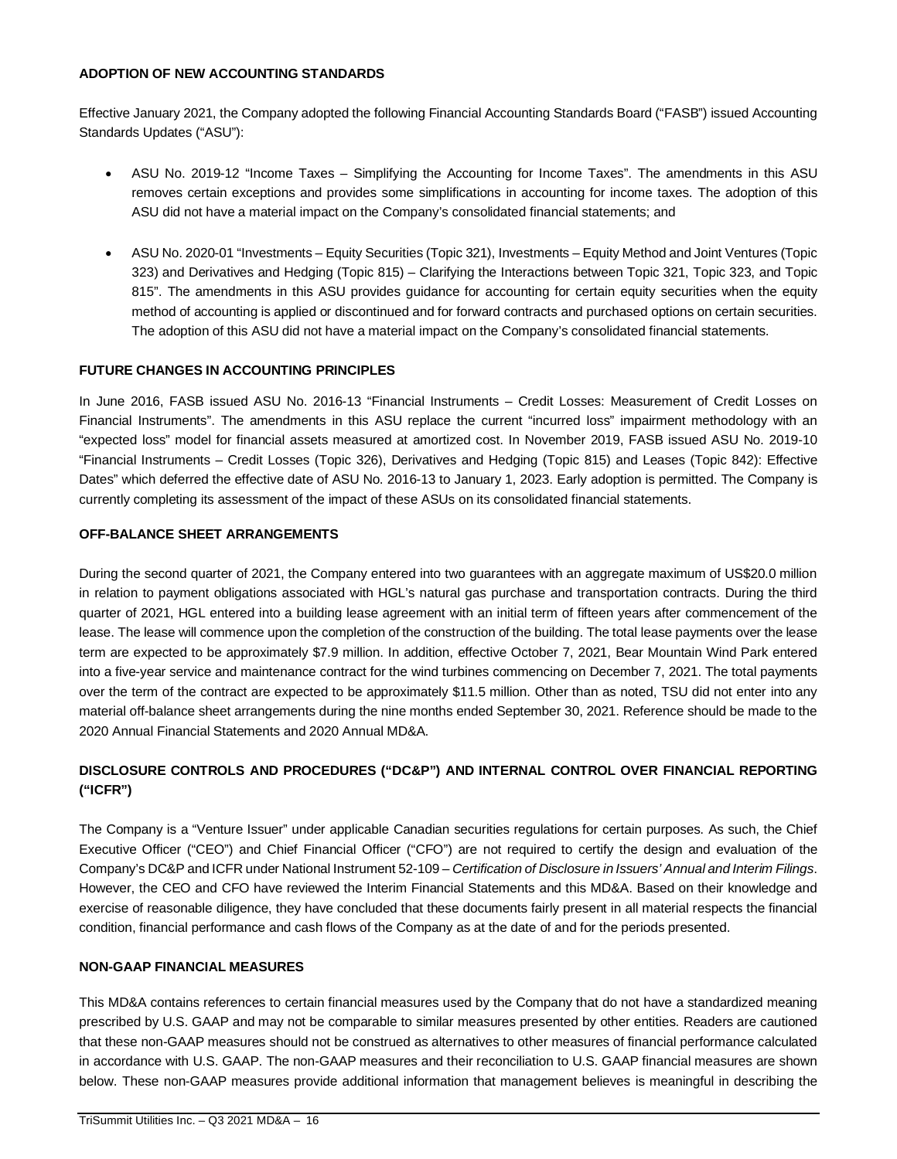# **ADOPTION OF NEW ACCOUNTING STANDARDS**

Effective January 2021, the Company adopted the following Financial Accounting Standards Board ("FASB") issued Accounting Standards Updates ("ASU"):

- ASU No. 2019-12 "Income Taxes Simplifying the Accounting for Income Taxes". The amendments in this ASU removes certain exceptions and provides some simplifications in accounting for income taxes. The adoption of this ASU did not have a material impact on the Company's consolidated financial statements; and
- ASU No. 2020-01 "Investments Equity Securities (Topic 321), Investments Equity Method and Joint Ventures (Topic 323) and Derivatives and Hedging (Topic 815) – Clarifying the Interactions between Topic 321, Topic 323, and Topic 815". The amendments in this ASU provides guidance for accounting for certain equity securities when the equity method of accounting is applied or discontinued and for forward contracts and purchased options on certain securities. The adoption of this ASU did not have a material impact on the Company's consolidated financial statements.

# **FUTURE CHANGES IN ACCOUNTING PRINCIPLES**

In June 2016, FASB issued ASU No. 2016-13 "Financial Instruments – Credit Losses: Measurement of Credit Losses on Financial Instruments". The amendments in this ASU replace the current "incurred loss" impairment methodology with an "expected loss" model for financial assets measured at amortized cost. In November 2019, FASB issued ASU No. 2019-10 "Financial Instruments – Credit Losses (Topic 326), Derivatives and Hedging (Topic 815) and Leases (Topic 842): Effective Dates" which deferred the effective date of ASU No. 2016-13 to January 1, 2023. Early adoption is permitted. The Company is currently completing its assessment of the impact of these ASUs on its consolidated financial statements.

# **OFF-BALANCE SHEET ARRANGEMENTS**

During the second quarter of 2021, the Company entered into two guarantees with an aggregate maximum of US\$20.0 million in relation to payment obligations associated with HGL's natural gas purchase and transportation contracts. During the third quarter of 2021, HGL entered into a building lease agreement with an initial term of fifteen years after commencement of the lease. The lease will commence upon the completion of the construction of the building. The total lease payments over the lease term are expected to be approximately \$7.9 million. In addition, effective October 7, 2021, Bear Mountain Wind Park entered into a five-year service and maintenance contract for the wind turbines commencing on December 7, 2021. The total payments over the term of the contract are expected to be approximately \$11.5 million. Other than as noted, TSU did not enter into any material off-balance sheet arrangements during the nine months ended September 30, 2021. Reference should be made to the 2020 Annual Financial Statements and 2020 Annual MD&A.

# **DISCLOSURE CONTROLS AND PROCEDURES ("DC&P") AND INTERNAL CONTROL OVER FINANCIAL REPORTING ("ICFR")**

The Company is a "Venture Issuer" under applicable Canadian securities regulations for certain purposes. As such, the Chief Executive Officer ("CEO") and Chief Financial Officer ("CFO") are not required to certify the design and evaluation of the Company's DC&P and ICFR under National Instrument 52-109 – *Certification of Disclosure in Issuers' Annual and Interim Filings*. However, the CEO and CFO have reviewed the Interim Financial Statements and this MD&A. Based on their knowledge and exercise of reasonable diligence, they have concluded that these documents fairly present in all material respects the financial condition, financial performance and cash flows of the Company as at the date of and for the periods presented.

# **NON-GAAP FINANCIAL MEASURES**

This MD&A contains references to certain financial measures used by the Company that do not have a standardized meaning prescribed by U.S. GAAP and may not be comparable to similar measures presented by other entities. Readers are cautioned that these non-GAAP measures should not be construed as alternatives to other measures of financial performance calculated in accordance with U.S. GAAP. The non-GAAP measures and their reconciliation to U.S. GAAP financial measures are shown below. These non-GAAP measures provide additional information that management believes is meaningful in describing the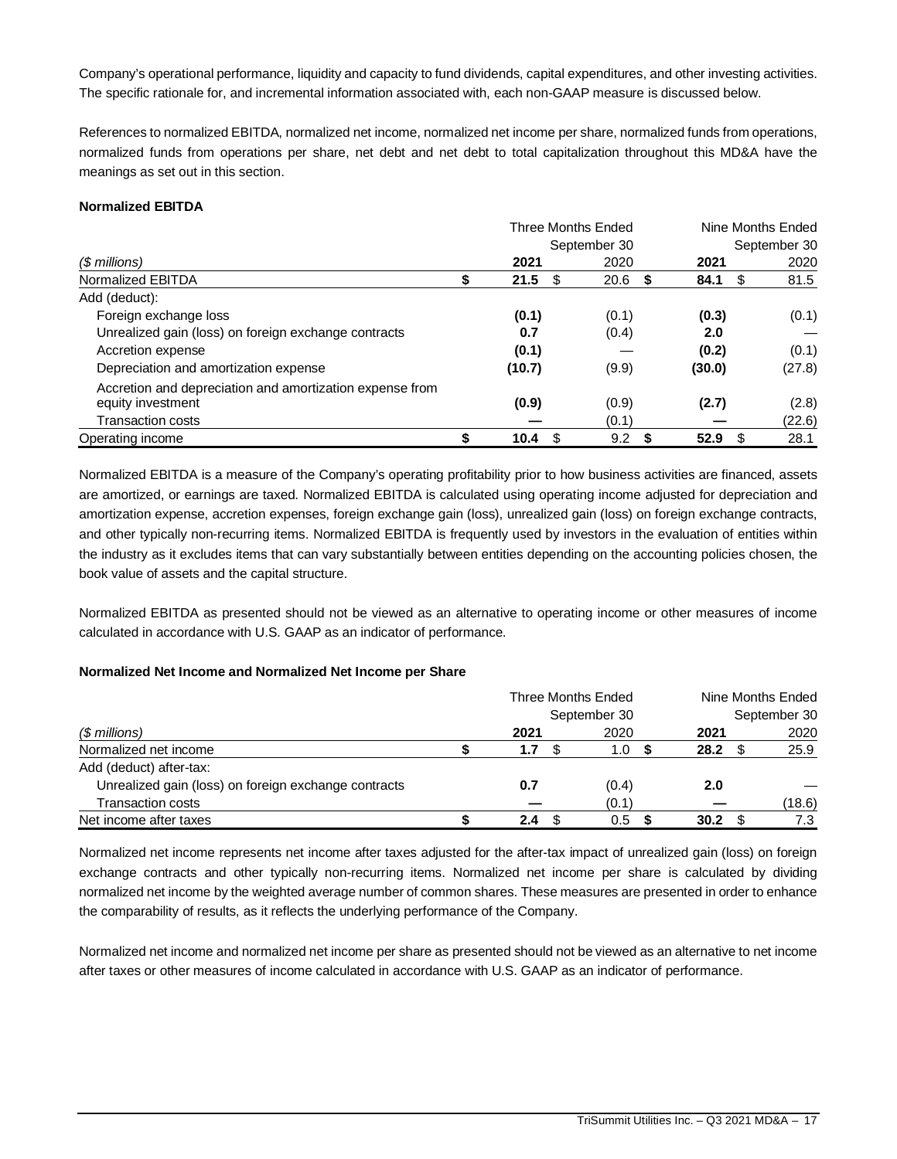Company's operational performance, liquidity and capacity to fund dividends, capital expenditures, and other investing activities. The specific rationale for, and incremental information associated with, each non-GAAP measure is discussed below.

References to normalized EBITDA, normalized net income, normalized net income per share, normalized funds from operations, normalized funds from operations per share, net debt and net debt to total capitalization throughout this MD&A have the meanings as set out in this section.

# **Normalized EBITDA**

|                                                          |            | Three Months Ended | Nine Months Ended |              |  |  |
|----------------------------------------------------------|------------|--------------------|-------------------|--------------|--|--|
|                                                          |            | September 30       |                   | September 30 |  |  |
| $$$ millions)                                            | 2021       | 2020               | 2021              | 2020         |  |  |
| Normalized EBITDA                                        | 21.5<br>\$ | 20.6<br>S.         | 84.1<br>- \$      | 81.5         |  |  |
| Add (deduct):                                            |            |                    |                   |              |  |  |
| Foreign exchange loss                                    | (0.1)      | (0.1)              | (0.3)             | (0.1)        |  |  |
| Unrealized gain (loss) on foreign exchange contracts     | 0.7        | (0.4)              | 2.0               |              |  |  |
| Accretion expense                                        | (0.1)      |                    | (0.2)             | (0.1)        |  |  |
| Depreciation and amortization expense                    | (10.7)     | (9.9)              | (30.0)            | (27.8)       |  |  |
| Accretion and depreciation and amortization expense from |            |                    |                   |              |  |  |
| equity investment                                        | (0.9)      | (0.9)              | (2.7)             | (2.8)        |  |  |
| <b>Transaction costs</b>                                 |            | (0.1)              |                   | (22.6)       |  |  |
| Operating income                                         | S<br>10.4  | 9.2<br>S           | 52.9<br>- \$      | 28.1         |  |  |

Normalized EBITDA is a measure of the Company's operating profitability prior to how business activities are financed, assets are amortized, or earnings are taxed. Normalized EBITDA is calculated using operating income adjusted for depreciation and amortization expense, accretion expenses, foreign exchange gain (loss), unrealized gain (loss) on foreign exchange contracts, and other typically non-recurring items. Normalized EBITDA is frequently used by investors in the evaluation of entities within the industry as it excludes items that can vary substantially between entities depending on the accounting policies chosen, the book value of assets and the capital structure.

Normalized EBITDA as presented should not be viewed as an alternative to operating income or other measures of income calculated in accordance with U.S. GAAP as an indicator of performance.

# **Normalized Net Income and Normalized Net Income per Share**

|                                                      |      | Three Months Ended |      | Nine Months Ended |              |
|------------------------------------------------------|------|--------------------|------|-------------------|--------------|
|                                                      |      | September 30       |      |                   | September 30 |
| (\$ millions)                                        | 2021 | 2020               | 2021 |                   | 2020         |
| Normalized net income                                | 1.7  | 1.0                | 28.2 |                   | 25.9         |
| Add (deduct) after-tax:                              |      |                    |      |                   |              |
| Unrealized gain (loss) on foreign exchange contracts | 0.7  | (0.4)              | 2.0  |                   |              |
| <b>Transaction costs</b>                             |      | (0.1)              |      |                   | (18.6)       |
| Net income after taxes                               | 2.4  | 0.5                | 30.2 |                   | 7.3          |

Normalized net income represents net income after taxes adjusted for the after-tax impact of unrealized gain (loss) on foreign exchange contracts and other typically non-recurring items. Normalized net income per share is calculated by dividing normalized net income by the weighted average number of common shares. These measures are presented in order to enhance the comparability of results, as it reflects the underlying performance of the Company.

Normalized net income and normalized net income per share as presented should not be viewed as an alternative to net income after taxes or other measures of income calculated in accordance with U.S. GAAP as an indicator of performance.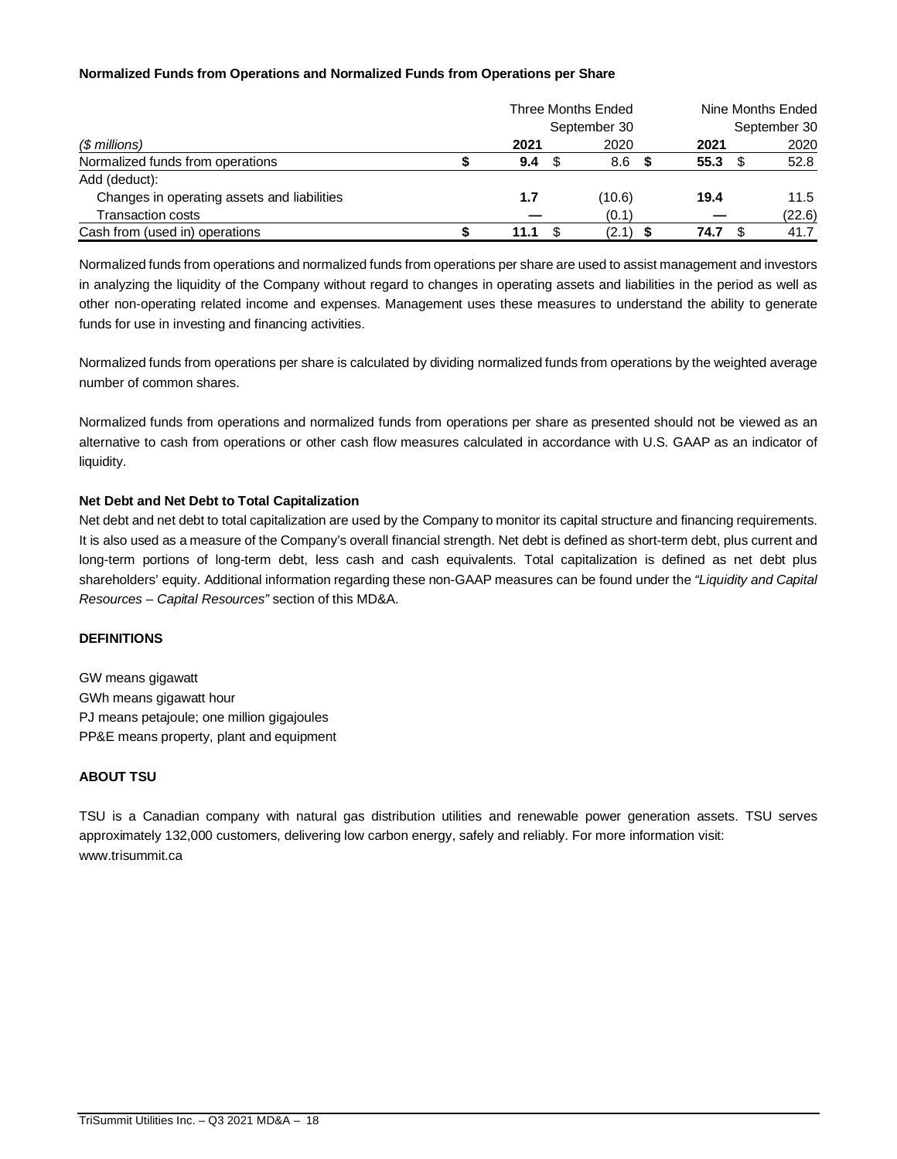# **Normalized Funds from Operations and Normalized Funds from Operations per Share**

|                                             |      |     | Three Months Ended | Nine Months Ended |  |              |
|---------------------------------------------|------|-----|--------------------|-------------------|--|--------------|
|                                             |      |     | September 30       |                   |  | September 30 |
| (\$ millions)                               | 2021 |     | 2020               | 2021              |  | 2020         |
| Normalized funds from operations            | 9.4  | \$. | 8.6                | 55.3              |  | 52.8         |
| Add (deduct):                               |      |     |                    |                   |  |              |
| Changes in operating assets and liabilities | 1.7  |     | (10.6)             | 19.4              |  | 11.5         |
| <b>Transaction costs</b>                    |      |     | (0.1)              |                   |  | (22.6)       |
| Cash from (used in) operations              | 11.1 |     | (2.1)              | 74.7              |  | 41.7         |

Normalized funds from operations and normalized funds from operations per share are used to assist management and investors in analyzing the liquidity of the Company without regard to changes in operating assets and liabilities in the period as well as other non-operating related income and expenses. Management uses these measures to understand the ability to generate funds for use in investing and financing activities.

Normalized funds from operations per share is calculated by dividing normalized funds from operations by the weighted average number of common shares.

Normalized funds from operations and normalized funds from operations per share as presented should not be viewed as an alternative to cash from operations or other cash flow measures calculated in accordance with U.S. GAAP as an indicator of liquidity.

# **Net Debt and Net Debt to Total Capitalization**

Net debt and net debt to total capitalization are used by the Company to monitor its capital structure and financing requirements. It is also used as a measure of the Company's overall financial strength. Net debt is defined as short-term debt, plus current and long-term portions of long-term debt, less cash and cash equivalents. Total capitalization is defined as net debt plus shareholders' equity. Additional information regarding these non-GAAP measures can be found under the *"Liquidity and Capital Resources – Capital Resources"* section of this MD&A.

# **DEFINITIONS**

GW means gigawatt GWh means gigawatt hour PJ means petajoule; one million gigajoules PP&E means property, plant and equipment

# **ABOUT TSU**

TSU is a Canadian company with natural gas distribution utilities and renewable power generation assets. TSU serves approximately 132,000 customers, delivering low carbon energy, safely and reliably. For more information visit: www.trisummit.ca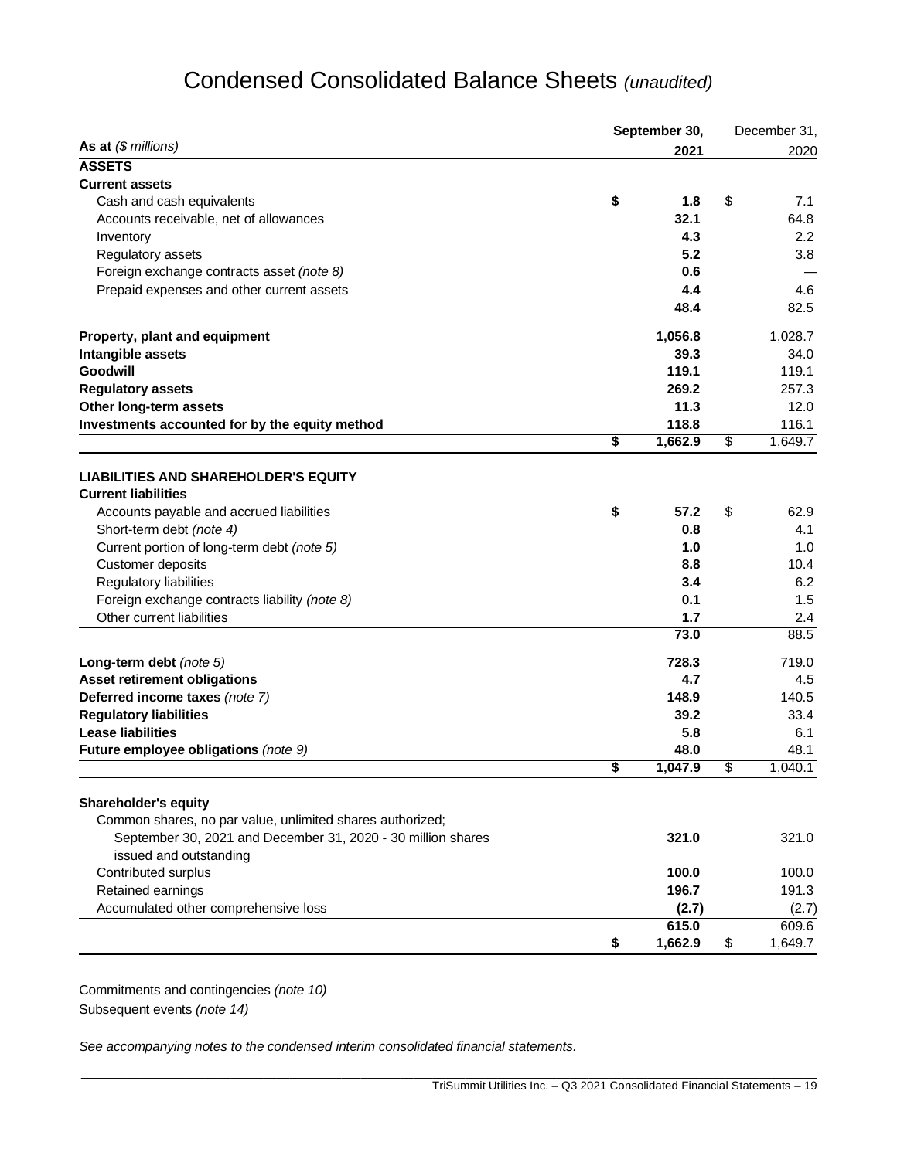# Condensed Consolidated Balance Sheets *(unaudited)*

|                                                                            | September 30, |            | December 31, |             |  |
|----------------------------------------------------------------------------|---------------|------------|--------------|-------------|--|
| As at $(\$$ millions)                                                      |               | 2021       |              | 2020        |  |
| <b>ASSETS</b>                                                              |               |            |              |             |  |
| <b>Current assets</b>                                                      |               |            |              |             |  |
| Cash and cash equivalents                                                  | \$            | 1.8        | \$           | 7.1         |  |
| Accounts receivable, net of allowances                                     |               | 32.1       |              | 64.8        |  |
| Inventory                                                                  |               | 4.3        |              | 2.2         |  |
| Regulatory assets                                                          |               | 5.2        |              | 3.8         |  |
| Foreign exchange contracts asset (note 8)                                  |               | 0.6        |              |             |  |
| Prepaid expenses and other current assets                                  |               | 4.4        |              | 4.6         |  |
|                                                                            |               | 48.4       |              | 82.5        |  |
| Property, plant and equipment                                              |               | 1,056.8    |              | 1,028.7     |  |
| Intangible assets                                                          |               | 39.3       |              | 34.0        |  |
| <b>Goodwill</b>                                                            |               | 119.1      |              | 119.1       |  |
| <b>Regulatory assets</b>                                                   |               | 269.2      |              | 257.3       |  |
| Other long-term assets                                                     |               | 11.3       |              | 12.0        |  |
| Investments accounted for by the equity method                             |               | 118.8      |              | 116.1       |  |
|                                                                            | \$            | 1,662.9    | \$           | 1,649.7     |  |
|                                                                            |               |            |              |             |  |
| <b>LIABILITIES AND SHAREHOLDER'S EQUITY</b>                                |               |            |              |             |  |
| <b>Current liabilities</b>                                                 |               |            |              |             |  |
| Accounts payable and accrued liabilities                                   | \$            | 57.2       | \$           | 62.9        |  |
| Short-term debt (note 4)                                                   |               | 0.8        |              | 4.1         |  |
| Current portion of long-term debt (note 5)                                 |               | 1.0        |              | 1.0         |  |
| Customer deposits                                                          |               | 8.8        |              | 10.4        |  |
| Regulatory liabilities                                                     |               | 3.4        |              | 6.2         |  |
| Foreign exchange contracts liability (note 8)<br>Other current liabilities |               | 0.1<br>1.7 |              | 1.5         |  |
|                                                                            |               | 73.0       |              | 2.4<br>88.5 |  |
|                                                                            |               |            |              |             |  |
| Long-term debt (note 5)                                                    |               | 728.3      |              | 719.0       |  |
| Asset retirement obligations                                               |               | 4.7        |              | 4.5         |  |
| Deferred income taxes (note 7)                                             |               | 148.9      |              | 140.5       |  |
| <b>Regulatory liabilities</b>                                              |               | 39.2       |              | 33.4        |  |
| <b>Lease liabilities</b>                                                   |               | 5.8        |              | 6.1         |  |
| Future employee obligations (note 9)                                       |               | 48.0       |              | 48.1        |  |
|                                                                            | \$            | 1,047.9    | \$           | 1,040.1     |  |
| <b>Shareholder's equity</b>                                                |               |            |              |             |  |
| Common shares, no par value, unlimited shares authorized;                  |               |            |              |             |  |
| September 30, 2021 and December 31, 2020 - 30 million shares               |               | 321.0      |              | 321.0       |  |
| issued and outstanding                                                     |               |            |              |             |  |
| Contributed surplus                                                        |               | 100.0      |              | 100.0       |  |
| Retained earnings                                                          |               | 196.7      |              | 191.3       |  |
| Accumulated other comprehensive loss                                       |               | (2.7)      |              | (2.7)       |  |
|                                                                            |               | 615.0      |              | 609.6       |  |
|                                                                            | \$            | 1,662.9    | \$           | 1,649.7     |  |
|                                                                            |               |            |              |             |  |

Commitments and contingencies *(note 10)* Subsequent events *(note 14)*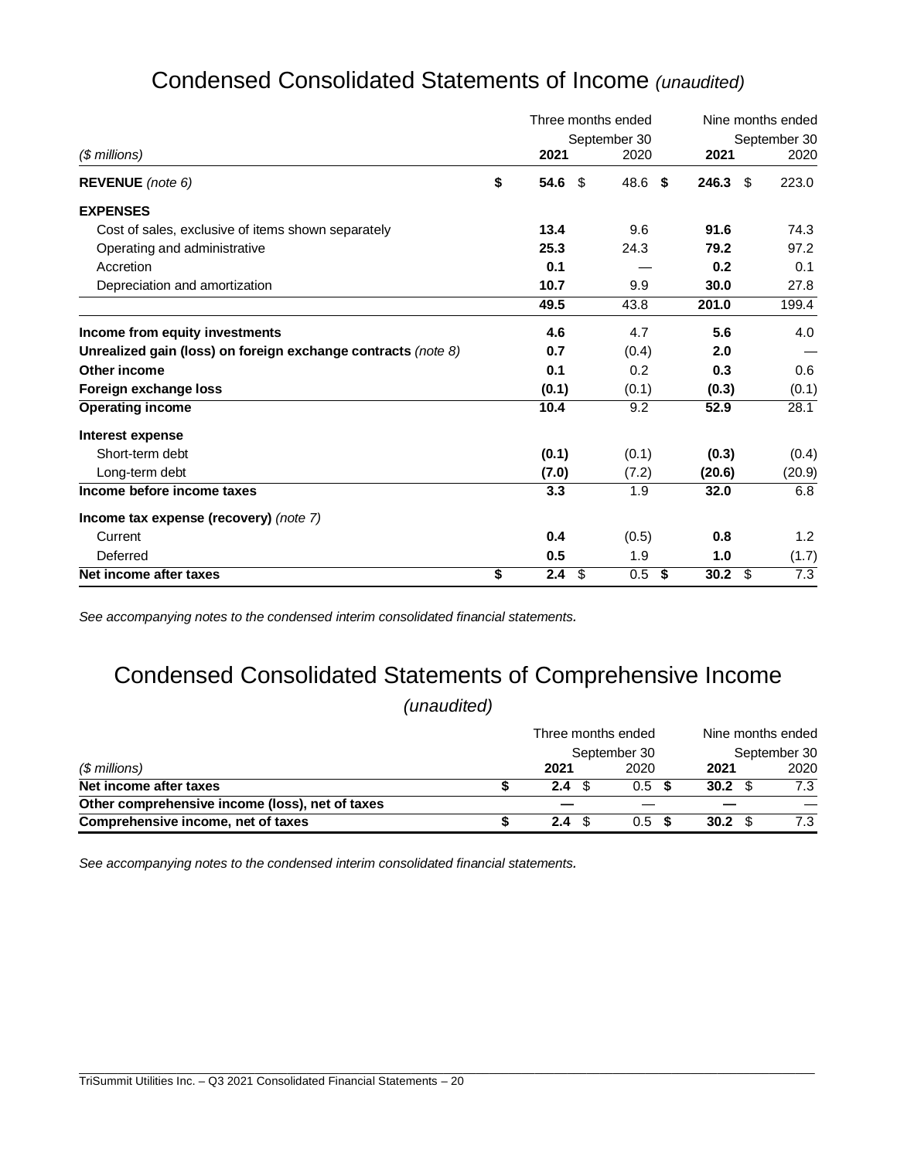| Condensed Consolidated Statements of Income (unaudited) |  |
|---------------------------------------------------------|--|
|---------------------------------------------------------|--|

|                                                               |                        |     | Three months ended | Nine months ended |        |              |  |
|---------------------------------------------------------------|------------------------|-----|--------------------|-------------------|--------|--------------|--|
|                                                               |                        |     | September 30       |                   |        | September 30 |  |
| $$$ millions)                                                 | 2021                   |     | 2020               |                   | 2021   | 2020         |  |
| <b>REVENUE</b> (note 6)                                       | \$<br>54.6             | -\$ | 48.6               | Ŝ.                | 246.3  | 223.0<br>\$  |  |
| <b>EXPENSES</b>                                               |                        |     |                    |                   |        |              |  |
| Cost of sales, exclusive of items shown separately            | 13.4                   |     | 9.6                |                   | 91.6   | 74.3         |  |
| Operating and administrative                                  | 25.3                   |     | 24.3               |                   | 79.2   | 97.2         |  |
| Accretion                                                     | 0.1                    |     |                    |                   | 0.2    | 0.1          |  |
| Depreciation and amortization                                 | 10.7                   |     | 9.9                |                   | 30.0   | 27.8         |  |
|                                                               | 49.5                   |     | 43.8               |                   | 201.0  | 199.4        |  |
| Income from equity investments                                | 4.6                    |     | 4.7                |                   | 5.6    | 4.0          |  |
| Unrealized gain (loss) on foreign exchange contracts (note 8) | 0.7                    |     | (0.4)              |                   | 2.0    |              |  |
| Other income                                                  | 0.1                    |     | 0.2                |                   | 0.3    | 0.6          |  |
| Foreign exchange loss                                         | (0.1)                  |     | (0.1)              |                   | (0.3)  | (0.1)        |  |
| <b>Operating income</b>                                       | 10.4                   |     | 9.2                |                   | 52.9   | 28.1         |  |
| Interest expense                                              |                        |     |                    |                   |        |              |  |
| Short-term debt                                               | (0.1)                  |     | (0.1)              |                   | (0.3)  | (0.4)        |  |
| Long-term debt                                                | (7.0)                  |     | (7.2)              |                   | (20.6) | (20.9)       |  |
| Income before income taxes                                    | 3.3                    |     | 1.9                |                   | 32.0   | 6.8          |  |
| Income tax expense (recovery) (note 7)                        |                        |     |                    |                   |        |              |  |
| Current                                                       | 0.4                    |     | (0.5)              |                   | 0.8    | 1.2          |  |
| Deferred                                                      | 0.5                    |     | 1.9                |                   | 1.0    | (1.7)        |  |
| Net income after taxes                                        | \$<br>2.4 <sup>°</sup> |     | 0.5                | \$                | 30.2   | 7.3<br>\$    |  |

*See accompanying notes to the condensed interim consolidated financial statements.*

# Condensed Consolidated Statements of Comprehensive Income

*(unaudited)*

|                                                 | Three months ended |                  | Nine months ended |              |  |  |
|-------------------------------------------------|--------------------|------------------|-------------------|--------------|--|--|
| $$$ millions)                                   |                    | September 30     |                   | September 30 |  |  |
|                                                 | 2021               | 2020             | 2021              | 2020         |  |  |
| Net income after taxes                          | $2.4^{\circ}$      | 0.5 <sup>5</sup> | 30.2 S            | 7.3          |  |  |
| Other comprehensive income (loss), net of taxes |                    |                  |                   |              |  |  |
| Comprehensive income, net of taxes              | $2.4^{\circ}$      | $0.5$ \$         | 30.2 S            | 7.3          |  |  |

\_\_\_\_\_\_\_\_\_\_\_\_\_\_\_\_\_\_\_\_\_\_\_\_\_\_\_\_\_\_\_\_\_\_\_\_\_\_\_\_\_\_\_\_\_\_\_\_\_\_\_\_\_\_\_\_\_\_\_\_\_\_\_\_\_\_\_\_\_\_\_\_\_\_\_\_\_\_\_\_\_\_\_\_\_\_\_\_\_\_\_\_\_\_\_\_\_\_\_\_\_\_\_\_\_\_\_\_\_\_\_\_\_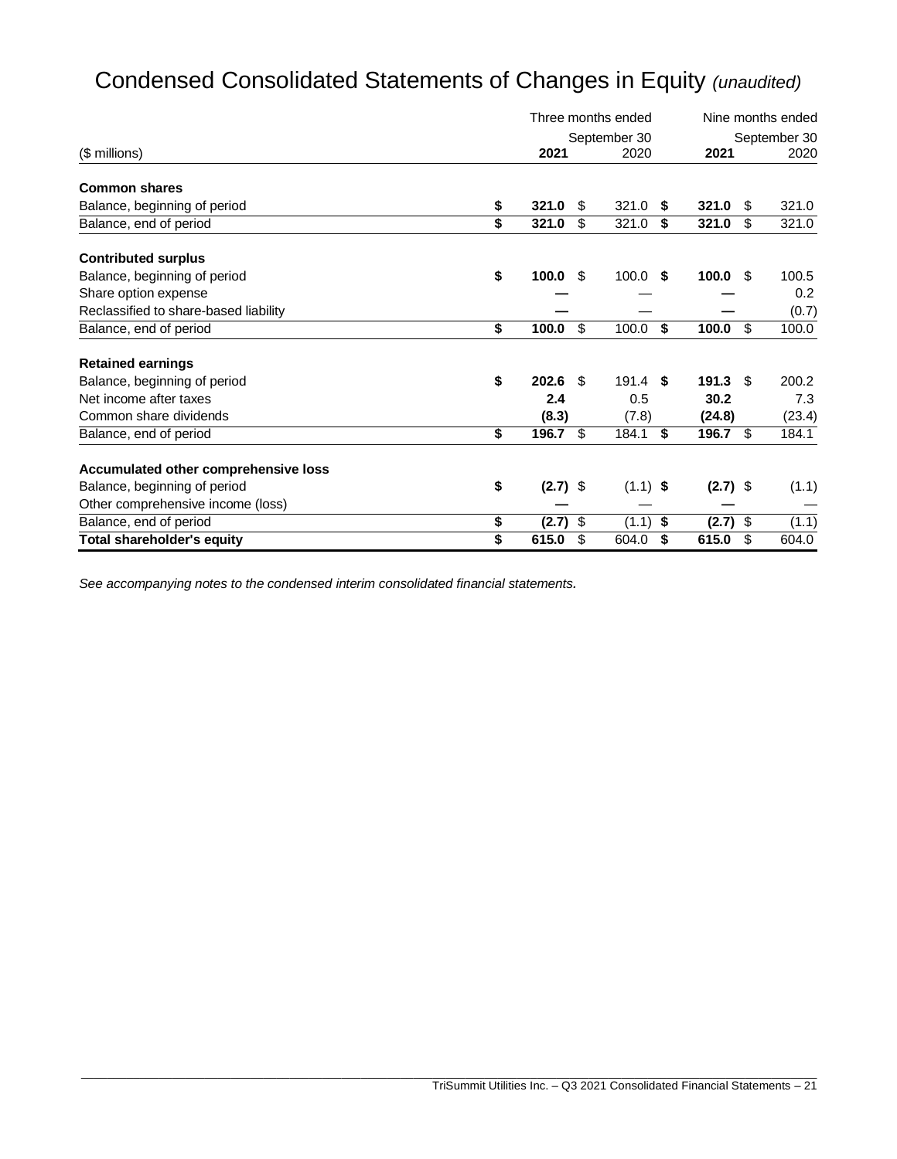# Condensed Consolidated Statements of Changes in Equity *(unaudited)*

|                                       | Three months ended |     | Nine months ended |      |            |      |              |  |
|---------------------------------------|--------------------|-----|-------------------|------|------------|------|--------------|--|
|                                       |                    |     | September 30      |      |            |      | September 30 |  |
| (\$ millions)                         | 2021               |     | 2020              |      | 2021       |      | 2020         |  |
| <b>Common shares</b>                  |                    |     |                   |      |            |      |              |  |
| Balance, beginning of period          | \$<br>321.0        | S   | 321.0             | -S   | 321.0      | S    | 321.0        |  |
| Balance, end of period                | \$<br>321.0        | \$  | 321.0             | \$   | 321.0      | \$   | 321.0        |  |
| <b>Contributed surplus</b>            |                    |     |                   |      |            |      |              |  |
| Balance, beginning of period          | \$<br>100.0        | \$  | 100.0             | - \$ | 100.0      | -\$  | 100.5        |  |
| Share option expense                  |                    |     |                   |      |            |      | 0.2          |  |
| Reclassified to share-based liability |                    |     |                   |      |            |      | (0.7)        |  |
| Balance, end of period                | \$<br>100.0        | \$  | 100.0             | \$   | 100.0      | \$   | 100.0        |  |
| <b>Retained earnings</b>              |                    |     |                   |      |            |      |              |  |
| Balance, beginning of period          | \$<br>202.6        | -\$ | $191.4$ \$        |      | 191.3      | - \$ | 200.2        |  |
| Net income after taxes                | 2.4                |     | 0.5               |      | 30.2       |      | 7.3          |  |
| Common share dividends                | (8.3)              |     | (7.8)             |      | (24.8)     |      | (23.4)       |  |
| Balance, end of period                | \$<br>196.7        | \$  | 184.1             | \$   | 196.7      | \$   | 184.1        |  |
| Accumulated other comprehensive loss  |                    |     |                   |      |            |      |              |  |
| Balance, beginning of period          | \$<br>$(2.7)$ \$   |     | $(1.1)$ \$        |      | $(2.7)$ \$ |      | (1.1)        |  |
| Other comprehensive income (loss)     |                    |     |                   |      |            |      |              |  |
| Balance, end of period                | \$<br>$(2.7)$ \$   |     | (1.1)             | \$   | (2.7)      | -\$  | (1.1)        |  |
| <b>Total shareholder's equity</b>     | \$<br>615.0        | \$  | 604.0             | \$   | 615.0      | \$   | 604.0        |  |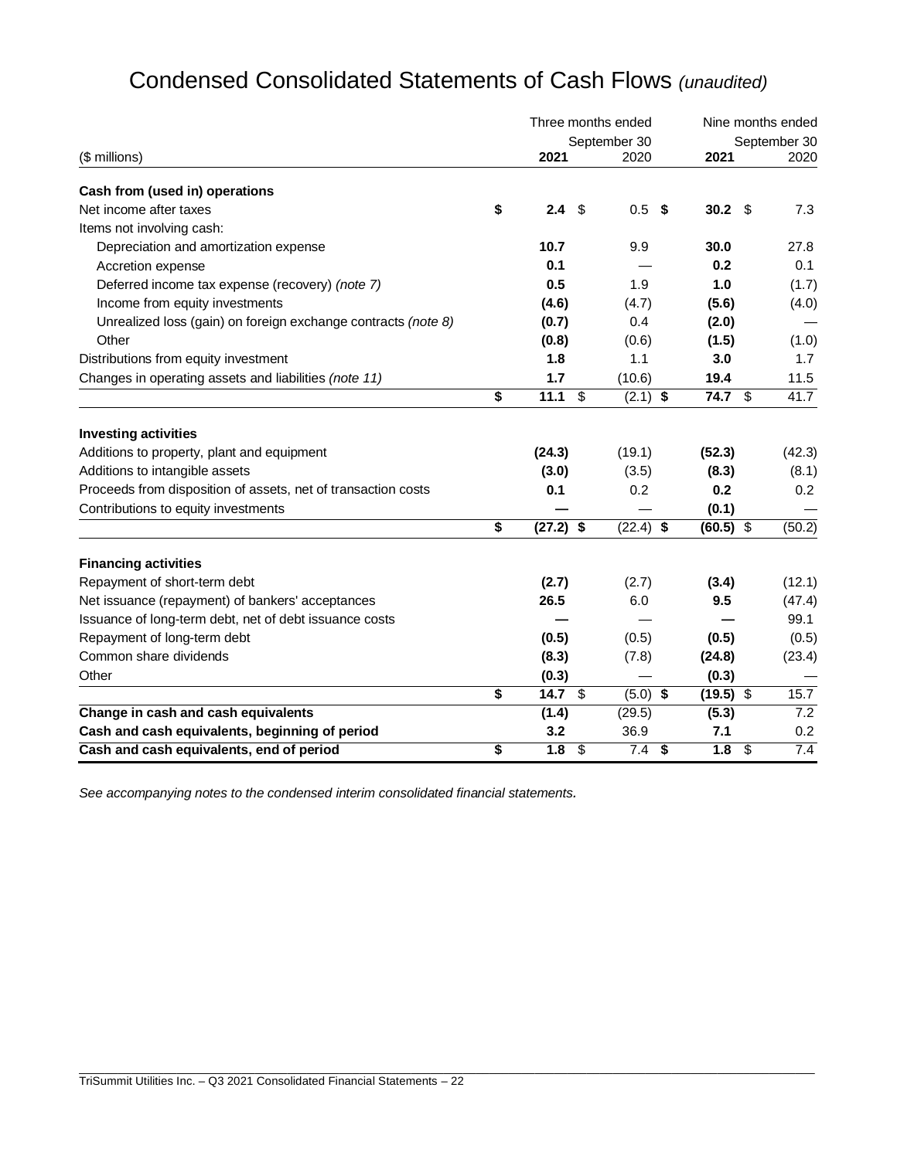| Condensed Consolidated Statements of Cash Flows (unaudited) |  |
|-------------------------------------------------------------|--|
|-------------------------------------------------------------|--|

|                                                               |                   |                         | Three months ended | Nine months ended |             |               |                  |
|---------------------------------------------------------------|-------------------|-------------------------|--------------------|-------------------|-------------|---------------|------------------|
|                                                               |                   |                         | September 30       |                   |             | September 30  |                  |
| (\$ millions)                                                 | 2021              |                         | 2020               |                   | 2021        |               | 2020             |
| Cash from (used in) operations                                |                   |                         |                    |                   |             |               |                  |
| Net income after taxes                                        | \$<br>2.4         | \$                      | 0.5                | - \$              | 30.2 $$$    |               | 7.3              |
| Items not involving cash:                                     |                   |                         |                    |                   |             |               |                  |
| Depreciation and amortization expense                         | 10.7              |                         | 9.9                |                   | 30.0        |               | 27.8             |
| Accretion expense                                             | 0.1               |                         |                    |                   | 0.2         |               | 0.1              |
| Deferred income tax expense (recovery) (note 7)               | 0.5               |                         | 1.9                |                   | 1.0         |               | (1.7)            |
| Income from equity investments                                | (4.6)             |                         | (4.7)              |                   | (5.6)       |               | (4.0)            |
| Unrealized loss (gain) on foreign exchange contracts (note 8) | (0.7)             |                         | 0.4                |                   | (2.0)       |               |                  |
| Other                                                         | (0.8)             |                         | (0.6)              |                   | (1.5)       |               | (1.0)            |
| Distributions from equity investment                          | 1.8               |                         | 1.1                |                   | 3.0         |               | 1.7              |
| Changes in operating assets and liabilities (note 11)         | 1.7               |                         | (10.6)             |                   | 19.4        |               | 11.5             |
|                                                               | \$<br>11.1        | $\overline{\mathbf{s}}$ | $(2.1)$ \$         |                   | 74.7        | \$            | 41.7             |
| <b>Investing activities</b>                                   |                   |                         |                    |                   |             |               |                  |
| Additions to property, plant and equipment                    | (24.3)            |                         | (19.1)             |                   | (52.3)      |               | (42.3)           |
| Additions to intangible assets                                | (3.0)             |                         | (3.5)              |                   | (8.3)       |               | (8.1)            |
| Proceeds from disposition of assets, net of transaction costs | 0.1               |                         | 0.2                |                   | 0.2         |               | 0.2              |
| Contributions to equity investments                           |                   |                         |                    |                   | (0.1)       |               |                  |
|                                                               | \$<br>$(27.2)$ \$ |                         | $(22.4)$ \$        |                   | $(60.5)$ \$ |               | (50.2)           |
| <b>Financing activities</b>                                   |                   |                         |                    |                   |             |               |                  |
| Repayment of short-term debt                                  | (2.7)             |                         | (2.7)              |                   | (3.4)       |               | (12.1)           |
| Net issuance (repayment) of bankers' acceptances              | 26.5              |                         | 6.0                |                   | 9.5         |               | (47.4)           |
| Issuance of long-term debt, net of debt issuance costs        |                   |                         |                    |                   |             |               | 99.1             |
| Repayment of long-term debt                                   | (0.5)             |                         | (0.5)              |                   | (0.5)       |               | (0.5)            |
| Common share dividends                                        | (8.3)             |                         | (7.8)              |                   | (24.8)      |               | (23.4)           |
| Other                                                         | (0.3)             |                         |                    |                   | (0.3)       |               |                  |
|                                                               | \$<br>14.7 $$$    |                         | $(5.0)$ \$         |                   | $(19.5)$ \$ |               | 15.7             |
| Change in cash and cash equivalents                           | (1.4)             |                         | (29.5)             |                   | (5.3)       |               | $\overline{7.2}$ |
| Cash and cash equivalents, beginning of period                | 3.2               |                         | 36.9               |                   | 7.1         |               | 0.2              |
| Cash and cash equivalents, end of period                      | \$<br>1.8         | $\sqrt{3}$              | 7.4                | \$                | 1.8         | $\sqrt[6]{3}$ | 7.4              |

\_\_\_\_\_\_\_\_\_\_\_\_\_\_\_\_\_\_\_\_\_\_\_\_\_\_\_\_\_\_\_\_\_\_\_\_\_\_\_\_\_\_\_\_\_\_\_\_\_\_\_\_\_\_\_\_\_\_\_\_\_\_\_\_\_\_\_\_\_\_\_\_\_\_\_\_\_\_\_\_\_\_\_\_\_\_\_\_\_\_\_\_\_\_\_\_\_\_\_\_\_\_\_\_\_\_\_\_\_\_\_\_\_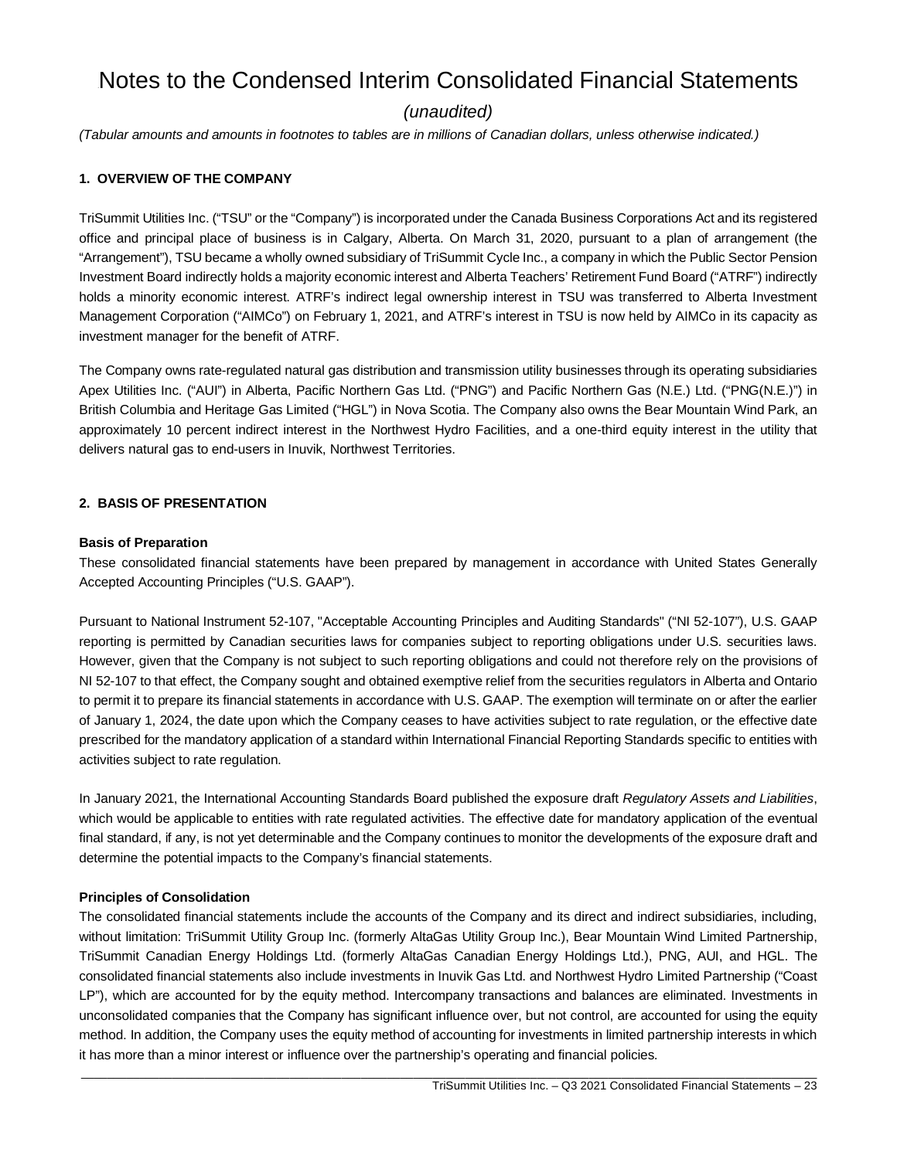# Notes to the Condensed Interim Consolidated Financial Statements

# *(unaudited)*

*(Tabular amounts and amounts in footnotes to tables are in millions of Canadian dollars, unless otherwise indicated.)*

# **1. OVERVIEW OF THE COMPANY**

TriSummit Utilities Inc. ("TSU" or the "Company") is incorporated under the Canada Business Corporations Act and its registered office and principal place of business is in Calgary, Alberta. On March 31, 2020, pursuant to a plan of arrangement (the "Arrangement"), TSU became a wholly owned subsidiary of TriSummit Cycle Inc., a company in which the Public Sector Pension Investment Board indirectly holds a majority economic interest and Alberta Teachers' Retirement Fund Board ("ATRF") indirectly holds a minority economic interest. ATRF's indirect legal ownership interest in TSU was transferred to Alberta Investment Management Corporation ("AIMCo") on February 1, 2021, and ATRF's interest in TSU is now held by AIMCo in its capacity as investment manager for the benefit of ATRF.

The Company owns rate-regulated natural gas distribution and transmission utility businesses through its operating subsidiaries Apex Utilities Inc. ("AUI") in Alberta, Pacific Northern Gas Ltd. ("PNG") and Pacific Northern Gas (N.E.) Ltd. ("PNG(N.E.)") in British Columbia and Heritage Gas Limited ("HGL") in Nova Scotia. The Company also owns the Bear Mountain Wind Park, an approximately 10 percent indirect interest in the Northwest Hydro Facilities, and a one-third equity interest in the utility that delivers natural gas to end-users in Inuvik, Northwest Territories.

## **2. BASIS OF PRESENTATION**

## **Basis of Preparation**

These consolidated financial statements have been prepared by management in accordance with United States Generally Accepted Accounting Principles ("U.S. GAAP").

Pursuant to National Instrument 52-107, "Acceptable Accounting Principles and Auditing Standards" ("NI 52-107"), U.S. GAAP reporting is permitted by Canadian securities laws for companies subject to reporting obligations under U.S. securities laws. However, given that the Company is not subject to such reporting obligations and could not therefore rely on the provisions of NI 52-107 to that effect, the Company sought and obtained exemptive relief from the securities regulators in Alberta and Ontario to permit it to prepare its financial statements in accordance with U.S. GAAP. The exemption will terminate on or after the earlier of January 1, 2024, the date upon which the Company ceases to have activities subject to rate regulation, or the effective date prescribed for the mandatory application of a standard within International Financial Reporting Standards specific to entities with activities subject to rate regulation.

In January 2021, the International Accounting Standards Board published the exposure draft *Regulatory Assets and Liabilities*, which would be applicable to entities with rate regulated activities. The effective date for mandatory application of the eventual final standard, if any, is not yet determinable and the Company continues to monitor the developments of the exposure draft and determine the potential impacts to the Company's financial statements.

## **Principles of Consolidation**

The consolidated financial statements include the accounts of the Company and its direct and indirect subsidiaries, including, without limitation: TriSummit Utility Group Inc. (formerly AltaGas Utility Group Inc.), Bear Mountain Wind Limited Partnership, TriSummit Canadian Energy Holdings Ltd. (formerly AltaGas Canadian Energy Holdings Ltd.), PNG, AUI, and HGL. The consolidated financial statements also include investments in Inuvik Gas Ltd. and Northwest Hydro Limited Partnership ("Coast LP"), which are accounted for by the equity method. Intercompany transactions and balances are eliminated. Investments in unconsolidated companies that the Company has significant influence over, but not control, are accounted for using the equity method. In addition, the Company uses the equity method of accounting for investments in limited partnership interests in which it has more than a minor interest or influence over the partnership's operating and financial policies.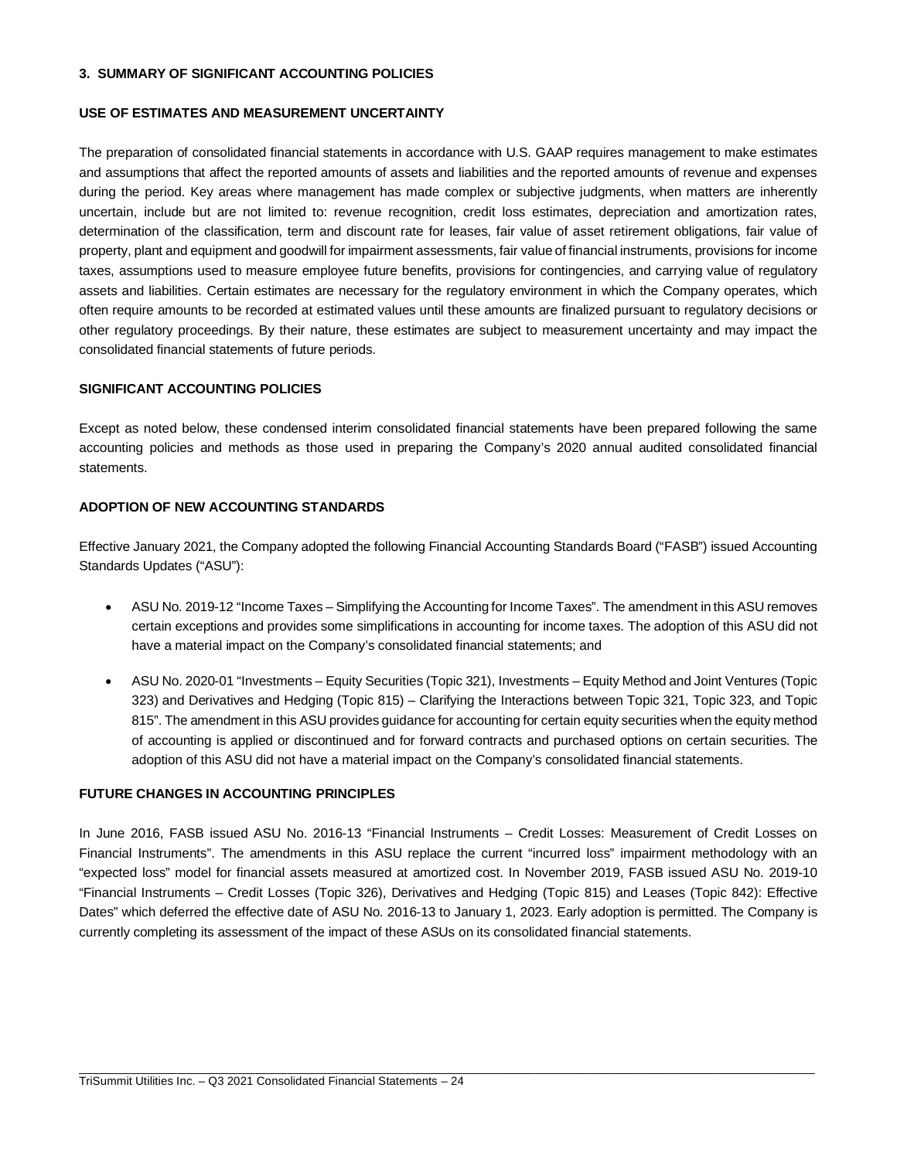## **3. SUMMARY OF SIGNIFICANT ACCOUNTING POLICIES**

### **USE OF ESTIMATES AND MEASUREMENT UNCERTAINTY**

The preparation of consolidated financial statements in accordance with U.S. GAAP requires management to make estimates and assumptions that affect the reported amounts of assets and liabilities and the reported amounts of revenue and expenses during the period. Key areas where management has made complex or subjective judgments, when matters are inherently uncertain, include but are not limited to: revenue recognition, credit loss estimates, depreciation and amortization rates, determination of the classification, term and discount rate for leases, fair value of asset retirement obligations, fair value of property, plant and equipment and goodwill for impairment assessments, fair value of financial instruments, provisions for income taxes, assumptions used to measure employee future benefits, provisions for contingencies, and carrying value of regulatory assets and liabilities. Certain estimates are necessary for the regulatory environment in which the Company operates, which often require amounts to be recorded at estimated values until these amounts are finalized pursuant to regulatory decisions or other regulatory proceedings. By their nature, these estimates are subject to measurement uncertainty and may impact the consolidated financial statements of future periods.

## **SIGNIFICANT ACCOUNTING POLICIES**

Except as noted below, these condensed interim consolidated financial statements have been prepared following the same accounting policies and methods as those used in preparing the Company's 2020 annual audited consolidated financial statements.

## **ADOPTION OF NEW ACCOUNTING STANDARDS**

Effective January 2021, the Company adopted the following Financial Accounting Standards Board ("FASB") issued Accounting Standards Updates ("ASU"):

- ASU No. 2019-12 "Income Taxes Simplifying the Accounting for Income Taxes". The amendment in this ASU removes certain exceptions and provides some simplifications in accounting for income taxes. The adoption of this ASU did not have a material impact on the Company's consolidated financial statements; and
- ASU No. 2020-01 "Investments Equity Securities (Topic 321), Investments Equity Method and Joint Ventures (Topic 323) and Derivatives and Hedging (Topic 815) – Clarifying the Interactions between Topic 321, Topic 323, and Topic 815". The amendment in this ASU provides guidance for accounting for certain equity securities when the equity method of accounting is applied or discontinued and for forward contracts and purchased options on certain securities. The adoption of this ASU did not have a material impact on the Company's consolidated financial statements.

### **FUTURE CHANGES IN ACCOUNTING PRINCIPLES**

In June 2016, FASB issued ASU No. 2016-13 "Financial Instruments – Credit Losses: Measurement of Credit Losses on Financial Instruments". The amendments in this ASU replace the current "incurred loss" impairment methodology with an "expected loss" model for financial assets measured at amortized cost. In November 2019, FASB issued ASU No. 2019-10 "Financial Instruments – Credit Losses (Topic 326), Derivatives and Hedging (Topic 815) and Leases (Topic 842): Effective Dates" which deferred the effective date of ASU No. 2016-13 to January 1, 2023. Early adoption is permitted. The Company is currently completing its assessment of the impact of these ASUs on its consolidated financial statements.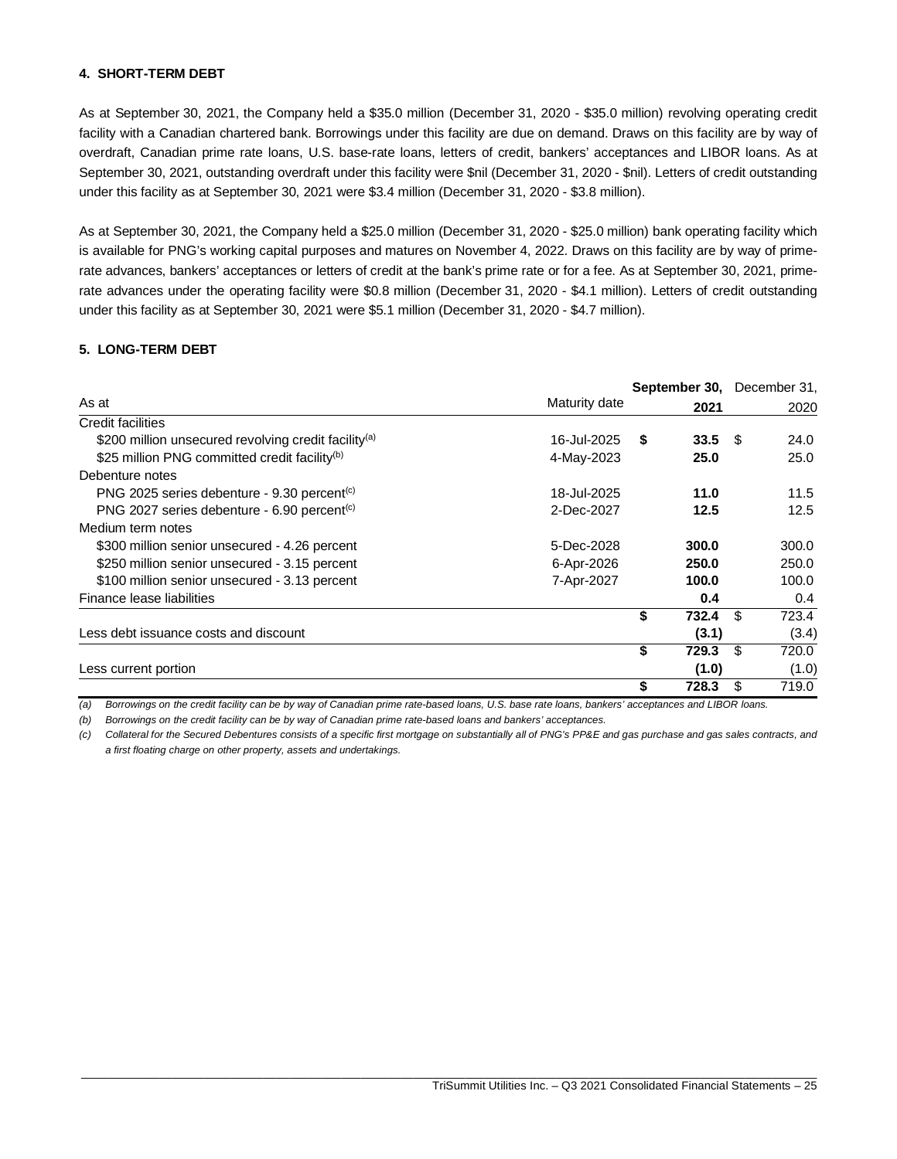## **4. SHORT-TERM DEBT**

As at September 30, 2021, the Company held a \$35.0 million (December 31, 2020 - \$35.0 million) revolving operating credit facility with a Canadian chartered bank. Borrowings under this facility are due on demand. Draws on this facility are by way of overdraft, Canadian prime rate loans, U.S. base-rate loans, letters of credit, bankers' acceptances and LIBOR loans. As at September 30, 2021, outstanding overdraft under this facility were \$nil (December 31, 2020 - \$nil). Letters of credit outstanding under this facility as at September 30, 2021 were \$3.4 million (December 31, 2020 - \$3.8 million).

As at September 30, 2021, the Company held a \$25.0 million (December 31, 2020 - \$25.0 million) bank operating facility which is available for PNG's working capital purposes and matures on November 4, 2022. Draws on this facility are by way of primerate advances, bankers' acceptances or letters of credit at the bank's prime rate or for a fee. As at September 30, 2021, primerate advances under the operating facility were \$0.8 million (December 31, 2020 - \$4.1 million). Letters of credit outstanding under this facility as at September 30, 2021 were \$5.1 million (December 31, 2020 - \$4.7 million).

## **5. LONG-TERM DEBT**

|                                                                  |               | September 30, December 31, |     |       |
|------------------------------------------------------------------|---------------|----------------------------|-----|-------|
| As at                                                            | Maturity date | 2021                       |     | 2020  |
| Credit facilities                                                |               |                            |     |       |
| \$200 million unsecured revolving credit facility <sup>(a)</sup> | 16-Jul-2025   | $33.5$ \$<br>S             |     | 24.0  |
| \$25 million PNG committed credit facility <sup>(b)</sup>        | 4-May-2023    | 25.0                       |     | 25.0  |
| Debenture notes                                                  |               |                            |     |       |
| PNG 2025 series debenture - $9.30$ percent <sup>(c)</sup>        | 18-Jul-2025   | 11.0                       |     | 11.5  |
| PNG 2027 series debenture - 6.90 percent <sup>(c)</sup>          | 2-Dec-2027    | 12.5                       |     | 12.5  |
| Medium term notes                                                |               |                            |     |       |
| \$300 million senior unsecured - 4.26 percent                    | 5-Dec-2028    | 300.0                      |     | 300.0 |
| \$250 million senior unsecured - 3.15 percent                    | 6-Apr-2026    | 250.0                      |     | 250.0 |
| \$100 million senior unsecured - 3.13 percent                    | 7-Apr-2027    | 100.0                      |     | 100.0 |
| Finance lease liabilities                                        |               | 0.4                        |     | 0.4   |
|                                                                  |               | \$<br>732.4                | \$  | 723.4 |
| Less debt issuance costs and discount                            |               | (3.1)                      |     | (3.4) |
|                                                                  |               | \$<br>729.3                | -\$ | 720.0 |
| Less current portion                                             |               | (1.0)                      |     | (1.0) |
|                                                                  |               | \$<br>728.3                | \$. | 719.0 |

*(a) Borrowings on the credit facility can be by way of Canadian prime rate-based loans, U.S. base rate loans, bankers' acceptances and LIBOR loans.*

*(b) Borrowings on the credit facility can be by way of Canadian prime rate-based loans and bankers' acceptances.*

*(c) Collateral for the Secured Debentures consists of a specific first mortgage on substantially all of PNG's PP&E and gas purchase and gas sales contracts, and a first floating charge on other property, assets and undertakings.*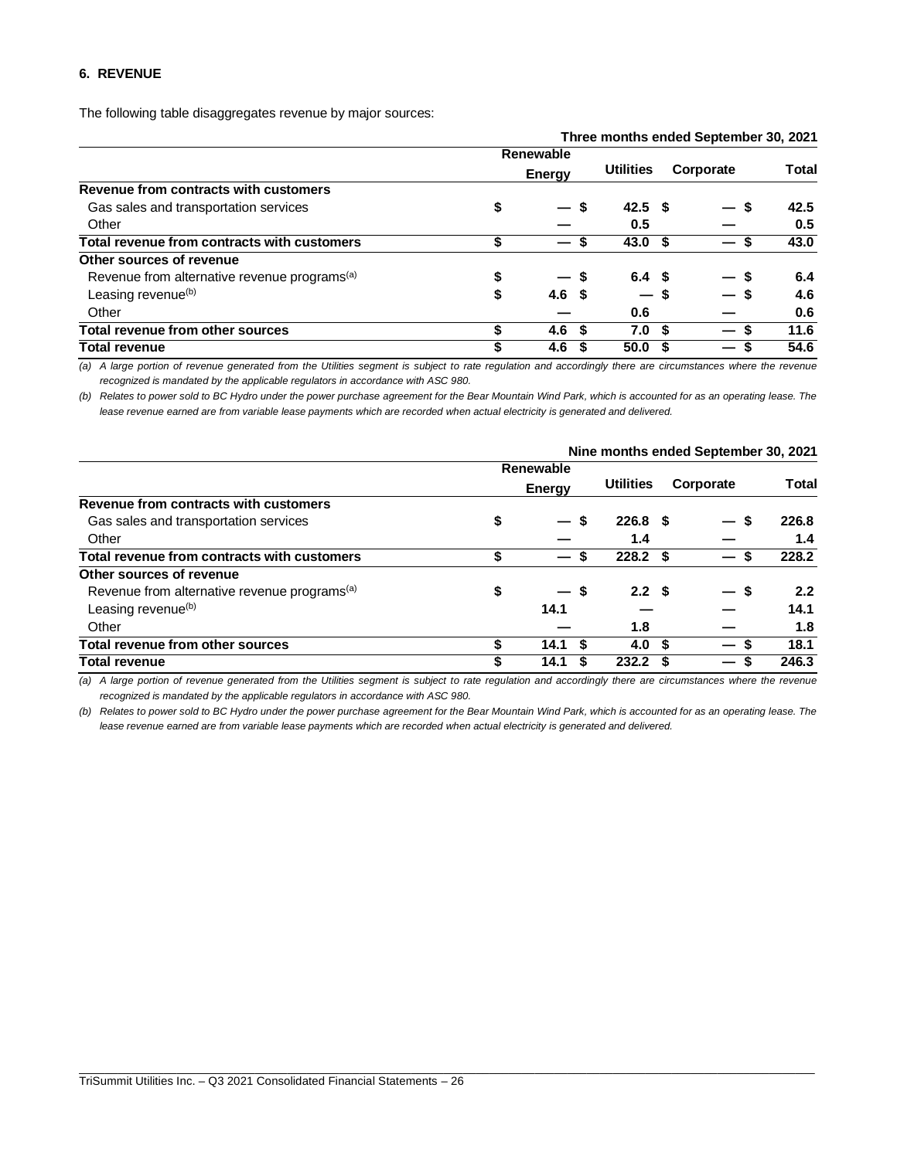## **6. REVENUE**

The following table disaggregates revenue by major sources:

|                                                          |               |                  |                        |      | Three months ended September 30, 2021 |       |
|----------------------------------------------------------|---------------|------------------|------------------------|------|---------------------------------------|-------|
|                                                          |               | Renewable        |                        |      |                                       |       |
|                                                          | <b>Energy</b> |                  | <b>Utilities</b>       |      | Corporate                             | Total |
| Revenue from contracts with customers                    |               |                  |                        |      |                                       |       |
| Gas sales and transportation services                    | \$            | — \$             | 42.5 <sup>5</sup>      |      | — \$                                  | 42.5  |
| Other                                                    |               |                  | 0.5                    |      |                                       | 0.5   |
| Total revenue from contracts with customers              | \$            |                  | 43.0 <sup>5</sup><br>S |      |                                       | 43.0  |
| Other sources of revenue                                 |               |                  |                        |      |                                       |       |
| Revenue from alternative revenue programs <sup>(a)</sup> | \$            | — s              | 6.4 <sup>5</sup>       |      |                                       | 6.4   |
| Leasing revenue <sup>(b)</sup>                           | \$            | 4.6 <sup>5</sup> | $-s$                   |      | $\overline{\phantom{0}}$              | 4.6   |
| Other                                                    |               |                  | 0.6                    |      |                                       | 0.6   |
| Total revenue from other sources                         | \$            | 4.6 <sup>5</sup> | 7.0                    | - \$ | S                                     | 11.6  |
| <b>Total revenue</b>                                     | \$            | 4.6              | 50.0                   |      |                                       | 54.6  |

*(a) A large portion of revenue generated from the Utilities segment is subject to rate regulation and accordingly there are circumstances where the revenue recognized is mandated by the applicable regulators in accordance with ASC 980.*

*(b) Relates to power sold to BC Hydro under the power purchase agreement for the Bear Mountain Wind Park, which is accounted for as an operating lease. The lease revenue earned are from variable lease payments which are recorded when actual electricity is generated and delivered.*

|                                                          | Nine months ended September 30, 2021 |                       |                    |           |                          |       |  |  |  |
|----------------------------------------------------------|--------------------------------------|-----------------------|--------------------|-----------|--------------------------|-------|--|--|--|
|                                                          |                                      | Renewable             |                    |           |                          |       |  |  |  |
|                                                          |                                      | <b>Energy</b>         | <b>Utilities</b>   | Corporate |                          | Total |  |  |  |
| Revenue from contracts with customers                    |                                      |                       |                    |           |                          |       |  |  |  |
| Gas sales and transportation services                    | \$                                   | $-s$                  | $226.8$ \$         |           | -S                       | 226.8 |  |  |  |
| Other                                                    |                                      |                       | 1.4                |           |                          | 1.4   |  |  |  |
| Total revenue from contracts with customers              | \$                                   | S                     | 228.2 <sup>5</sup> |           | S                        | 228.2 |  |  |  |
| Other sources of revenue                                 |                                      |                       |                    |           |                          |       |  |  |  |
| Revenue from alternative revenue programs <sup>(a)</sup> | \$                                   | \$<br>$\qquad \qquad$ | 2.2 <sup>5</sup>   |           | - \$                     | 2.2   |  |  |  |
| Leasing revenue <sup>(b)</sup>                           |                                      | 14.1                  |                    |           |                          | 14.1  |  |  |  |
| Other                                                    |                                      |                       | 1.8                |           |                          | 1.8   |  |  |  |
| Total revenue from other sources                         | \$                                   | S<br>14.1             | 4.0                | -S        | $\overline{\phantom{0}}$ | 18.1  |  |  |  |
| <b>Total revenue</b>                                     | S                                    | 14.1                  | 232.2              |           | $\overline{\phantom{0}}$ | 246.3 |  |  |  |

*(a) A large portion of revenue generated from the Utilities segment is subject to rate regulation and accordingly there are circumstances where the revenue recognized is mandated by the applicable regulators in accordance with ASC 980.*

*(b) Relates to power sold to BC Hydro under the power purchase agreement for the Bear Mountain Wind Park, which is accounted for as an operating lease. The lease revenue earned are from variable lease payments which are recorded when actual electricity is generated and delivered.*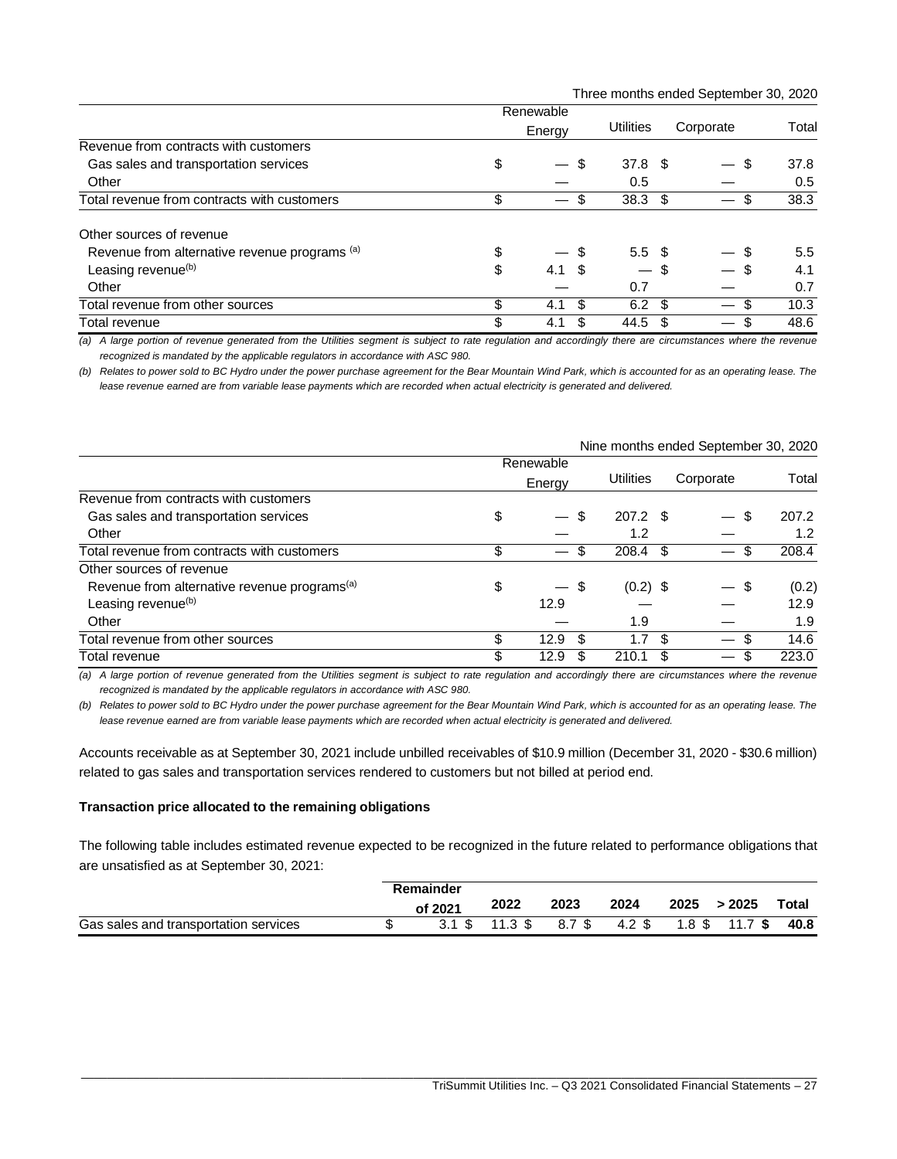Three months ended September 30, 2020

|                                               | Renewable |                                                 |                          |     |           |       |
|-----------------------------------------------|-----------|-------------------------------------------------|--------------------------|-----|-----------|-------|
|                                               | Energy    |                                                 | Utilities                |     | Corporate | Total |
| Revenue from contracts with customers         |           |                                                 |                          |     |           |       |
| Gas sales and transportation services         | \$        | \$<br>$\qquad \qquad \overline{\qquad \qquad }$ | 37.8 <sup>°</sup>        |     | \$        | 37.8  |
| Other                                         |           |                                                 | 0.5                      |     |           | 0.5   |
| Total revenue from contracts with customers   | \$        | S                                               | $38.3 \text{ } $$        |     | S         | 38.3  |
| Other sources of revenue                      |           |                                                 |                          |     |           |       |
| Revenue from alternative revenue programs (a) | \$        | - \$                                            | $5.5\;$ \$               |     |           | 5.5   |
| Leasing revenue <sup>(b)</sup>                | \$        | $4.1 \text{ } $$                                | $\overline{\phantom{0}}$ | \$  |           | 4.1   |
| Other                                         |           |                                                 | 0.7                      |     |           | 0.7   |
| Total revenue from other sources              | \$        | \$<br>4.1                                       | 6.2                      | -\$ | \$        | 10.3  |
| Total revenue                                 | \$        | S<br>4.1                                        | 44.5                     | S   | S<br>—    | 48.6  |

*(a) A large portion of revenue generated from the Utilities segment is subject to rate regulation and accordingly there are circumstances where the revenue recognized is mandated by the applicable regulators in accordance with ASC 980.*

*(b) Relates to power sold to BC Hydro under the power purchase agreement for the Bear Mountain Wind Park, which is accounted for as an operating lease. The lease revenue earned are from variable lease payments which are recorded when actual electricity is generated and delivered.*

|                                                          | Renewable |                          |     |                  |     |           |       |
|----------------------------------------------------------|-----------|--------------------------|-----|------------------|-----|-----------|-------|
|                                                          |           | Energy                   |     | <b>Utilities</b> |     | Corporate | Total |
| Revenue from contracts with customers                    |           |                          |     |                  |     |           |       |
| Gas sales and transportation services                    | \$        | $\overline{\phantom{0}}$ | \$  | 207.2 \$         |     | \$        | 207.2 |
| Other                                                    |           |                          |     | 1.2              |     |           | 1.2   |
| Total revenue from contracts with customers              | \$        |                          |     | 208.4            | -S  | S         | 208.4 |
| Other sources of revenue                                 |           |                          |     |                  |     |           |       |
| Revenue from alternative revenue programs <sup>(a)</sup> | \$        | $-$ \$                   |     | $(0.2)$ \$       |     | - \$      | (0.2) |
| Leasing revenue <sup>(b)</sup>                           |           | 12.9                     |     |                  |     |           | 12.9  |
| Other                                                    |           |                          |     | 1.9              |     |           | 1.9   |
| Total revenue from other sources                         | \$        | 12.9                     | \$. | 1.7              | \$. | S         | 14.6  |
| Total revenue                                            | \$        | 12.9                     |     | 210.1            |     | S         | 223.0 |

Nine months ended September 30, 2020

*(a) A large portion of revenue generated from the Utilities segment is subject to rate regulation and accordingly there are circumstances where the revenue recognized is mandated by the applicable regulators in accordance with ASC 980.*

*(b) Relates to power sold to BC Hydro under the power purchase agreement for the Bear Mountain Wind Park, which is accounted for as an operating lease. The lease revenue earned are from variable lease payments which are recorded when actual electricity is generated and delivered.*

Accounts receivable as at September 30, 2021 include unbilled receivables of \$10.9 million (December 31, 2020 - \$30.6 million) related to gas sales and transportation services rendered to customers but not billed at period end.

## **Transaction price allocated to the remaining obligations**

The following table includes estimated revenue expected to be recognized in the future related to performance obligations that are unsatisfied as at September 30, 2021:

|                                       | Remainder         |                    |        |        |      |                         |              |
|---------------------------------------|-------------------|--------------------|--------|--------|------|-------------------------|--------------|
|                                       | of 2021           | 2022               | 2023   | 2024   | 2025 | >2025                   | <b>Total</b> |
| Gas sales and transportation services | $3.1 \text{ }$ \$ | $11.3 \text{ }$ \$ | 8.7 \$ | 4.2 \$ |      | $1.8$ \$ $11.7$ \$ 40.8 |              |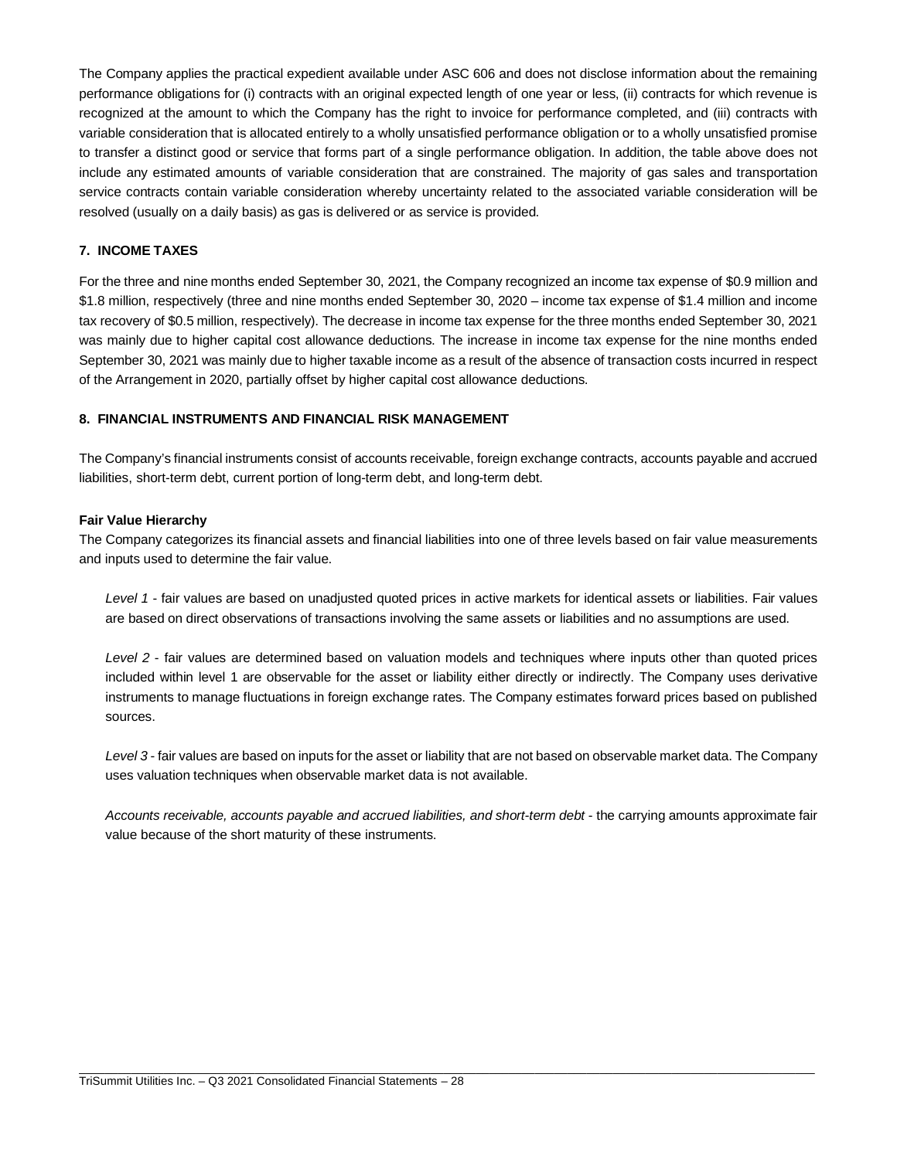The Company applies the practical expedient available under ASC 606 and does not disclose information about the remaining performance obligations for (i) contracts with an original expected length of one year or less, (ii) contracts for which revenue is recognized at the amount to which the Company has the right to invoice for performance completed, and (iii) contracts with variable consideration that is allocated entirely to a wholly unsatisfied performance obligation or to a wholly unsatisfied promise to transfer a distinct good or service that forms part of a single performance obligation. In addition, the table above does not include any estimated amounts of variable consideration that are constrained. The majority of gas sales and transportation service contracts contain variable consideration whereby uncertainty related to the associated variable consideration will be resolved (usually on a daily basis) as gas is delivered or as service is provided.

# **7. INCOME TAXES**

For the three and nine months ended September 30, 2021, the Company recognized an income tax expense of \$0.9 million and \$1.8 million, respectively (three and nine months ended September 30, 2020 – income tax expense of \$1.4 million and income tax recovery of \$0.5 million, respectively). The decrease in income tax expense for the three months ended September 30, 2021 was mainly due to higher capital cost allowance deductions. The increase in income tax expense for the nine months ended September 30, 2021 was mainly due to higher taxable income as a result of the absence of transaction costs incurred in respect of the Arrangement in 2020, partially offset by higher capital cost allowance deductions.

## **8. FINANCIAL INSTRUMENTS AND FINANCIAL RISK MANAGEMENT**

The Company's financial instruments consist of accounts receivable, foreign exchange contracts, accounts payable and accrued liabilities, short-term debt, current portion of long-term debt, and long-term debt.

## **Fair Value Hierarchy**

The Company categorizes its financial assets and financial liabilities into one of three levels based on fair value measurements and inputs used to determine the fair value.

*Level 1* - fair values are based on unadjusted quoted prices in active markets for identical assets or liabilities. Fair values are based on direct observations of transactions involving the same assets or liabilities and no assumptions are used.

*Level 2* - fair values are determined based on valuation models and techniques where inputs other than quoted prices included within level 1 are observable for the asset or liability either directly or indirectly. The Company uses derivative instruments to manage fluctuations in foreign exchange rates. The Company estimates forward prices based on published sources.

*Level 3* - fair values are based on inputs for the asset or liability that are not based on observable market data. The Company uses valuation techniques when observable market data is not available.

*Accounts receivable, accounts payable and accrued liabilities, and short-term debt* - the carrying amounts approximate fair value because of the short maturity of these instruments.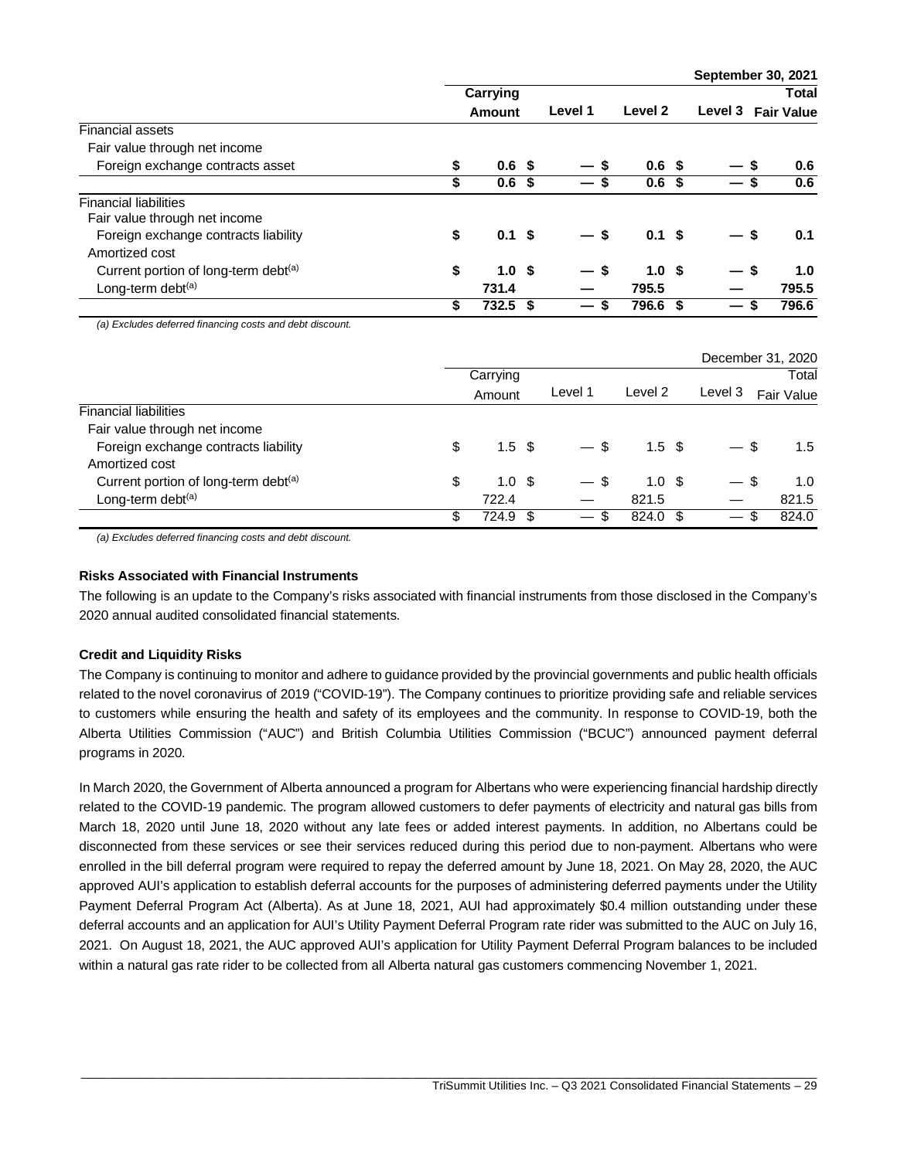|                                                  |    |                   |  |                                |                  |                          | <b>OCPICITINGL ON LULL</b> |         |                   |
|--------------------------------------------------|----|-------------------|--|--------------------------------|------------------|--------------------------|----------------------------|---------|-------------------|
|                                                  |    | Carrying          |  |                                |                  |                          | <b>Total</b>               |         |                   |
|                                                  |    | Amount            |  | Level 1                        |                  |                          | Level 2                    | Level 3 | <b>Fair Value</b> |
| <b>Financial assets</b>                          |    |                   |  |                                |                  |                          |                            |         |                   |
| Fair value through net income                    |    |                   |  |                                |                  |                          |                            |         |                   |
| Foreign exchange contracts asset                 | \$ | 0.6 <sup>5</sup>  |  | — s                            | 0.6 <sup>5</sup> | — \$                     | 0.6                        |         |                   |
|                                                  | \$ | 0.6 <sup>5</sup>  |  | $\overline{\phantom{0}}$       | 0.6 <sup>5</sup> |                          | 0.6                        |         |                   |
| <b>Financial liabilities</b>                     |    |                   |  |                                |                  |                          |                            |         |                   |
| Fair value through net income                    |    |                   |  |                                |                  |                          |                            |         |                   |
| Foreign exchange contracts liability             | \$ | $0.1 \text{ }$ \$ |  | $-$ \$                         | 0.1 <sup>5</sup> | — \$                     | 0.1                        |         |                   |
| Amortized cost                                   |    |                   |  |                                |                  |                          |                            |         |                   |
| Current portion of long-term debt <sup>(a)</sup> | \$ | 1.0 <sup>5</sup>  |  | — s                            | 1.0 <sup>5</sup> | — \$                     | 1.0                        |         |                   |
| Long-term debt <sup>(a)</sup>                    |    | 731.4             |  |                                | 795.5            |                          | 795.5                      |         |                   |
|                                                  | \$ | $732.5$ \$        |  | S.<br>$\overline{\phantom{0}}$ | 796.6 \$         | $\overline{\phantom{0}}$ | 796.6<br>- \$              |         |                   |

**September 30, 2021**

*(a) Excludes deferred financing costs and debt discount.*

|                                      |     |                  |                 |                  |                                 | December 31, 2020 |
|--------------------------------------|-----|------------------|-----------------|------------------|---------------------------------|-------------------|
|                                      |     | Carrying         |                 |                  |                                 | Total             |
|                                      |     | Amount           | Level 1         | Level 2          | Level 3                         | Fair Value        |
| <b>Financial liabilities</b>         |     |                  |                 |                  |                                 |                   |
| Fair value through net income        |     |                  |                 |                  |                                 |                   |
| Foreign exchange contracts liability | \$  | 1.5 <sup>5</sup> | $-$ \$          | 1.5 <sup>5</sup> | — \$                            | $1.5^{\circ}$     |
| Amortized cost                       |     |                  |                 |                  |                                 |                   |
| Current portion of long-term debt(a) | \$  | 1.0 <sup>5</sup> | $-$ \$          | 1.0 <sup>5</sup> | -\$                             | 1.0               |
| Long-term debt <sup>(a)</sup>        |     | 722.4            |                 | 821.5            |                                 | 821.5             |
|                                      | \$. | 724.9 \$         | $\qquad \qquad$ | 824.0 \$         | \$.<br>$\overline{\phantom{0}}$ | 824.0             |

*(a) Excludes deferred financing costs and debt discount.*

## **Risks Associated with Financial Instruments**

The following is an update to the Company's risks associated with financial instruments from those disclosed in the Company's 2020 annual audited consolidated financial statements.

# **Credit and Liquidity Risks**

The Company is continuing to monitor and adhere to guidance provided by the provincial governments and public health officials related to the novel coronavirus of 2019 ("COVID-19"). The Company continues to prioritize providing safe and reliable services to customers while ensuring the health and safety of its employees and the community. In response to COVID-19, both the Alberta Utilities Commission ("AUC") and British Columbia Utilities Commission ("BCUC") announced payment deferral programs in 2020.

In March 2020, the Government of Alberta announced a program for Albertans who were experiencing financial hardship directly related to the COVID-19 pandemic. The program allowed customers to defer payments of electricity and natural gas bills from March 18, 2020 until June 18, 2020 without any late fees or added interest payments. In addition, no Albertans could be disconnected from these services or see their services reduced during this period due to non-payment. Albertans who were enrolled in the bill deferral program were required to repay the deferred amount by June 18, 2021. On May 28, 2020, the AUC approved AUI's application to establish deferral accounts for the purposes of administering deferred payments under the Utility Payment Deferral Program Act (Alberta). As at June 18, 2021, AUI had approximately \$0.4 million outstanding under these deferral accounts and an application for AUI's Utility Payment Deferral Program rate rider was submitted to the AUC on July 16, 2021. On August 18, 2021, the AUC approved AUI's application for Utility Payment Deferral Program balances to be included within a natural gas rate rider to be collected from all Alberta natural gas customers commencing November 1, 2021.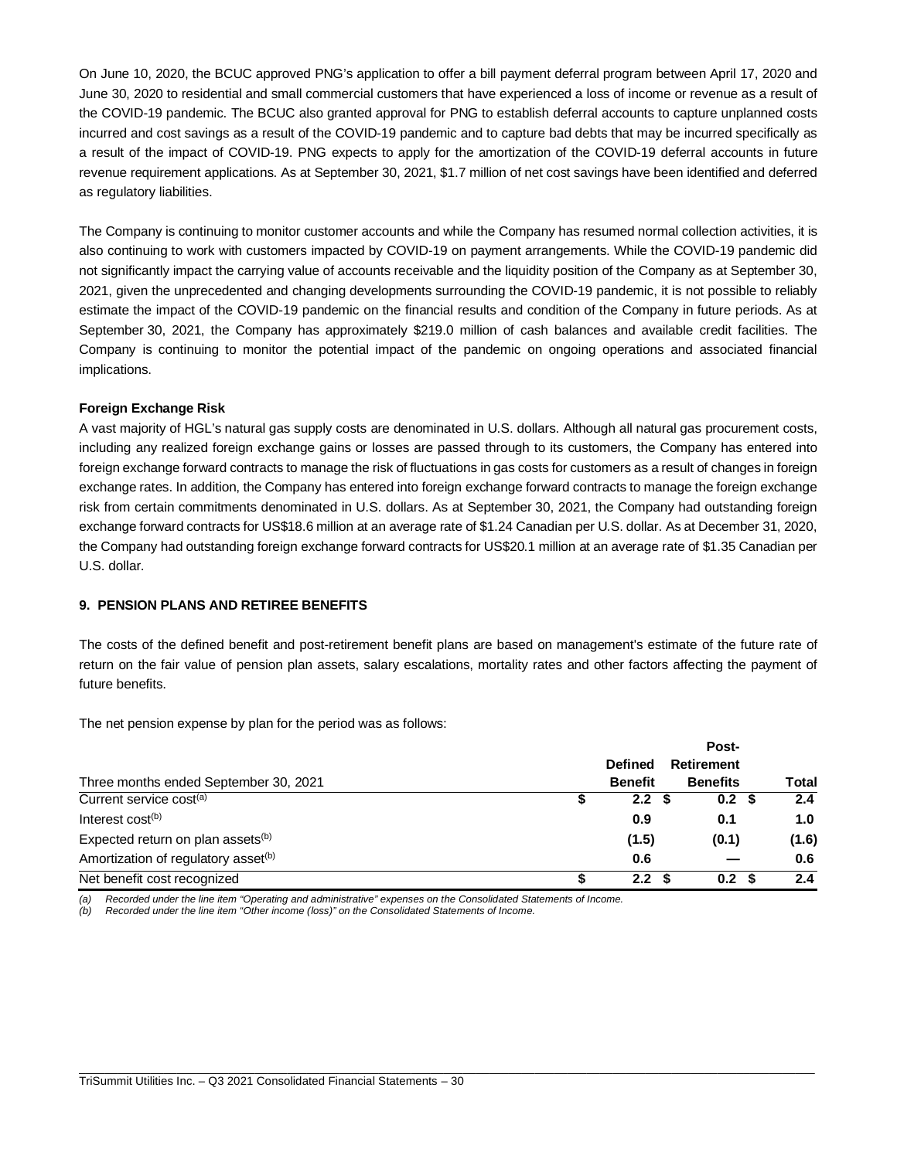On June 10, 2020, the BCUC approved PNG's application to offer a bill payment deferral program between April 17, 2020 and June 30, 2020 to residential and small commercial customers that have experienced a loss of income or revenue as a result of the COVID-19 pandemic. The BCUC also granted approval for PNG to establish deferral accounts to capture unplanned costs incurred and cost savings as a result of the COVID-19 pandemic and to capture bad debts that may be incurred specifically as a result of the impact of COVID-19. PNG expects to apply for the amortization of the COVID-19 deferral accounts in future revenue requirement applications. As at September 30, 2021, \$1.7 million of net cost savings have been identified and deferred as regulatory liabilities.

The Company is continuing to monitor customer accounts and while the Company has resumed normal collection activities, it is also continuing to work with customers impacted by COVID-19 on payment arrangements. While the COVID-19 pandemic did not significantly impact the carrying value of accounts receivable and the liquidity position of the Company as at September 30, 2021, given the unprecedented and changing developments surrounding the COVID-19 pandemic, it is not possible to reliably estimate the impact of the COVID-19 pandemic on the financial results and condition of the Company in future periods. As at September 30, 2021, the Company has approximately \$219.0 million of cash balances and available credit facilities. The Company is continuing to monitor the potential impact of the pandemic on ongoing operations and associated financial implications.

# **Foreign Exchange Risk**

A vast majority of HGL's natural gas supply costs are denominated in U.S. dollars. Although all natural gas procurement costs, including any realized foreign exchange gains or losses are passed through to its customers, the Company has entered into foreign exchange forward contracts to manage the risk of fluctuations in gas costs for customers as a result of changes in foreign exchange rates. In addition, the Company has entered into foreign exchange forward contracts to manage the foreign exchange risk from certain commitments denominated in U.S. dollars. As at September 30, 2021, the Company had outstanding foreign exchange forward contracts for US\$18.6 million at an average rate of \$1.24 Canadian per U.S. dollar. As at December 31, 2020, the Company had outstanding foreign exchange forward contracts for US\$20.1 million at an average rate of \$1.35 Canadian per U.S. dollar.

# **9. PENSION PLANS AND RETIREE BENEFITS**

The costs of the defined benefit and post-retirement benefit plans are based on management's estimate of the future rate of return on the fair value of pension plan assets, salary escalations, mortality rates and other factors affecting the payment of future benefits.

The net pension expense by plan for the period was as follows:

|                                                 |  | Post-            |  |                  |              |
|-------------------------------------------------|--|------------------|--|------------------|--------------|
|                                                 |  | <b>Defined</b>   |  | Retirement       |              |
| Three months ended September 30, 2021           |  | <b>Benefit</b>   |  | <b>Benefits</b>  | <b>Total</b> |
| Current service cost <sup>(a)</sup>             |  | 2.2              |  | 0.2 <sup>5</sup> | 2.4          |
| Interest cost <sup>(b)</sup>                    |  | 0.9              |  | 0.1              | 1.0          |
| Expected return on plan assets <sup>(b)</sup>   |  | (1.5)            |  | (0.1)            | (1.6)        |
| Amortization of regulatory asset <sup>(b)</sup> |  | 0.6              |  |                  | 0.6          |
| Net benefit cost recognized                     |  | 2.2 <sub>2</sub> |  | 0.2              | 2.4          |

\_\_\_\_\_\_\_\_\_\_\_\_\_\_\_\_\_\_\_\_\_\_\_\_\_\_\_\_\_\_\_\_\_\_\_\_\_\_\_\_\_\_\_\_\_\_\_\_\_\_\_\_\_\_\_\_\_\_\_\_\_\_\_\_\_\_\_\_\_\_\_\_\_\_\_\_\_\_\_\_\_\_\_\_\_\_\_\_\_\_\_\_\_\_\_\_\_\_\_\_\_\_\_\_\_\_\_\_\_\_\_\_\_

*(a) Recorded under the line item "Operating and administrative" expenses on the Consolidated Statements of Income.*

*(b) Recorded under the line item "Other income (loss)" on the Consolidated Statements of Income.*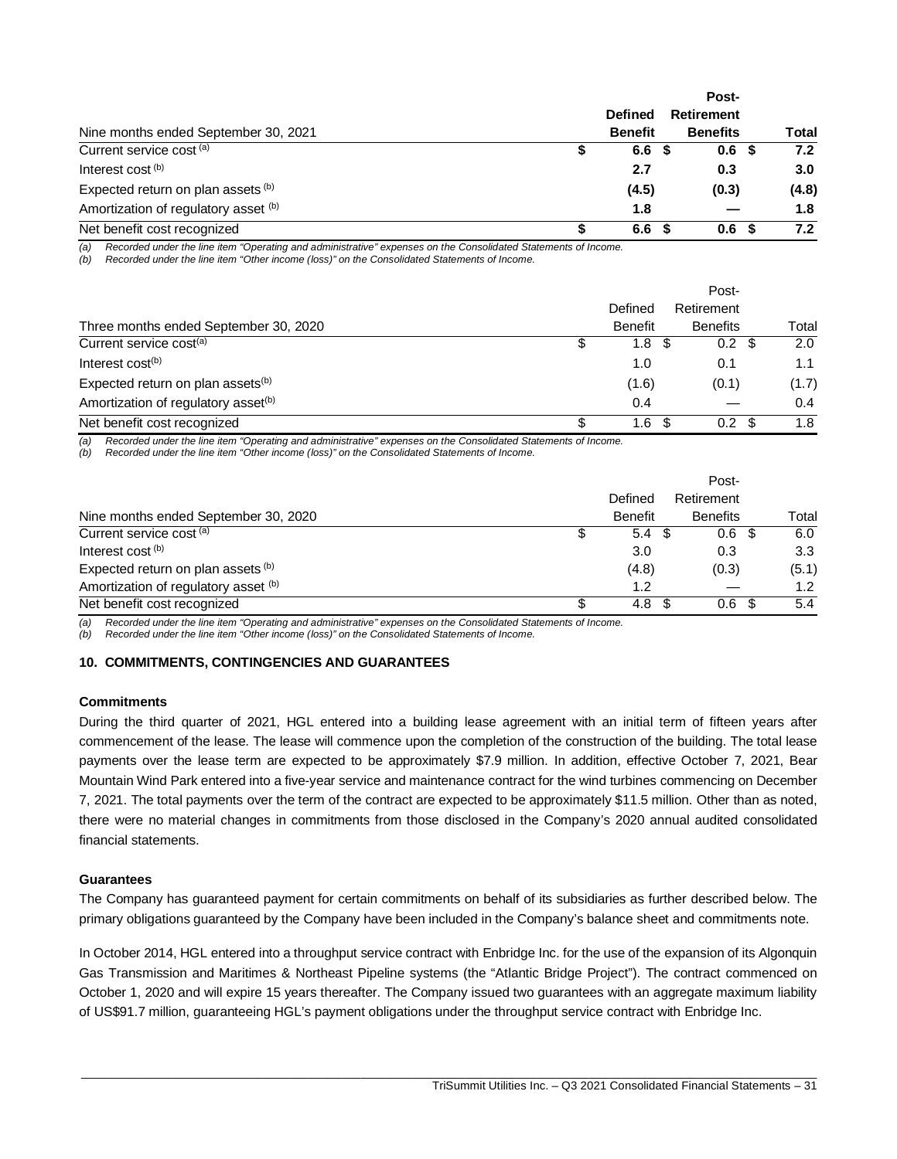|                                      | <b>Defined</b> |      | <b>Retirement</b> |  |                  |  |  |
|--------------------------------------|----------------|------|-------------------|--|------------------|--|--|
| Nine months ended September 30, 2021 | <b>Benefit</b> |      | <b>Benefits</b>   |  | <b>Total</b>     |  |  |
| Current service cost <sup>(a)</sup>  | 6.6            | - 55 | 0.6 <sup>5</sup>  |  | 7.2              |  |  |
| Interest cost (b)                    | 2.7            |      | 0.3               |  | 3.0 <sub>2</sub> |  |  |
| Expected return on plan assets (b)   | (4.5)          |      | (0.3)             |  | (4.8)            |  |  |
| Amortization of regulatory asset (b) | 1.8            |      |                   |  | 1.8              |  |  |
| Net benefit cost recognized          | 6.6            |      | 0.6               |  | 7.2              |  |  |

*(a) Recorded under the line item "Operating and administrative" expenses on the Consolidated Statements of Income.*

*(b) Recorded under the line item "Other income (loss)" on the Consolidated Statements of Income.*

|                                                 |    |                | Post-                    |       |
|-------------------------------------------------|----|----------------|--------------------------|-------|
|                                                 |    | Defined        | Retirement               |       |
| Three months ended September 30, 2020           |    | <b>Benefit</b> | <b>Benefits</b>          | Total |
| Current service cost <sup>(a)</sup>             |    | 1.8            | $0.2 \text{ } $$<br>- \$ | 2.0   |
| Interest $cost(b)$                              |    | 1.0            | 0.1                      | 1.1   |
| Expected return on plan assets <sup>(b)</sup>   |    | (1.6)          | (0.1)                    | (1.7) |
| Amortization of regulatory asset <sup>(b)</sup> |    | 0.4            |                          | 0.4   |
| Net benefit cost recognized                     | £. | 1.6            | $0.2^{\circ}$            | 1.8   |

*(a) Recorded under the line item "Operating and administrative" expenses on the Consolidated Statements of Income.*

*(b) Recorded under the line item "Other income (loss)" on the Consolidated Statements of Income.*

|                                      |                | Post-            |                  |
|--------------------------------------|----------------|------------------|------------------|
|                                      | Defined        | Retirement       |                  |
| Nine months ended September 30, 2020 | <b>Benefit</b> | <b>Benefits</b>  | Total            |
| Current service cost (a)             | 5.4<br>- \$    | 0.6 <sup>5</sup> | 6.0              |
| Interest cost <sup>(b)</sup>         | 3.0            | 0.3              | 3.3              |
| Expected return on plan assets (b)   | (4.8)          | (0.3)            | (5.1)            |
| Amortization of regulatory asset (b) | 1.2            |                  | 1.2 <sub>1</sub> |
| Net benefit cost recognized          | 4.8            | 0.6              | 5.4              |

*(a) Recorded under the line item "Operating and administrative" expenses on the Consolidated Statements of Income.*

*(b) Recorded under the line item "Other income (loss)" on the Consolidated Statements of Income.*

### **10. COMMITMENTS, CONTINGENCIES AND GUARANTEES**

### **Commitments**

During the third quarter of 2021, HGL entered into a building lease agreement with an initial term of fifteen years after commencement of the lease. The lease will commence upon the completion of the construction of the building. The total lease payments over the lease term are expected to be approximately \$7.9 million. In addition, effective October 7, 2021, Bear Mountain Wind Park entered into a five-year service and maintenance contract for the wind turbines commencing on December 7, 2021. The total payments over the term of the contract are expected to be approximately \$11.5 million. Other than as noted, there were no material changes in commitments from those disclosed in the Company's 2020 annual audited consolidated financial statements.

## **Guarantees**

The Company has guaranteed payment for certain commitments on behalf of its subsidiaries as further described below. The primary obligations guaranteed by the Company have been included in the Company's balance sheet and commitments note.

In October 2014, HGL entered into a throughput service contract with Enbridge Inc. for the use of the expansion of its Algonquin Gas Transmission and Maritimes & Northeast Pipeline systems (the "Atlantic Bridge Project"). The contract commenced on October 1, 2020 and will expire 15 years thereafter. The Company issued two guarantees with an aggregate maximum liability of US\$91.7 million, guaranteeing HGL's payment obligations under the throughput service contract with Enbridge Inc.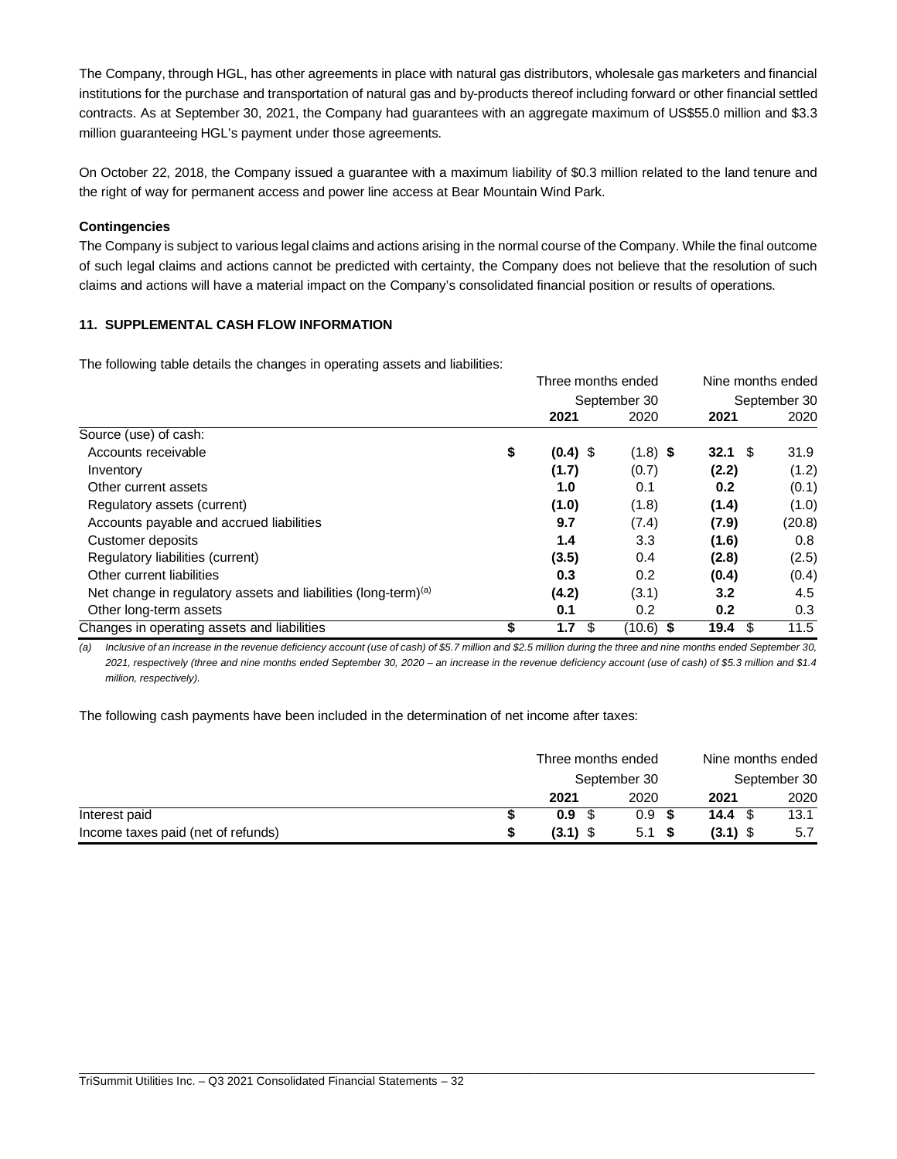The Company, through HGL, has other agreements in place with natural gas distributors, wholesale gas marketers and financial institutions for the purchase and transportation of natural gas and by-products thereof including forward or other financial settled contracts. As at September 30, 2021, the Company had guarantees with an aggregate maximum of US\$55.0 million and \$3.3 million guaranteeing HGL's payment under those agreements.

On October 22, 2018, the Company issued a guarantee with a maximum liability of \$0.3 million related to the land tenure and the right of way for permanent access and power line access at Bear Mountain Wind Park.

# **Contingencies**

The Company is subject to various legal claims and actions arising in the normal course of the Company. While the final outcome of such legal claims and actions cannot be predicted with certainty, the Company does not believe that the resolution of such claims and actions will have a material impact on the Company's consolidated financial position or results of operations.

## **11. SUPPLEMENTAL CASH FLOW INFORMATION**

The following table details the changes in operating assets and liabilities:

|                                                                            | Three months ended |            |              | Nine months ended  |              |
|----------------------------------------------------------------------------|--------------------|------------|--------------|--------------------|--------------|
|                                                                            |                    |            | September 30 |                    | September 30 |
|                                                                            |                    | 2021       | 2020         | 2021               | 2020         |
| Source (use) of cash:                                                      |                    |            |              |                    |              |
| Accounts receivable                                                        | \$                 | $(0.4)$ \$ | $(1.8)$ \$   | $32.1 \text{ } $s$ | 31.9         |
| Inventory                                                                  |                    | (1.7)      | (0.7)        | (2.2)              | (1.2)        |
| Other current assets                                                       |                    | 1.0        | 0.1          | 0.2                | (0.1)        |
| Regulatory assets (current)                                                |                    | (1.0)      | (1.8)        | (1.4)              | (1.0)        |
| Accounts payable and accrued liabilities                                   |                    | 9.7        | (7.4)        | (7.9)              | (20.8)       |
| Customer deposits                                                          |                    | 1.4        | 3.3          | (1.6)              | 0.8          |
| Regulatory liabilities (current)                                           |                    | (3.5)      | 0.4          | (2.8)              | (2.5)        |
| Other current liabilities                                                  |                    | 0.3        | 0.2          | (0.4)              | (0.4)        |
| Net change in regulatory assets and liabilities (long-term) <sup>(a)</sup> |                    | (4.2)      | (3.1)        | 3.2                | 4.5          |
| Other long-term assets                                                     |                    | 0.1        | 0.2          | 0.2                | 0.3          |
| Changes in operating assets and liabilities                                |                    | 1.7<br>\$  | $(10.6)$ \$  | \$<br>19.4         | 11.5         |

*(a) Inclusive of an increase in the revenue deficiency account (use of cash) of \$5.7 million and \$2.5 million during the three and nine months ended September 30, 2021, respectively (three and nine months ended September 30, 2020 – an increase in the revenue deficiency account (use of cash) of \$5.3 million and \$1.4 million, respectively).*

The following cash payments have been included in the determination of net income after taxes:

|                                    | Three months ended |                  | Nine months ended |              |  |
|------------------------------------|--------------------|------------------|-------------------|--------------|--|
|                                    |                    | September 30     |                   | September 30 |  |
|                                    | 2021               | 2020             | 2021              | 2020         |  |
| Interest paid                      | 0.9 <sup>5</sup>   | 0.9 <sup>5</sup> | 14.4 $\sqrt{3}$   | 13.1         |  |
| Income taxes paid (net of refunds) | $(3.1)$ \$         | 5.1 S            | $(3.1)$ \$        | 5.7          |  |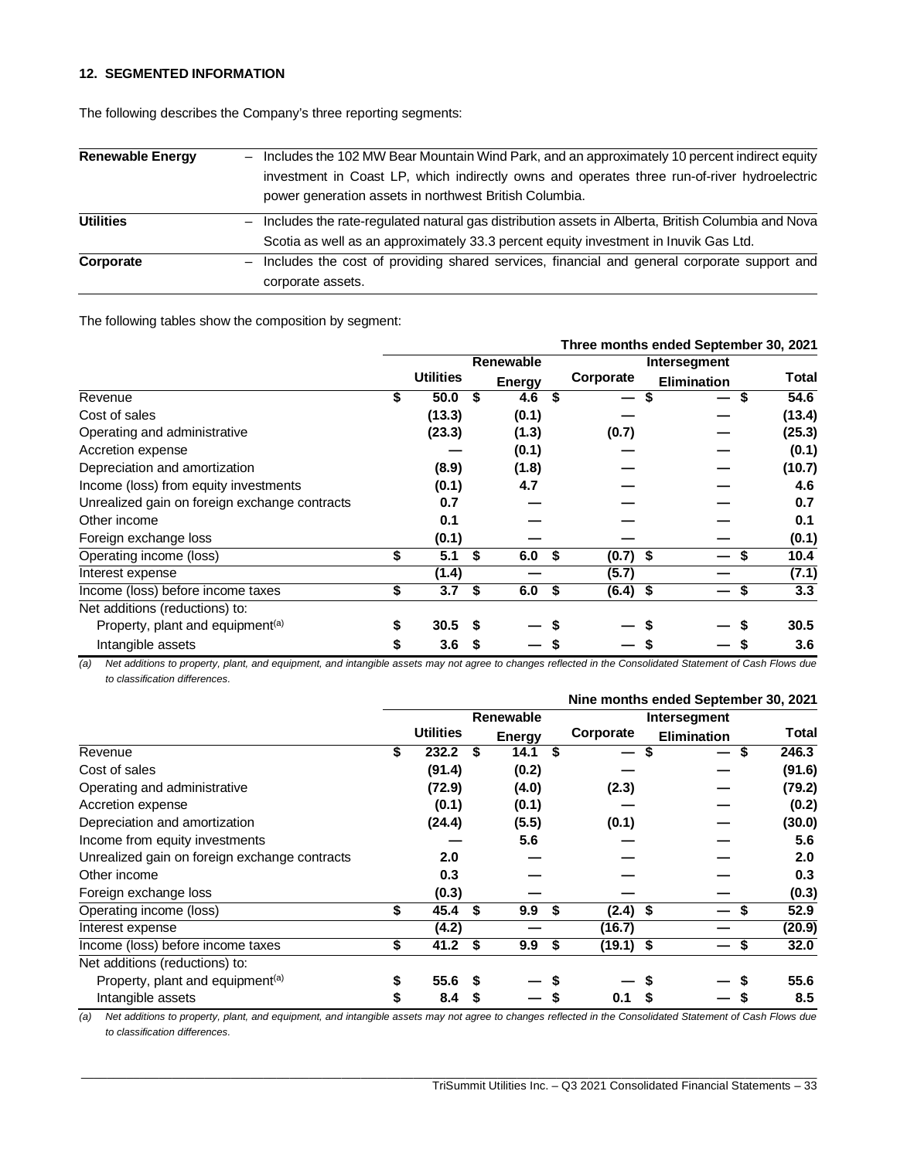## **12. SEGMENTED INFORMATION**

| <b>Renewable Energy</b> | Includes the 102 MW Bear Mountain Wind Park, and an approximately 10 percent indirect equity<br>$-$      |
|-------------------------|----------------------------------------------------------------------------------------------------------|
|                         | investment in Coast LP, which indirectly owns and operates three run-of-river hydroelectric              |
|                         | power generation assets in northwest British Columbia.                                                   |
| <b>Utilities</b>        | Includes the rate-regulated natural gas distribution assets in Alberta, British Columbia and Nova<br>$-$ |
|                         | Scotia as well as an approximately 33.3 percent equity investment in Inuvik Gas Ltd.                     |
| Corporate               | - Includes the cost of providing shared services, financial and general corporate support and            |
|                         | corporate assets.                                                                                        |

The following describes the Company's three reporting segments:

The following tables show the composition by segment:

|                                               |    |                  |    |                  |    | Three months ended September 30, 2021 |                    |           |  |  |
|-----------------------------------------------|----|------------------|----|------------------|----|---------------------------------------|--------------------|-----------|--|--|
|                                               |    |                  |    | <b>Renewable</b> |    |                                       | Intersegment       |           |  |  |
|                                               |    | <b>Utilities</b> |    | <b>Energy</b>    |    | Corporate                             | <b>Elimination</b> | Total     |  |  |
| Revenue                                       | \$ | 50.0             | S  | 4.6              | S  | S<br>—                                |                    | 54.6<br>S |  |  |
| Cost of sales                                 |    | (13.3)           |    | (0.1)            |    |                                       |                    | (13.4)    |  |  |
| Operating and administrative                  |    | (23.3)           |    | (1.3)            |    | (0.7)                                 |                    | (25.3)    |  |  |
| Accretion expense                             |    |                  |    | (0.1)            |    |                                       |                    | (0.1)     |  |  |
| Depreciation and amortization                 |    | (8.9)            |    | (1.8)            |    |                                       |                    | (10.7)    |  |  |
| Income (loss) from equity investments         |    | (0.1)            |    | 4.7              |    |                                       |                    | 4.6       |  |  |
| Unrealized gain on foreign exchange contracts |    | 0.7              |    |                  |    |                                       |                    | 0.7       |  |  |
| Other income                                  |    | 0.1              |    |                  |    |                                       |                    | 0.1       |  |  |
| Foreign exchange loss                         |    | (0.1)            |    |                  |    |                                       |                    | (0.1)     |  |  |
| Operating income (loss)                       | \$ | 5.1              | \$ | 6.0              | \$ | $(0.7)$ \$                            |                    | 10.4      |  |  |
| Interest expense                              |    | (1.4)            |    |                  |    | (5.7)                                 |                    | (7.1)     |  |  |
| Income (loss) before income taxes             | \$ | 3.7              | S  | 6.0              | \$ | $(6.4)$ \$                            |                    | 3.3       |  |  |
| Net additions (reductions) to:                |    |                  |    |                  |    |                                       |                    |           |  |  |
| Property, plant and equipment <sup>(a)</sup>  | S  | 30.5             |    |                  |    |                                       |                    | 30.5      |  |  |
| Intangible assets                             |    | 3.6              |    |                  |    |                                       |                    | 3.6       |  |  |

*(a) Net additions to property, plant, and equipment, and intangible assets may not agree to changes reflected in the Consolidated Statement of Cash Flows due to classification differences.*

|                                               |    |                  |    |               |    |              |                    | Nine months ended September 30, 2021 |  |  |
|-----------------------------------------------|----|------------------|----|---------------|----|--------------|--------------------|--------------------------------------|--|--|
|                                               |    |                  |    | Renewable     |    | Intersegment |                    |                                      |  |  |
|                                               |    | <b>Utilities</b> |    | <b>Energy</b> |    | Corporate    | <b>Elimination</b> | Total                                |  |  |
| Revenue                                       | S  | 232.2            | S  | 14.1          | S  | \$<br>—      |                    | 246.3<br>\$                          |  |  |
| Cost of sales                                 |    | (91.4)           |    | (0.2)         |    |              |                    | (91.6)                               |  |  |
| Operating and administrative                  |    | (72.9)           |    | (4.0)         |    | (2.3)        |                    | (79.2)                               |  |  |
| Accretion expense                             |    | (0.1)            |    | (0.1)         |    |              |                    | (0.2)                                |  |  |
| Depreciation and amortization                 |    | (24.4)           |    | (5.5)         |    | (0.1)        |                    | (30.0)                               |  |  |
| Income from equity investments                |    |                  |    | 5.6           |    |              |                    | 5.6                                  |  |  |
| Unrealized gain on foreign exchange contracts |    | 2.0              |    |               |    |              |                    | 2.0                                  |  |  |
| Other income                                  |    | 0.3              |    |               |    |              |                    | 0.3                                  |  |  |
| Foreign exchange loss                         |    | (0.3)            |    |               |    |              |                    | (0.3)                                |  |  |
| Operating income (loss)                       | \$ | 45.4             | \$ | 9.9           | \$ | $(2.4)$ \$   |                    | 52.9                                 |  |  |
| Interest expense                              |    | (4.2)            |    |               |    | (16.7)       |                    | (20.9)                               |  |  |
| Income (loss) before income taxes             | \$ | 41.2             | \$ | 9.9           | \$ | $(19.1)$ \$  |                    | 32.0                                 |  |  |
| Net additions (reductions) to:                |    |                  |    |               |    |              |                    |                                      |  |  |
| Property, plant and equipment <sup>(a)</sup>  | S  | 55.6             | S  |               |    |              |                    | 55.6                                 |  |  |
| Intangible assets                             |    | 8.4              | S  |               |    | 0.1<br>S     |                    | 8.5                                  |  |  |

*(a) Net additions to property, plant, and equipment, and intangible assets may not agree to changes reflected in the Consolidated Statement of Cash Flows due to classification differences.*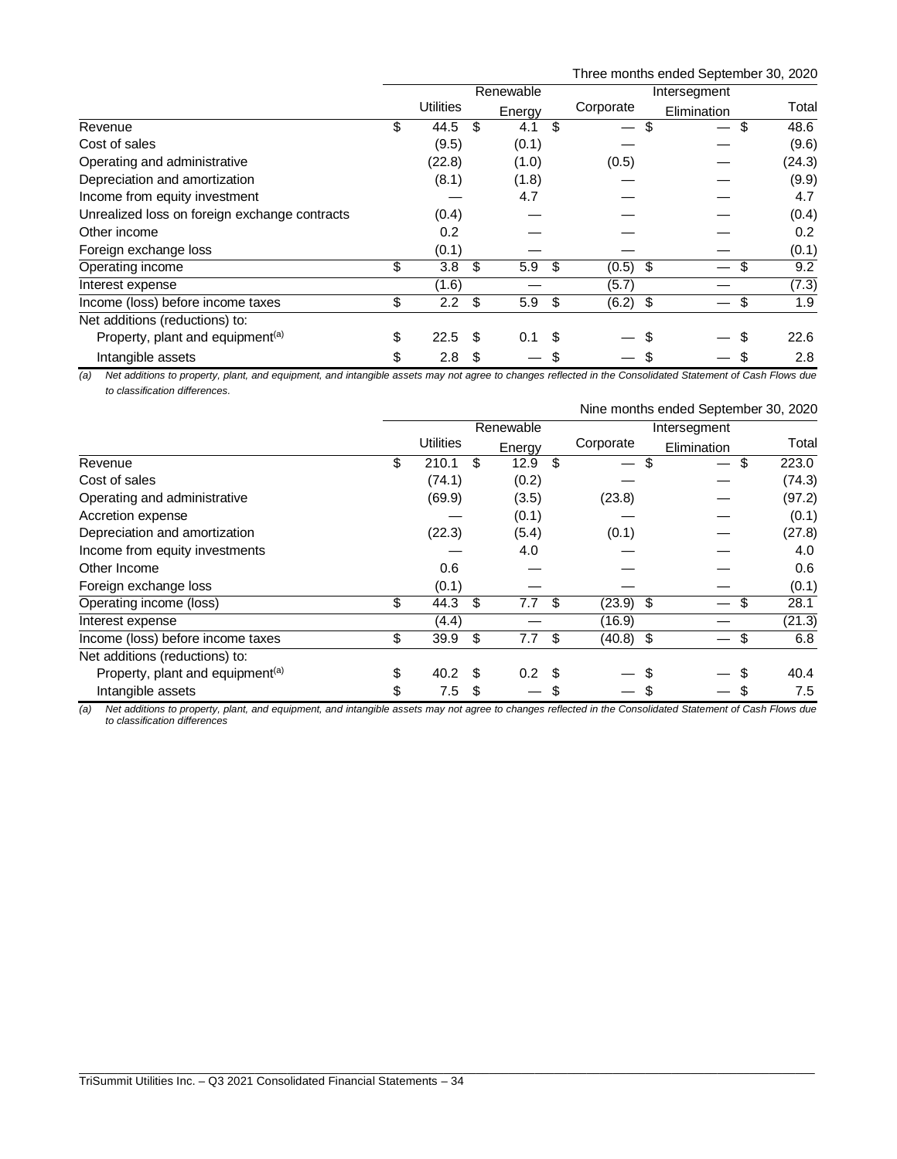| Three months ended September 30, 2020 |  |  |  |  |
|---------------------------------------|--|--|--|--|
|---------------------------------------|--|--|--|--|

|                                               |                     |     | Renewable |      |            | Intersegment |            |
|-----------------------------------------------|---------------------|-----|-----------|------|------------|--------------|------------|
|                                               | <b>Utilities</b>    |     | Energy    |      | Corporate  | Elimination  | Total      |
| Revenue                                       | \$<br>44.5          | -\$ | 4.1       | \$   |            |              | 48.6<br>\$ |
| Cost of sales                                 | (9.5)               |     | (0.1)     |      |            |              | (9.6)      |
| Operating and administrative                  | (22.8)              |     | (1.0)     |      | (0.5)      |              | (24.3)     |
| Depreciation and amortization                 | (8.1)               |     | (1.8)     |      |            |              | (9.9)      |
| Income from equity investment                 |                     |     | 4.7       |      |            |              | 4.7        |
| Unrealized loss on foreign exchange contracts | (0.4)               |     |           |      |            |              | (0.4)      |
| Other income                                  | 0.2                 |     |           |      |            |              | 0.2        |
| Foreign exchange loss                         | (0.1)               |     |           |      |            |              | (0.1)      |
| Operating income                              | \$<br>3.8           | \$  | 5.9       | \$   | $(0.5)$ \$ |              | 9.2<br>\$  |
| Interest expense                              | (1.6)               |     |           |      | (5.7)      |              | (7.3)      |
| Income (loss) before income taxes             | \$<br>$2.2^{\circ}$ | \$  | 5.9       | - \$ | $(6.2)$ \$ |              | 1.9<br>\$  |
| Net additions (reductions) to:                |                     |     |           |      |            |              |            |
| Property, plant and equipment <sup>(a)</sup>  | \$<br>22.5          | \$  | 0.1       | \$   |            |              | 22.6       |
| Intangible assets                             | \$<br>2.8           | S   |           |      |            |              | 2.8        |

*(a) Net additions to property, plant, and equipment, and intangible assets may not agree to changes reflected in the Consolidated Statement of Cash Flows due to classification differences.*

|                                              |           | Nine months ended September 30, 2020 |     |                  |    |              |    |             |    |        |  |
|----------------------------------------------|-----------|--------------------------------------|-----|------------------|----|--------------|----|-------------|----|--------|--|
|                                              | Renewable |                                      |     |                  |    | Intersegment |    |             |    |        |  |
|                                              |           | Utilities                            |     | Energy           |    | Corporate    |    | Elimination |    | Total  |  |
| Revenue                                      | \$        | 210.1                                | \$  | 12.9             | \$ |              | \$ |             | \$ | 223.0  |  |
| Cost of sales                                |           | (74.1)                               |     | (0.2)            |    |              |    |             |    | (74.3) |  |
| Operating and administrative                 |           | (69.9)                               |     | (3.5)            |    | (23.8)       |    |             |    | (97.2) |  |
| Accretion expense                            |           |                                      |     | (0.1)            |    |              |    |             |    | (0.1)  |  |
| Depreciation and amortization                |           | (22.3)                               |     | (5.4)            |    | (0.1)        |    |             |    | (27.8) |  |
| Income from equity investments               |           |                                      |     | 4.0              |    |              |    |             |    | 4.0    |  |
| Other Income                                 |           | 0.6                                  |     |                  |    |              |    |             |    | 0.6    |  |
| Foreign exchange loss                        |           | (0.1)                                |     |                  |    |              |    |             |    | (0.1)  |  |
| Operating income (loss)                      | \$        | 44.3                                 | \$  | 7.7              | \$ | $(23.9)$ \$  |    |             | \$ | 28.1   |  |
| Interest expense                             |           | (4.4)                                |     |                  |    | (16.9)       |    |             |    | (21.3) |  |
| Income (loss) before income taxes            | \$        | 39.9                                 | \$  | 7.7              | \$ | $(40.8)$ \$  |    |             | \$ | 6.8    |  |
| Net additions (reductions) to:               |           |                                      |     |                  |    |              |    |             |    |        |  |
| Property, plant and equipment <sup>(a)</sup> | \$        | 40.2                                 | \$. | 0.2 <sup>5</sup> |    |              |    |             |    | 40.4   |  |
| Intangible assets                            | \$        | 7.5                                  | S   |                  |    |              |    |             |    | 7.5    |  |

*(a) Net additions to property, plant, and equipment, and intangible assets may not agree to changes reflected in the Consolidated Statement of Cash Flows due to classification differences*